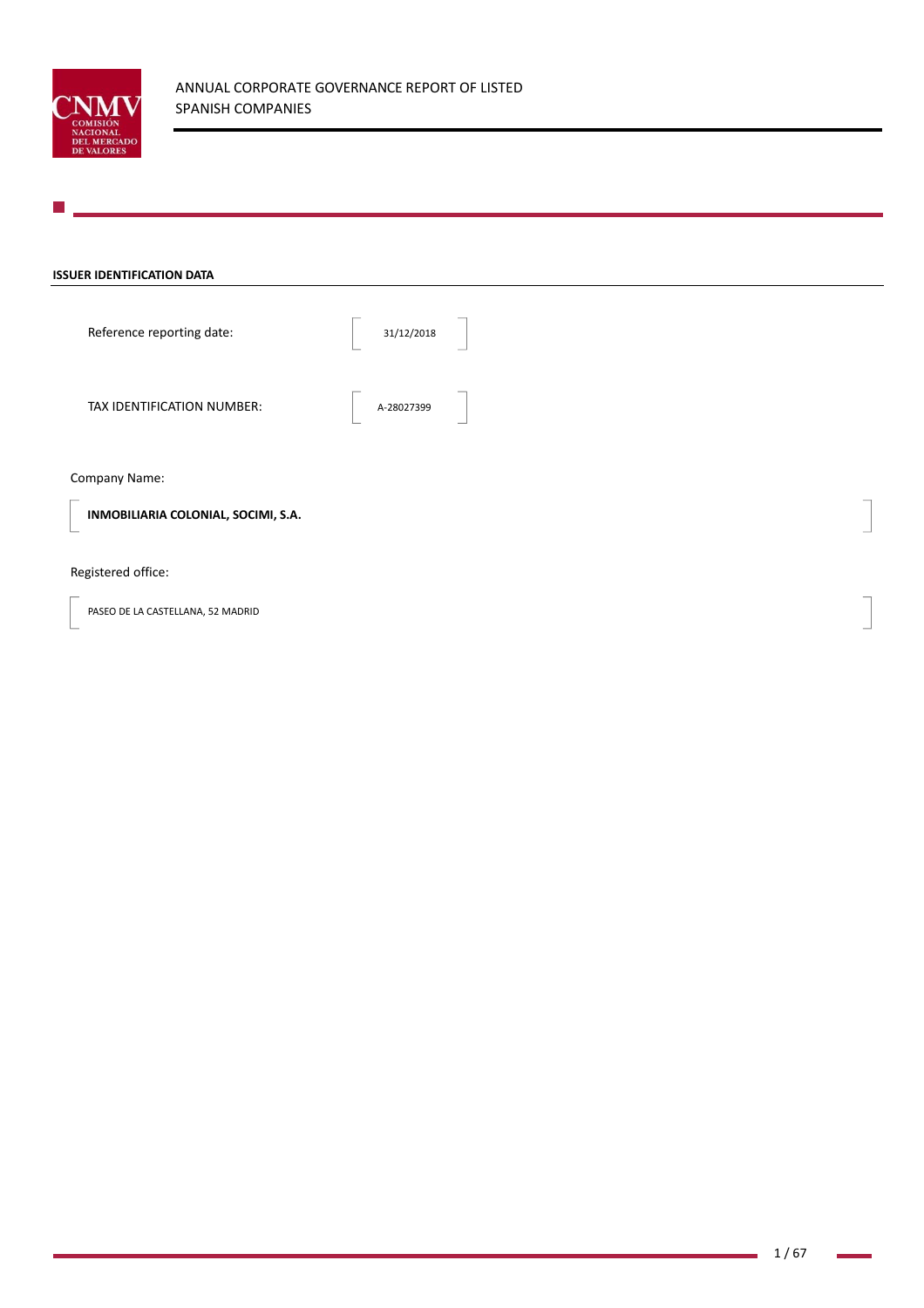

## **ISSUER IDENTIFICATION DATA**

Reference reporting date:  $\begin{array}{|c|c|c|c|c|}\n\hline\n\text{31/12/2018}\n\end{array}$ 

TAX IDENTIFICATION NUMBER: A-28027399

## Company Name:

**INMOBILIARIA COLONIAL, SOCIMI, S.A.** 

# Registered office:

PASEO DE LA CASTELLANA, 52 MADRID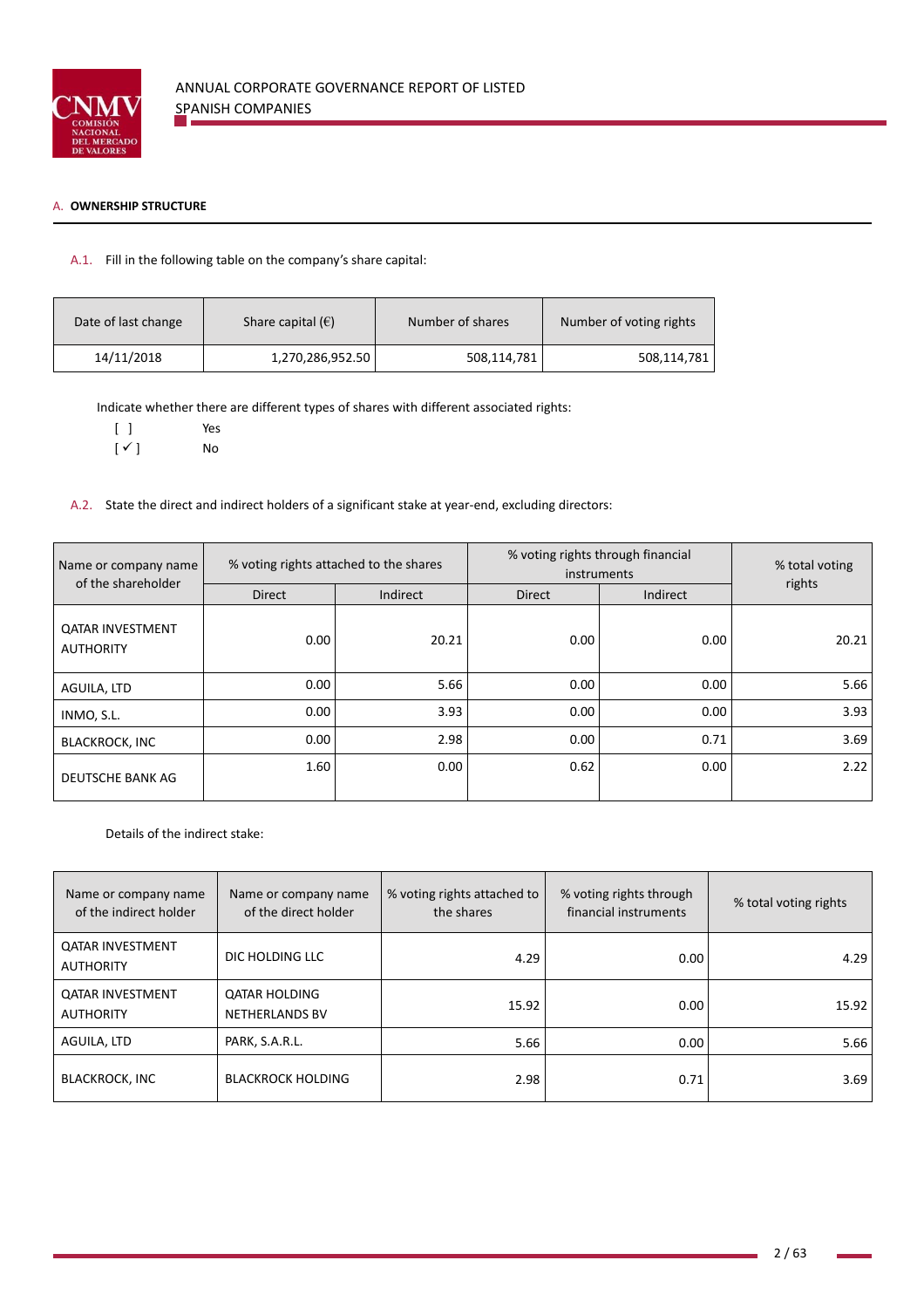

## A. **OWNERSHIP STRUCTURE**

# A.1. Fill in the following table on the company's share capital:

| Date of last change | Share capital $(\epsilon)$ | Number of shares | Number of voting rights |
|---------------------|----------------------------|------------------|-------------------------|
| 14/11/2018          | 1,270,286,952.50           | 508,114,781      | 508,114,781             |

Indicate whether there are different types of shares with different associated rights:

[ ] Yes

 $[\checkmark]$  No

A.2. State the direct and indirect holders of a significant stake at year-end, excluding directors:

| Name or company name                        | % voting rights attached to the shares |          | % voting rights through financial<br>instruments | % total voting |        |
|---------------------------------------------|----------------------------------------|----------|--------------------------------------------------|----------------|--------|
| of the shareholder                          | <b>Direct</b>                          | Indirect | <b>Direct</b>                                    | Indirect       | rights |
| <b>QATAR INVESTMENT</b><br><b>AUTHORITY</b> | 0.00                                   | 20.21    | 0.00                                             | 0.00           | 20.21  |
| AGUILA, LTD                                 | 0.00                                   | 5.66     | 0.00                                             | 0.00           | 5.66   |
| INMO, S.L.                                  | 0.00                                   | 3.93     | 0.00                                             | 0.00           | 3.93   |
| <b>BLACKROCK, INC</b>                       | 0.00                                   | 2.98     | 0.00                                             | 0.71           | 3.69   |
| <b>DEUTSCHE BANK AG</b>                     | 1.60                                   | 0.00     | 0.62                                             | 0.00           | 2.22   |

Details of the indirect stake:

| Name or company name<br>of the indirect holder | Name or company name<br>of the direct holder  | % voting rights attached to<br>the shares | % voting rights through<br>financial instruments | % total voting rights |
|------------------------------------------------|-----------------------------------------------|-------------------------------------------|--------------------------------------------------|-----------------------|
| <b>OATAR INVESTMENT</b><br><b>AUTHORITY</b>    | DIC HOLDING LLC                               | 4.29                                      | 0.00                                             | 4.29                  |
| <b>QATAR INVESTMENT</b><br><b>AUTHORITY</b>    | <b>QATAR HOLDING</b><br><b>NETHERLANDS BV</b> | 15.92                                     | 0.00                                             | 15.92                 |
| AGUILA, LTD                                    | PARK, S.A.R.L.                                | 5.66                                      | 0.00                                             | 5.66                  |
| <b>BLACKROCK, INC</b>                          | <b>BLACKROCK HOLDING</b>                      | 2.98                                      | 0.71                                             | 3.69                  |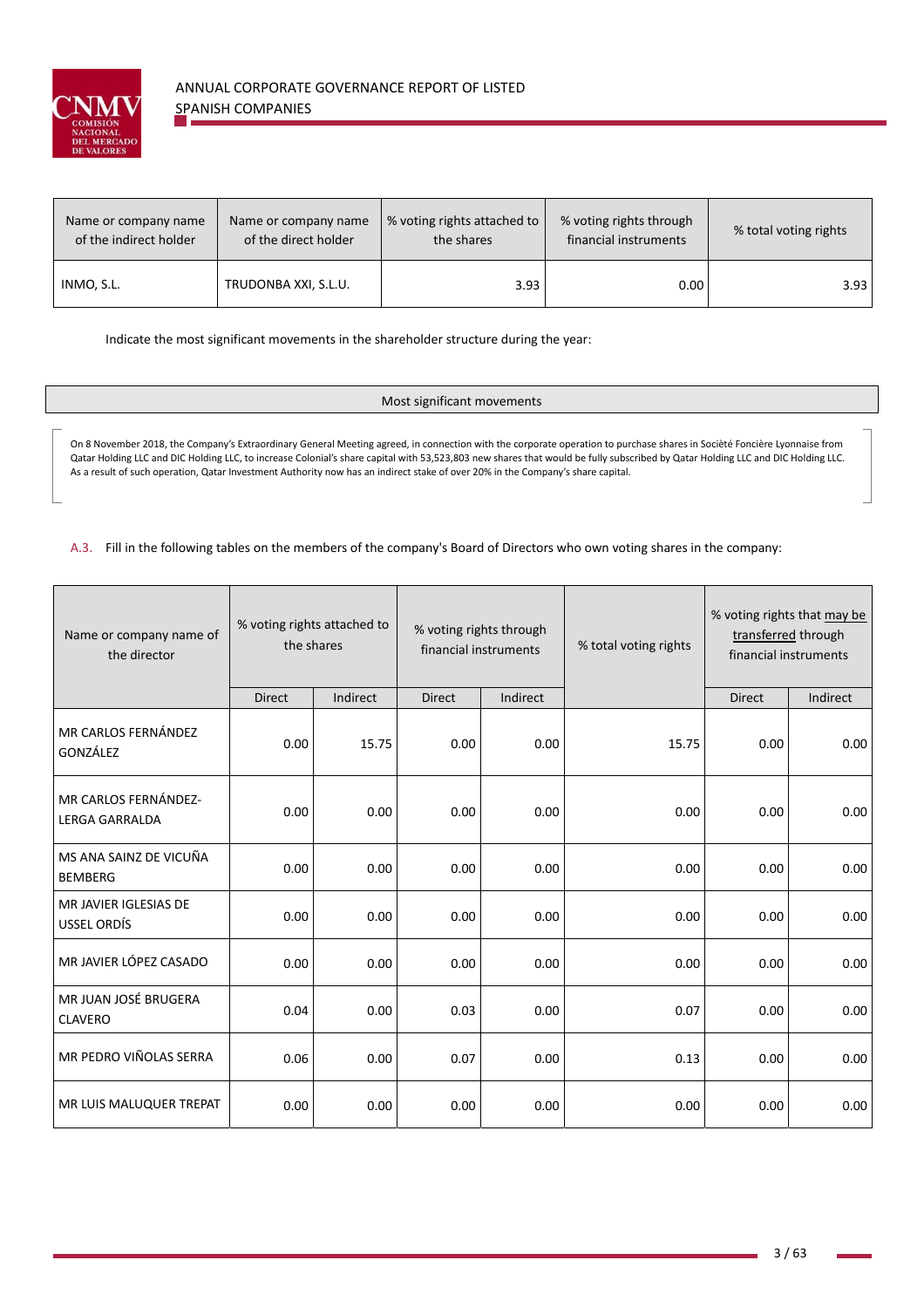

| Name or company name   | Name or company name | % voting rights attached to | % voting rights through | % total voting rights |
|------------------------|----------------------|-----------------------------|-------------------------|-----------------------|
| of the indirect holder | of the direct holder | the shares                  | financial instruments   |                       |
| INMO, S.L.             | TRUDONBA XXI, S.L.U. | 3.93                        | 0.00                    | 3.93                  |

Indicate the most significant movements in the shareholder structure during the year:

## Most significant movements

On 8 November 2018, the Company's Extraordinary General Meeting agreed, in connection with the corporate operation to purchase shares in Socièté Foncière Lyonnaise from Qatar Holding LLC and DIC Holding LLC, to increase Colonial's share capital with 53,523,803 new shares that would be fully subscribed by Qatar Holding LLC and DIC Holding LLC. As a result of such operation, Qatar Investment Authority now has an indirect stake of over 20% in the Company's share capital.

A.3. Fill in the following tables on the members of the company's Board of Directors who own voting shares in the company:

| Name or company name of<br>the director       |               | % voting rights attached to<br>% voting rights through<br>the shares<br>financial instruments |               |          | % total voting rights | financial instruments | % voting rights that may be<br>transferred through |
|-----------------------------------------------|---------------|-----------------------------------------------------------------------------------------------|---------------|----------|-----------------------|-----------------------|----------------------------------------------------|
|                                               | <b>Direct</b> | Indirect                                                                                      | <b>Direct</b> | Indirect |                       | <b>Direct</b>         | Indirect                                           |
| MR CARLOS FERNÁNDEZ<br>GONZÁLEZ               | 0.00          | 15.75                                                                                         | 0.00          | 0.00     | 15.75                 | 0.00                  | 0.00                                               |
| MR CARLOS FERNÁNDEZ-<br><b>LERGA GARRALDA</b> | 0.00          | 0.00                                                                                          | 0.00          | 0.00     | 0.00                  | 0.00                  | 0.00                                               |
| MS ANA SAINZ DE VICUÑA<br><b>BEMBERG</b>      | 0.00          | 0.00                                                                                          | 0.00          | 0.00     | 0.00                  | 0.00                  | 0.00                                               |
| MR JAVIER IGLESIAS DE<br><b>USSEL ORDÍS</b>   | 0.00          | 0.00                                                                                          | 0.00          | 0.00     | 0.00                  | 0.00                  | 0.00                                               |
| MR JAVIER LÓPEZ CASADO                        | 0.00          | 0.00                                                                                          | 0.00          | 0.00     | 0.00                  | 0.00                  | 0.00                                               |
| MR JUAN JOSÉ BRUGERA<br><b>CLAVERO</b>        | 0.04          | 0.00                                                                                          | 0.03          | 0.00     | 0.07                  | 0.00                  | 0.00                                               |
| MR PEDRO VIÑOLAS SERRA                        | 0.06          | 0.00                                                                                          | 0.07          | 0.00     | 0.13                  | 0.00                  | 0.00                                               |
| MR LUIS MALUQUER TREPAT                       | 0.00          | 0.00                                                                                          | 0.00          | 0.00     | 0.00                  | 0.00                  | 0.00                                               |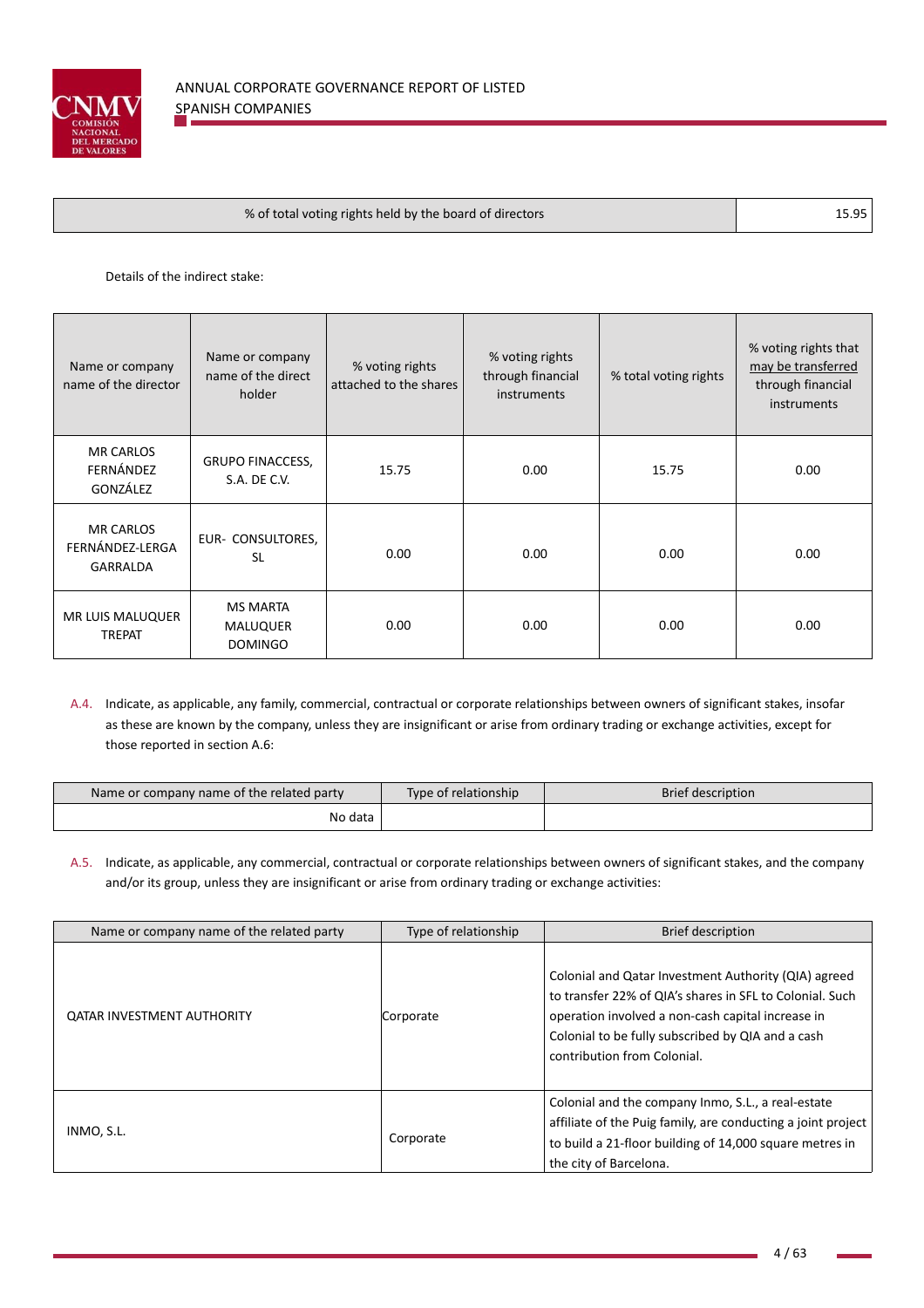

| % of total voting rights held by the board of directors | 15.95 |
|---------------------------------------------------------|-------|
|---------------------------------------------------------|-------|

Details of the indirect stake:

| Name or company<br>name of the director         | Name or company<br>name of the direct<br>holder      | % voting rights<br>attached to the shares | % voting rights<br>through financial<br>instruments | % total voting rights | % voting rights that<br>may be transferred<br>through financial<br><i>instruments</i> |
|-------------------------------------------------|------------------------------------------------------|-------------------------------------------|-----------------------------------------------------|-----------------------|---------------------------------------------------------------------------------------|
| <b>MR CARLOS</b><br>FERNÁNDEZ<br>GONZÁLEZ       | <b>GRUPO FINACCESS,</b><br>S.A. DE C.V.              | 15.75                                     | 0.00                                                | 15.75                 | 0.00                                                                                  |
| <b>MR CARLOS</b><br>FERNÁNDEZ-LERGA<br>GARRALDA | EUR- CONSULTORES,<br><b>SL</b>                       | 0.00                                      | 0.00                                                | 0.00                  | 0.00                                                                                  |
| MR LUIS MALUQUER<br><b>TREPAT</b>               | <b>MS MARTA</b><br><b>MALUQUER</b><br><b>DOMINGO</b> | 0.00                                      | 0.00                                                | 0.00                  | 0.00                                                                                  |

A.4. Indicate, as applicable, any family, commercial, contractual or corporate relationships between owners of significant stakes, insofar as these are known by the company, unless they are insignificant or arise from ordinary trading or exchange activities, except for those reported in section A.6:

| Name or company name of the related party | Type of relationship | <b>Brief description</b> |
|-------------------------------------------|----------------------|--------------------------|
| No data                                   |                      |                          |

A.5. Indicate, as applicable, any commercial, contractual or corporate relationships between owners of significant stakes, and the company and/or its group, unless they are insignificant or arise from ordinary trading or exchange activities:

| Name or company name of the related party | Type of relationship | <b>Brief description</b>                                                                                                                                                                                                                                  |
|-------------------------------------------|----------------------|-----------------------------------------------------------------------------------------------------------------------------------------------------------------------------------------------------------------------------------------------------------|
| <b>QATAR INVESTMENT AUTHORITY</b>         | Corporate            | Colonial and Qatar Investment Authority (QIA) agreed<br>to transfer 22% of QIA's shares in SFL to Colonial. Such<br>operation involved a non-cash capital increase in<br>Colonial to be fully subscribed by QIA and a cash<br>contribution from Colonial. |
| INMO, S.L.                                | Corporate            | Colonial and the company Inmo, S.L., a real-estate<br>affiliate of the Puig family, are conducting a joint project<br>to build a 21-floor building of 14,000 square metres in<br>the city of Barcelona.                                                   |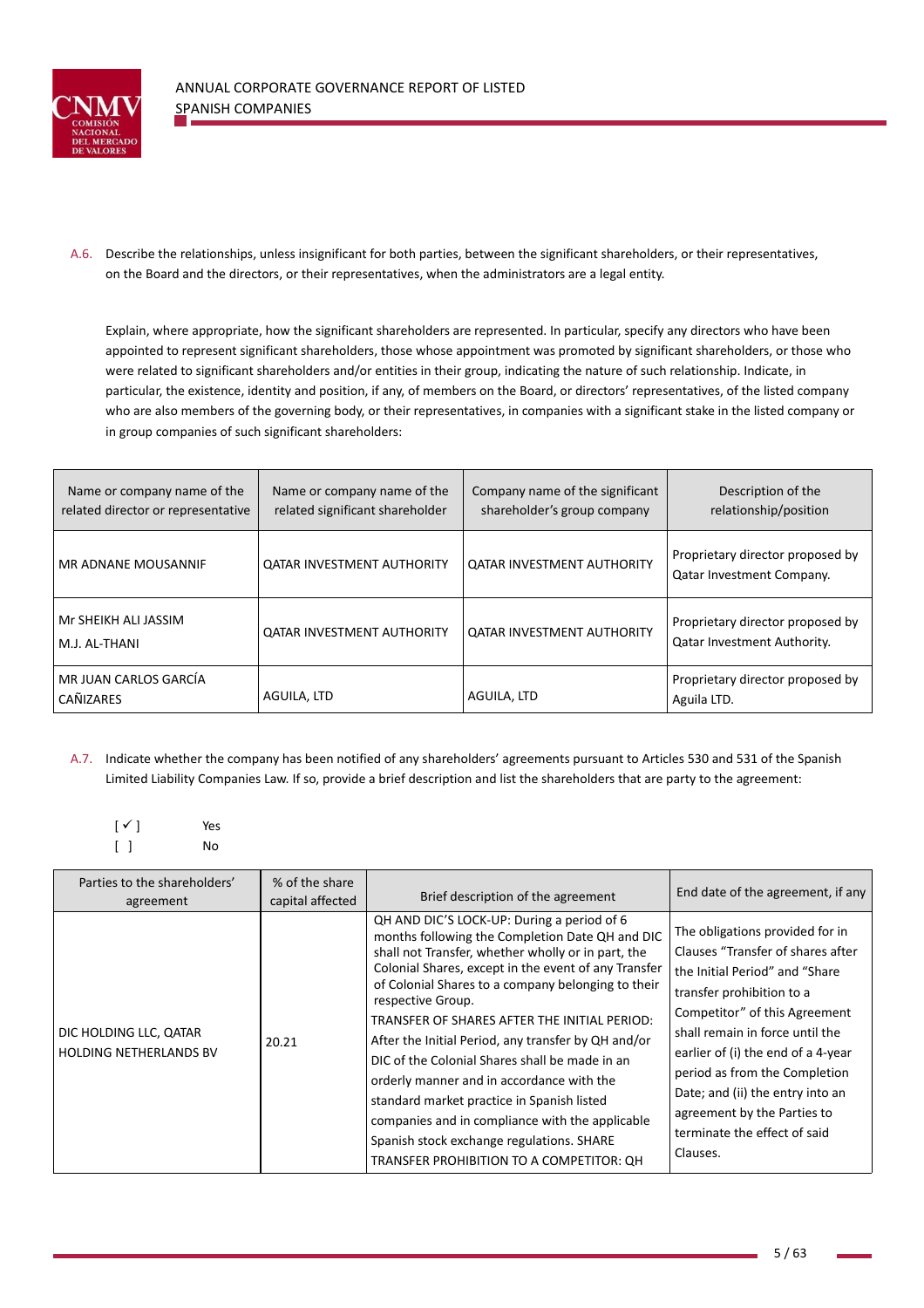

A.6. Describe the relationships, unless insignificant for both parties, between the significant shareholders, or their representatives, on the Board and the directors, or their representatives, when the administrators are a legal entity.

Explain, where appropriate, how the significant shareholders are represented. In particular, specify any directors who have been appointed to represent significant shareholders, those whose appointment was promoted by significant shareholders, or those who were related to significant shareholders and/or entities in their group, indicating the nature of such relationship. Indicate, in particular, the existence, identity and position, if any, of members on the Board, or directors' representatives, of the listed company who are also members of the governing body, or their representatives, in companies with a significant stake in the listed company or in group companies of such significant shareholders:

| Name or company name of the<br>related director or representative | Name or company name of the<br>related significant shareholder | Company name of the significant<br>shareholder's group company | Description of the<br>relationship/position                            |
|-------------------------------------------------------------------|----------------------------------------------------------------|----------------------------------------------------------------|------------------------------------------------------------------------|
| MR ADNANE MOUSANNIF                                               | <b>QATAR INVESTMENT AUTHORITY</b>                              | <b>QATAR INVESTMENT AUTHORITY</b>                              | Proprietary director proposed by<br><b>Qatar Investment Company.</b>   |
| Mr SHEIKH ALI JASSIM<br>M.J. AL-THANI                             | <b>QATAR INVESTMENT AUTHORITY</b>                              | <b>QATAR INVESTMENT AUTHORITY</b>                              | Proprietary director proposed by<br><b>Qatar Investment Authority.</b> |
| MR JUAN CARLOS GARCÍA<br><b>CAÑIZARES</b>                         | AGUILA, LTD                                                    | AGUILA, LTD                                                    | Proprietary director proposed by<br>Aguila LTD.                        |

A.7. Indicate whether the company has been notified of any shareholders' agreements pursuant to Articles 530 and 531 of the Spanish Limited Liability Companies Law. If so, provide a brief description and list the shareholders that are party to the agreement:

$$
\begin{bmatrix} \checkmark \end{bmatrix} \qquad \qquad \begin{array}{c} \mathsf{Yes} \\ \mathsf{No} \end{array}
$$

| Parties to the shareholders'<br>agreement               | % of the share<br>capital affected | Brief description of the agreement                                                                                                                                                                                                                                                                                                                                                                                                                                                                                                                                                                                                                                                     | End date of the agreement, if any                                                                                                                                                                                                                                                                                                                                                             |
|---------------------------------------------------------|------------------------------------|----------------------------------------------------------------------------------------------------------------------------------------------------------------------------------------------------------------------------------------------------------------------------------------------------------------------------------------------------------------------------------------------------------------------------------------------------------------------------------------------------------------------------------------------------------------------------------------------------------------------------------------------------------------------------------------|-----------------------------------------------------------------------------------------------------------------------------------------------------------------------------------------------------------------------------------------------------------------------------------------------------------------------------------------------------------------------------------------------|
| DIC HOLDING LLC, QATAR<br><b>HOLDING NETHERLANDS BV</b> | 20.21                              | QH AND DIC'S LOCK-UP: During a period of 6<br>months following the Completion Date QH and DIC<br>shall not Transfer, whether wholly or in part, the<br>Colonial Shares, except in the event of any Transfer<br>of Colonial Shares to a company belonging to their<br>respective Group.<br>TRANSFER OF SHARES AFTER THE INITIAL PERIOD:<br>After the Initial Period, any transfer by QH and/or<br>DIC of the Colonial Shares shall be made in an<br>orderly manner and in accordance with the<br>standard market practice in Spanish listed<br>companies and in compliance with the applicable<br>Spanish stock exchange regulations. SHARE<br>TRANSFER PROHIBITION TO A COMPETITOR: QH | The obligations provided for in<br>Clauses "Transfer of shares after<br>the Initial Period" and "Share<br>transfer prohibition to a<br>Competitor" of this Agreement<br>shall remain in force until the<br>earlier of (i) the end of a 4-year<br>period as from the Completion<br>Date; and (ii) the entry into an<br>agreement by the Parties to<br>terminate the effect of said<br>Clauses. |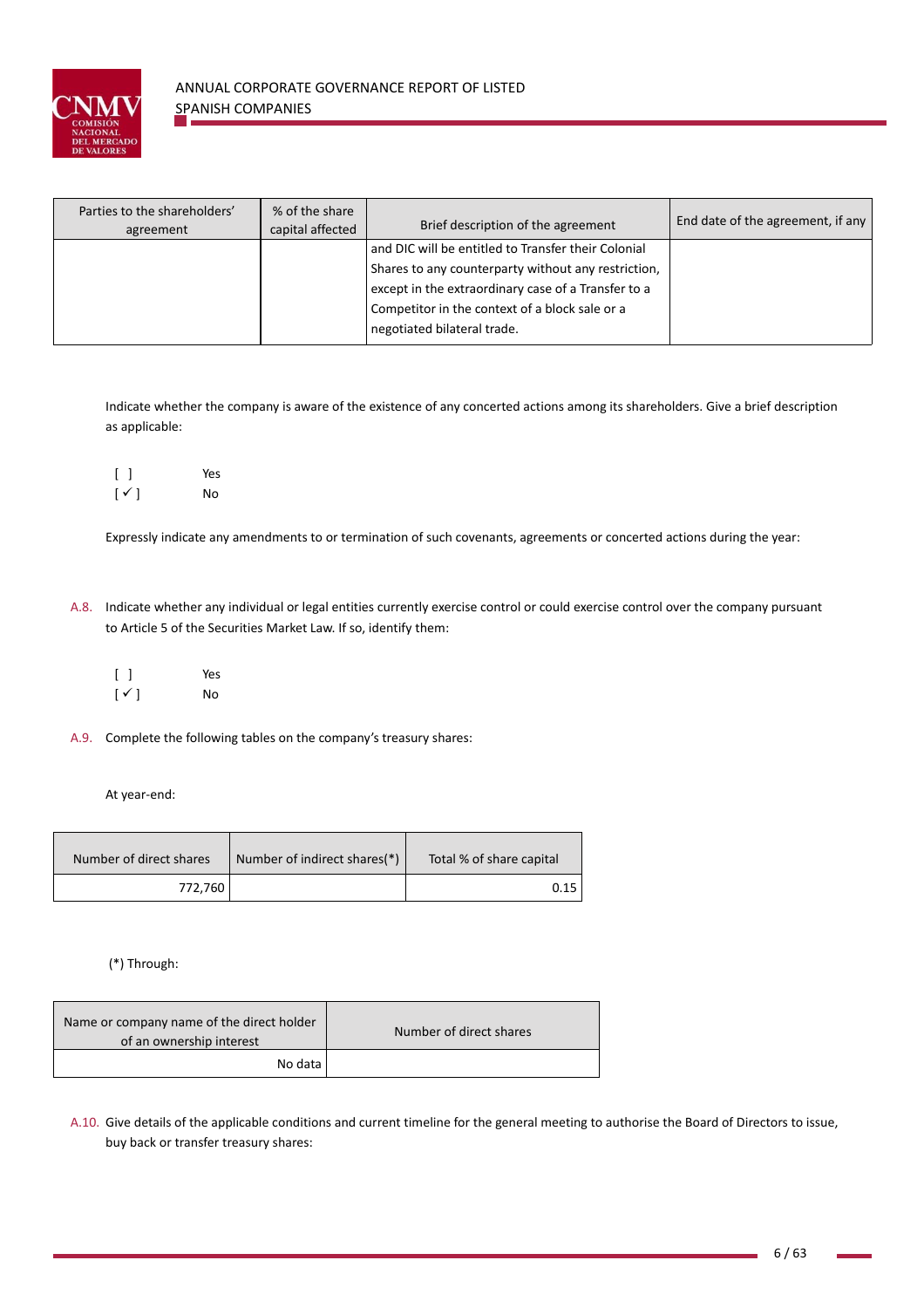

| Parties to the shareholders'<br>agreement | % of the share<br>capital affected | Brief description of the agreement                  | End date of the agreement, if any |
|-------------------------------------------|------------------------------------|-----------------------------------------------------|-----------------------------------|
|                                           |                                    | and DIC will be entitled to Transfer their Colonial |                                   |
|                                           |                                    | Shares to any counterparty without any restriction, |                                   |
|                                           |                                    | except in the extraordinary case of a Transfer to a |                                   |
|                                           |                                    | Competitor in the context of a block sale or a      |                                   |
|                                           |                                    | negotiated bilateral trade.                         |                                   |

Indicate whether the company is aware of the existence of any concerted actions among its shareholders. Give a brief description as applicable:

|                          | Yes |
|--------------------------|-----|
| $\lceil \sqrt{ } \rceil$ | No  |

Expressly indicate any amendments to or termination of such covenants, agreements or concerted actions during the year:

- A.8. Indicate whether any individual or legal entities currently exercise control or could exercise control over the company pursuant to Article 5 of the Securities Market Law. If so, identify them:
	- [ ] Yes  $\lceil \checkmark \rceil$  No

A.9. Complete the following tables on the company's treasury shares:

At year‐end:

| Number of direct shares | Number of indirect shares(*) | Total % of share capital |
|-------------------------|------------------------------|--------------------------|
| 772,760                 |                              | 0.15                     |

(\*) Through:

| Name or company name of the direct holder<br>of an ownership interest | Number of direct shares |
|-----------------------------------------------------------------------|-------------------------|
| No data                                                               |                         |

A.10. Give details of the applicable conditions and current timeline for the general meeting to authorise the Board of Directors to issue, buy back or transfer treasury shares: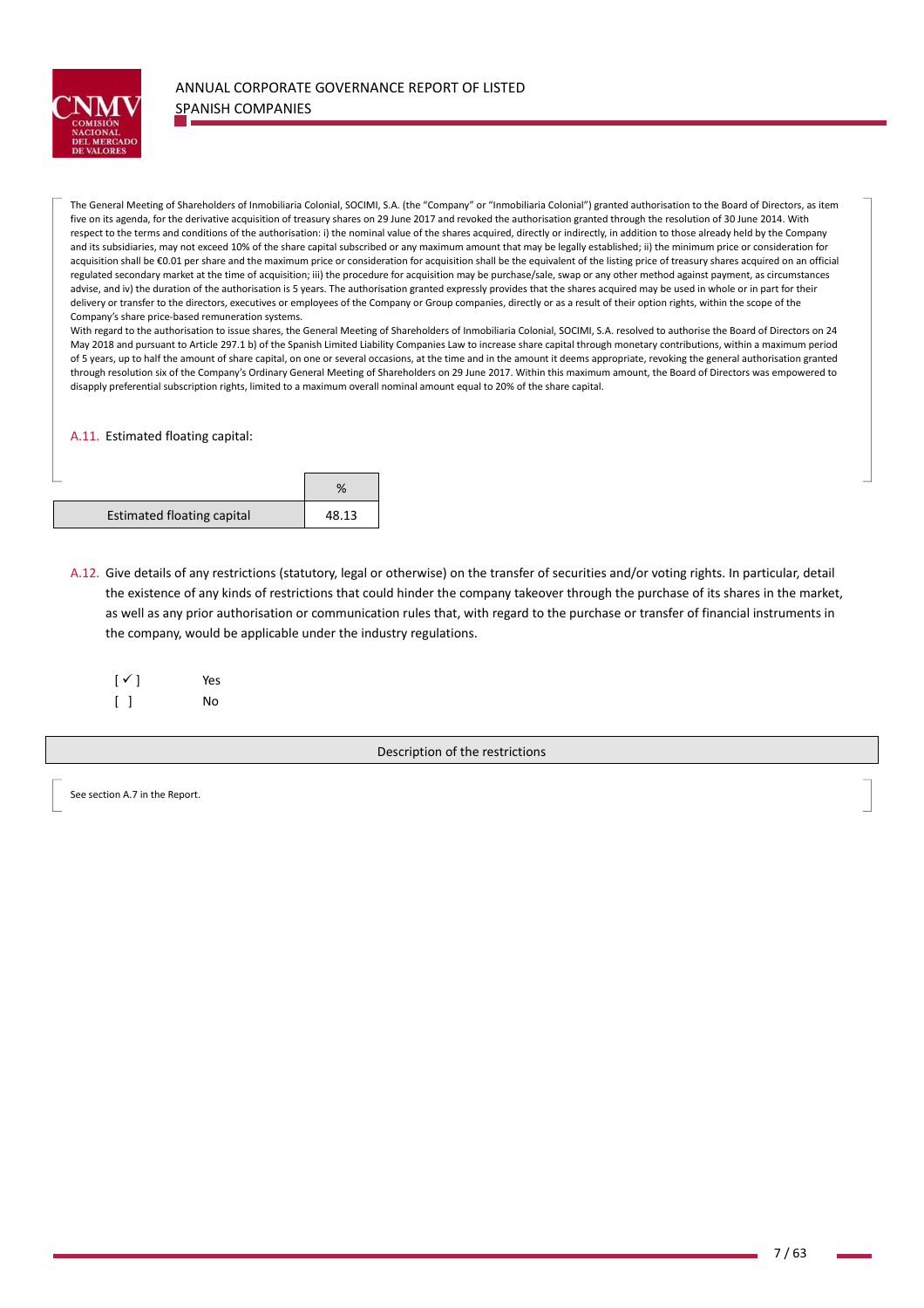

The General Meeting of Shareholders of Inmobiliaria Colonial, SOCIMI, S.A. (the "Company" or "Inmobiliaria Colonial") granted authorisation to the Board of Directors, as item five on its agenda, for the derivative acquisition of treasury shares on 29 June 2017 and revoked the authorisation granted through the resolution of 30 June 2014. With respect to the terms and conditions of the authorisation: i) the nominal value of the shares acquired, directly or indirectly, in addition to those already held by the Company and its subsidiaries, may not exceed 10% of the share capital subscribed or any maximum amount that may be legally established; ii) the minimum price or consideration for acquisition shall be €0.01 per share and the maximum price or consideration for acquisition shall be the equivalent of the listing price of treasury shares acquired on an official regulated secondary market at the time of acquisition; iii) the procedure for acquisition may be purchase/sale, swap or any other method against payment, as circumstances advise, and iv) the duration of the authorisation is 5 years. The authorisation granted expressly provides that the shares acquired may be used in whole or in part for their delivery or transfer to the directors, executives or employees of the Company or Group companies, directly or as a result of their option rights, within the scope of the Company's share price‐based remuneration systems.

With regard to the authorisation to issue shares, the General Meeting of Shareholders of Inmobiliaria Colonial, SOCIMI, S.A. resolved to authorise the Board of Directors on 24 May 2018 and pursuant to Article 297.1 b) of the Spanish Limited Liability Companies Law to increase share capital through monetary contributions, within a maximum period of 5 years, up to half the amount of share capital, on one or several occasions, at the time and in the amount it deems appropriate, revoking the general authorisation granted through resolution six of the Company's Ordinary General Meeting of Shareholders on 29 June 2017. Within this maximum amount, the Board of Directors was empowered to disapply preferential subscription rights, limited to a maximum overall nominal amount equal to 20% of the share capital.

A.11. Estimated floating capital:

| <b>Estimated floating capital</b> | 48.13 |
|-----------------------------------|-------|

A.12. Give details of any restrictions (statutory, legal or otherwise) on the transfer of securities and/or voting rights. In particular, detail the existence of any kinds of restrictions that could hinder the company takeover through the purchase of its shares in the market, as well as any prior authorisation or communication rules that, with regard to the purchase or transfer of financial instruments in the company, would be applicable under the industry regulations.

| $[\sqrt{ }]$      | Yes |
|-------------------|-----|
| $\lceil$ $\rceil$ | No  |

Description of the restrictions

See section A.7 in the Report.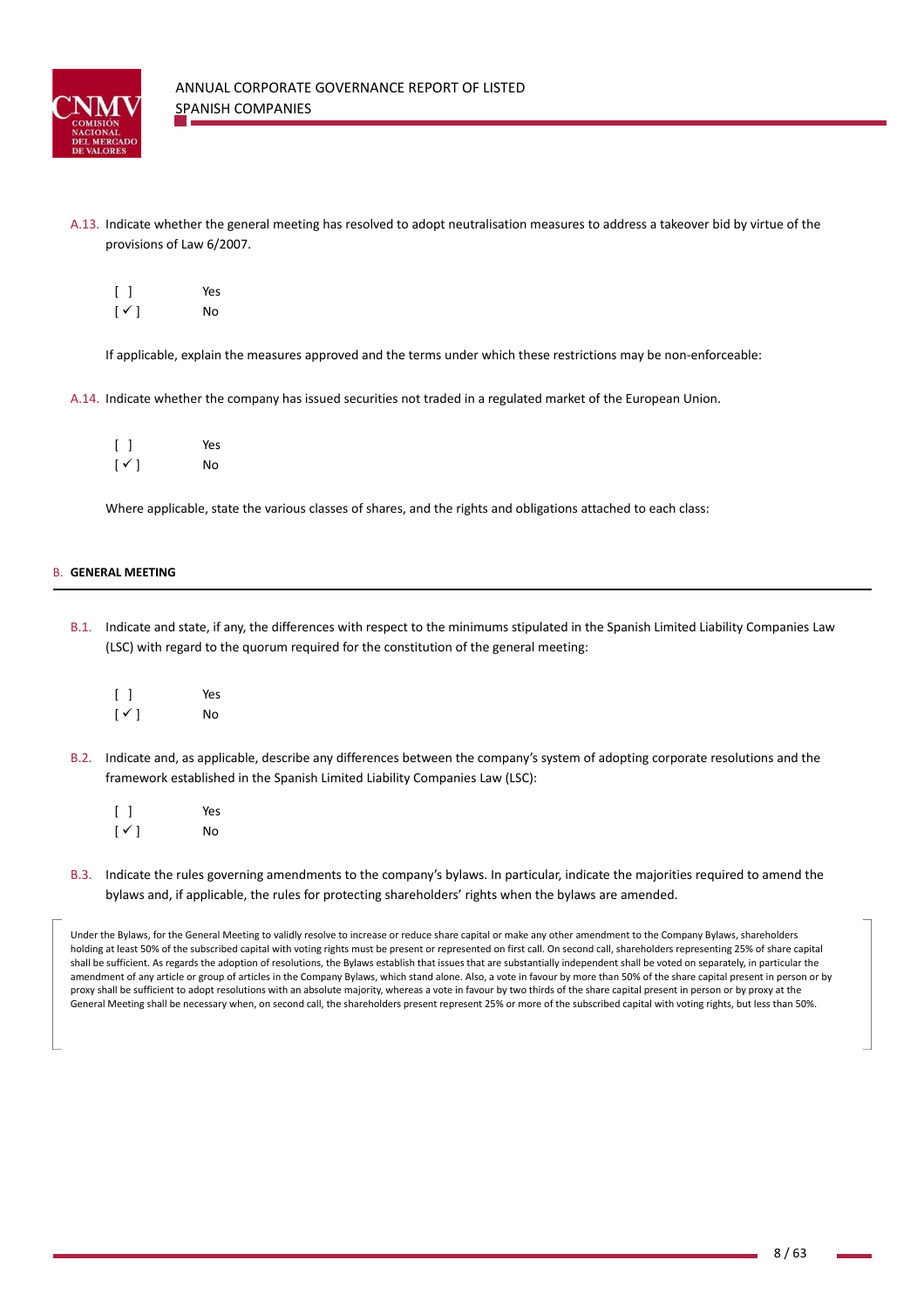

A.13. Indicate whether the general meeting has resolved to adopt neutralisation measures to address a takeover bid by virtue of the provisions of Law 6/2007.

| $\begin{bmatrix} \end{bmatrix}$ | Yes |
|---------------------------------|-----|
| $[\sqrt{ }]$                    | No  |

If applicable, explain the measures approved and the terms under which these restrictions may be non‐enforceable:

A.14. Indicate whether the company has issued securities not traded in a regulated market of the European Union.

|                          | Yes |
|--------------------------|-----|
| $\lceil \sqrt{ } \rceil$ | No  |

Where applicable, state the various classes of shares, and the rights and obligations attached to each class:

## B. **GENERAL MEETING**

- B.1. Indicate and state, if any, the differences with respect to the minimums stipulated in the Spanish Limited Liability Companies Law (LSC) with regard to the quorum required for the constitution of the general meeting:
	- [ ] Yes  $\lceil \checkmark \rceil$  No
- B.2. Indicate and, as applicable, describe any differences between the company's system of adopting corporate resolutions and the framework established in the Spanish Limited Liability Companies Law (LSC):
	- [ ] Yes  $\lceil \checkmark \rceil$  No

the company's state of the company's

B.3. Indicate the rules governing amendments to the company's bylaws. In particular, indicate the majorities required to amend the bylaws and, if applicable, the rules for protecting shareholders' rights when the bylaws are amended.

Under the Bylaws, for the General Meeting to validly resolve to increase or reduce share capital or make any other amendment to the Company Bylaws, shareholders holding at least 50% of the subscribed capital with voting rights must be present or represented on first call. On second call, shareholders representing 25% of share capital shall be sufficient. As regards the adoption of resolutions, the Bylaws establish that issues that are substantially independent shall be voted on separately, in particular the amendment of any article or group of articles in the Company Bylaws, which stand alone. Also, a vote in favour by more than 50% of the share capital present in person or by proxy shall be sufficient to adopt resolutions with an absolute majority, whereas a vote in favour by two thirds of the share capital present in person or by proxy at the General Meeting shall be necessary when, on second call, the shareholders present represent 25% or more of the subscribed capital with voting rights, but less than 50%.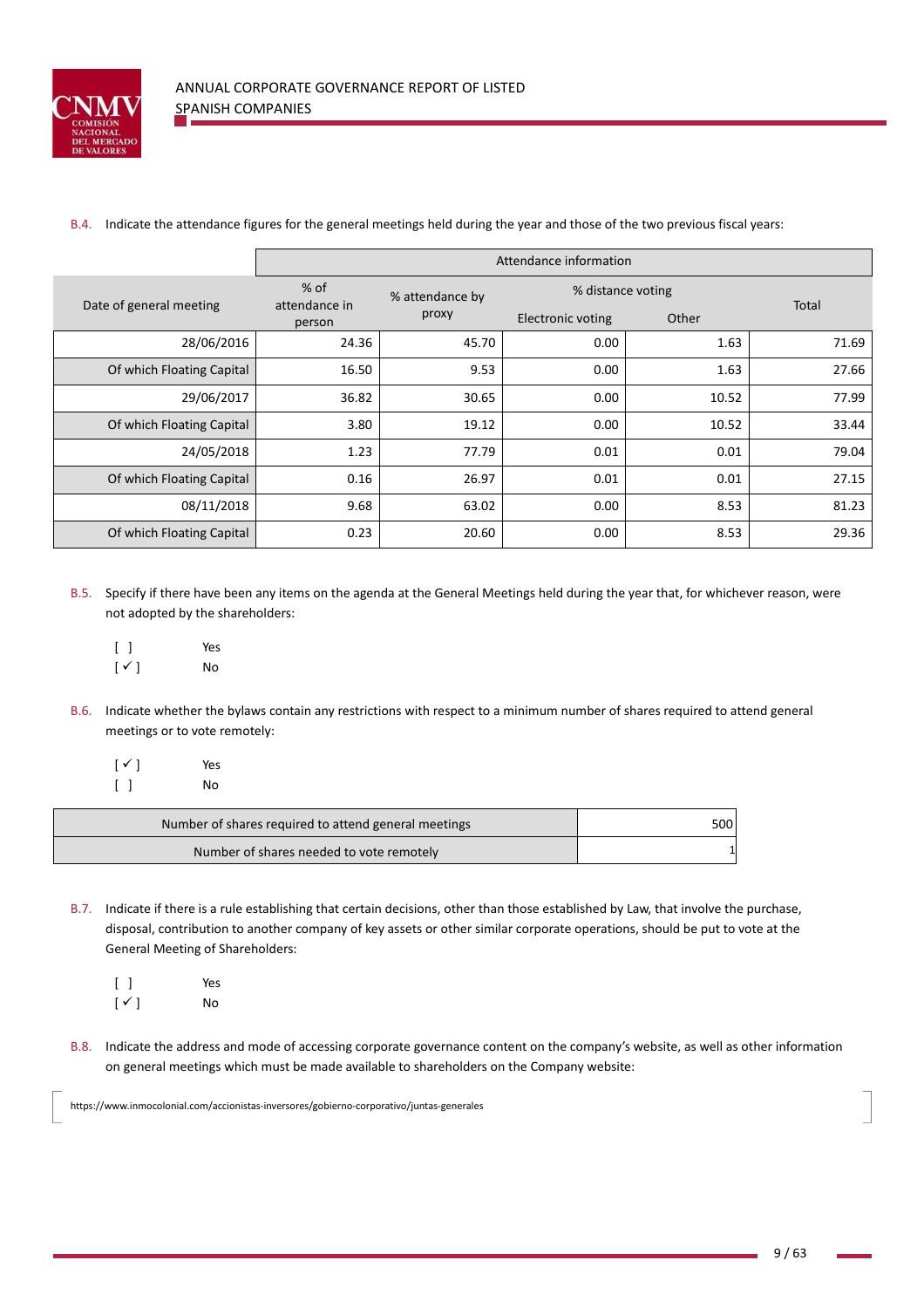

B.4. Indicate the attendance figures for the general meetings held during the year and those of the two previous fiscal years:

|                           | Attendance information            |                          |                                               |       |       |
|---------------------------|-----------------------------------|--------------------------|-----------------------------------------------|-------|-------|
| Date of general meeting   | $%$ of<br>attendance in<br>person | % attendance by<br>proxy | % distance voting<br><b>Electronic voting</b> | Other | Total |
| 28/06/2016                | 24.36                             | 45.70                    | 0.00                                          | 1.63  | 71.69 |
| Of which Floating Capital | 16.50                             | 9.53                     | 0.00                                          | 1.63  | 27.66 |
| 29/06/2017                | 36.82                             | 30.65                    | 0.00                                          | 10.52 | 77.99 |
| Of which Floating Capital | 3.80                              | 19.12                    | 0.00                                          | 10.52 | 33.44 |
| 24/05/2018                | 1.23                              | 77.79                    | 0.01                                          | 0.01  | 79.04 |
| Of which Floating Capital | 0.16                              | 26.97                    | 0.01                                          | 0.01  | 27.15 |
| 08/11/2018                | 9.68                              | 63.02                    | 0.00                                          | 8.53  | 81.23 |
| Of which Floating Capital | 0.23                              | 20.60                    | 0.00                                          | 8.53  | 29.36 |

- B.5. Specify if there have been any items on the agenda at the General Meetings held during the year that, for whichever reason, were not adopted by the shareholders:
	- [ ] Yes  $[\checkmark]$  No
- B.6. Indicate whether the bylaws contain any restrictions with respect to a minimum number of shares required to attend general meetings or to vote remotely:
	- $\lceil \checkmark \rceil$  Yes [ ] No

| Number of shares required to attend general meetings | 500 |
|------------------------------------------------------|-----|
| Number of shares needed to vote remotely             |     |

- B.7. Indicate if there is a rule establishing that certain decisions, other than those established by Law, that involve the purchase, disposal, contribution to another company of key assets or other similar corporate operations, should be put to vote at the General Meeting of Shareholders:
	- [ ] Yes  $\lceil \checkmark \rceil$  No
- B.8. Indicate the address and mode of accessing corporate governance content on the company's website, as well as other information on general meetings which must be made available to shareholders on the Company website:

https://www.inmocolonial.com/accionistas‐inversores/gobierno‐corporativo/juntas‐generales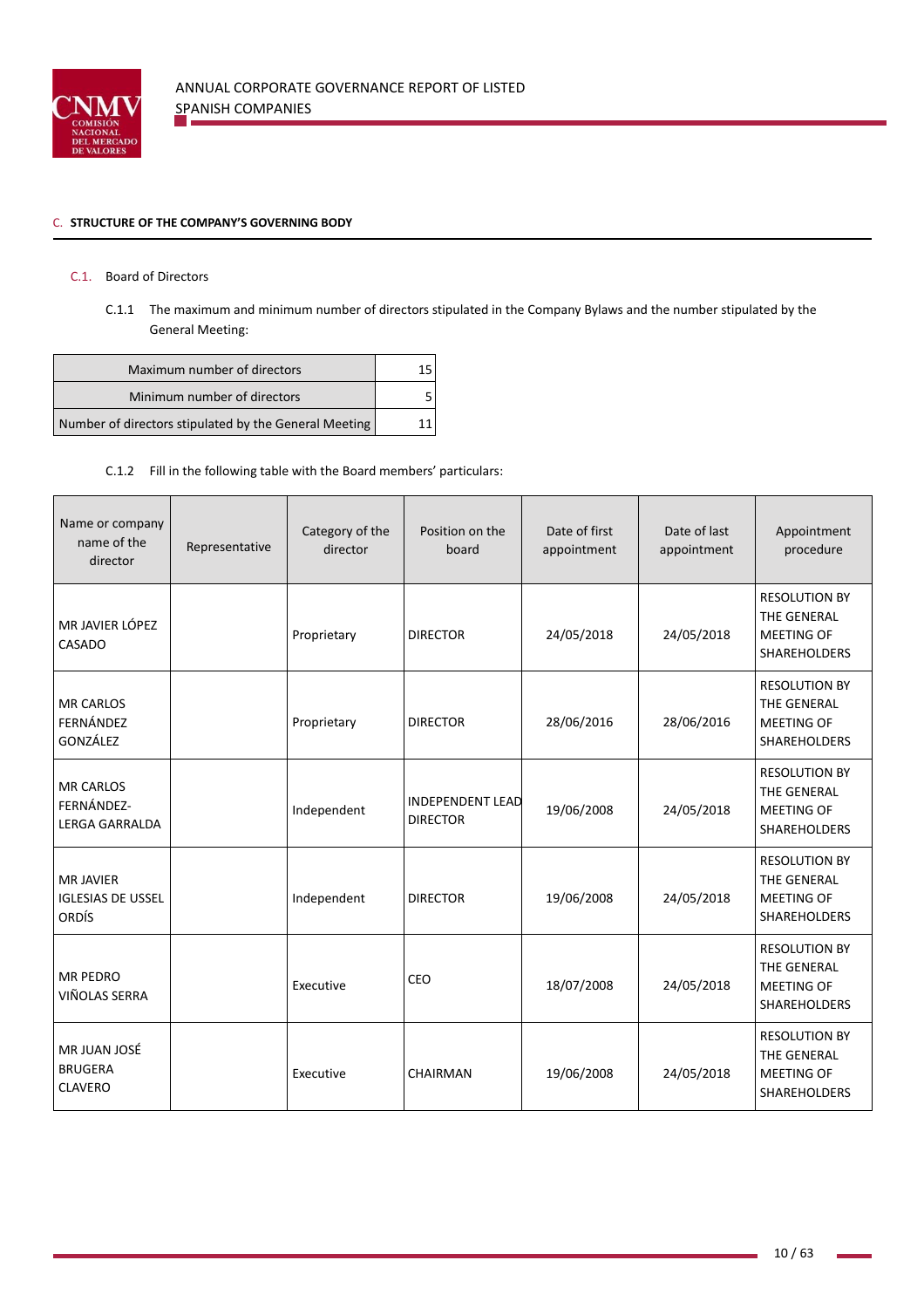

## C. **STRUCTURE OF THE COMPANY'S GOVERNING BODY**

# C.1. Board of Directors

C.1.1 The maximum and minimum number of directors stipulated in the Company Bylaws and the number stipulated by the General Meeting:

| Maximum number of directors                           |  |
|-------------------------------------------------------|--|
| Minimum number of directors                           |  |
| Number of directors stipulated by the General Meeting |  |

# C.1.2 Fill in the following table with the Board members' particulars:

| Name or company<br>name of the<br>director                   | Representative | Category of the<br>director | Position on the<br>board                   | Date of first<br>appointment | Date of last<br>appointment | Appointment<br>procedure                                                        |
|--------------------------------------------------------------|----------------|-----------------------------|--------------------------------------------|------------------------------|-----------------------------|---------------------------------------------------------------------------------|
| MR JAVIER LÓPEZ<br>CASADO                                    |                | Proprietary                 | <b>DIRECTOR</b>                            | 24/05/2018                   | 24/05/2018                  | <b>RESOLUTION BY</b><br>THE GENERAL<br><b>MEETING OF</b><br><b>SHAREHOLDERS</b> |
| <b>MR CARLOS</b><br>FERNÁNDEZ<br>GONZÁLEZ                    |                | Proprietary                 | <b>DIRECTOR</b>                            | 28/06/2016                   | 28/06/2016                  | <b>RESOLUTION BY</b><br>THE GENERAL<br><b>MEETING OF</b><br><b>SHAREHOLDERS</b> |
| <b>MR CARLOS</b><br>FERNÁNDEZ-<br><b>LERGA GARRALDA</b>      |                | Independent                 | <b>INDEPENDENT LEAD</b><br><b>DIRECTOR</b> | 19/06/2008                   | 24/05/2018                  | <b>RESOLUTION BY</b><br>THE GENERAL<br><b>MEETING OF</b><br><b>SHAREHOLDERS</b> |
| <b>MR JAVIER</b><br><b>IGLESIAS DE USSEL</b><br><b>ORDÍS</b> |                | Independent                 | <b>DIRECTOR</b>                            | 19/06/2008                   | 24/05/2018                  | <b>RESOLUTION BY</b><br>THE GENERAL<br><b>MEETING OF</b><br>SHAREHOLDERS        |
| <b>MR PEDRO</b><br>VIÑOLAS SERRA                             |                | Executive                   | CEO                                        | 18/07/2008                   | 24/05/2018                  | <b>RESOLUTION BY</b><br>THE GENERAL<br><b>MEETING OF</b><br><b>SHAREHOLDERS</b> |
| MR JUAN JOSÉ<br><b>BRUGERA</b><br><b>CLAVERO</b>             |                | Executive                   | CHAIRMAN                                   | 19/06/2008                   | 24/05/2018                  | <b>RESOLUTION BY</b><br>THE GENERAL<br><b>MEETING OF</b><br><b>SHAREHOLDERS</b> |

×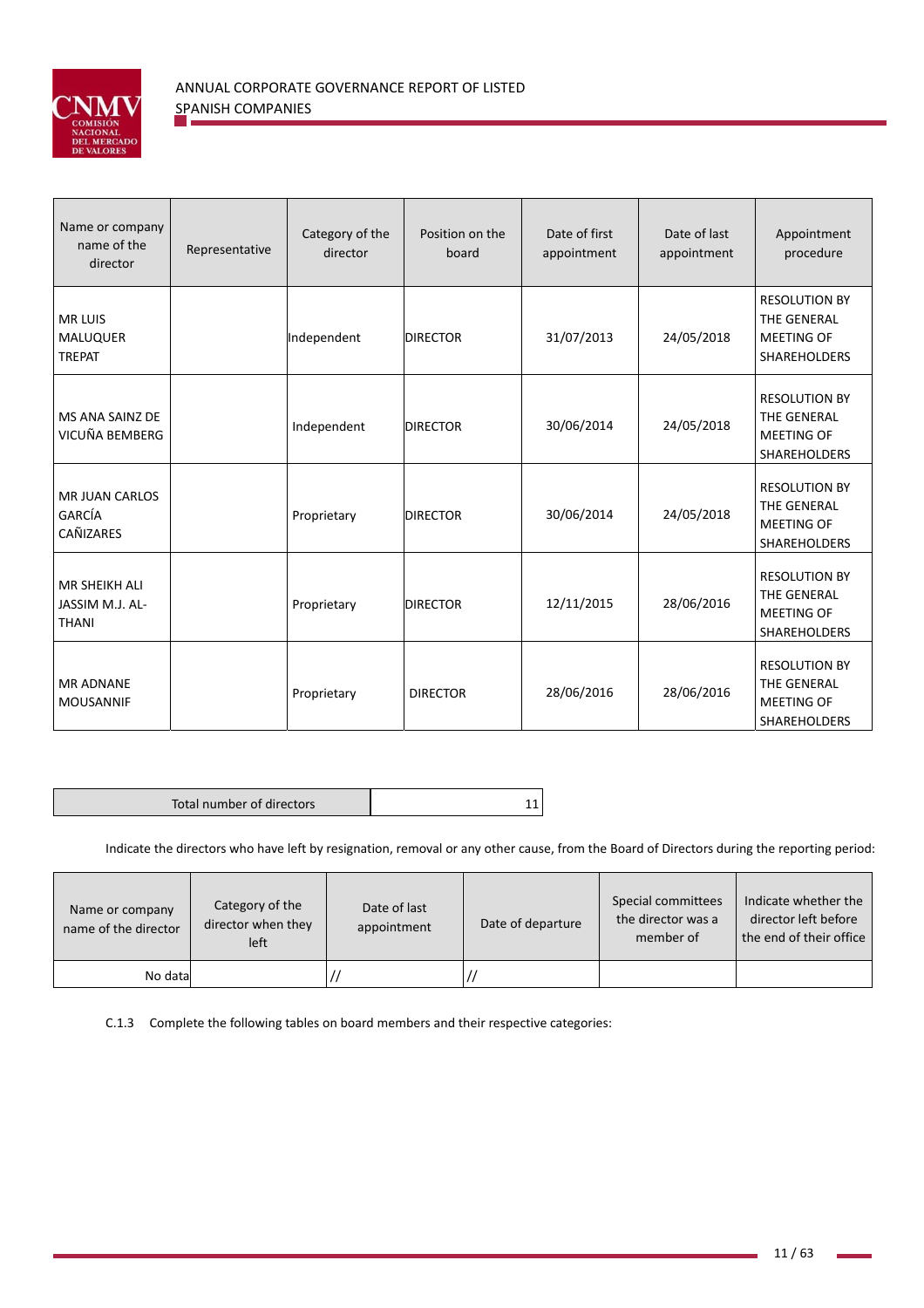

| Name or company<br>name of the<br>director              | Representative | Category of the<br>director | Position on the<br>board | Date of first<br>appointment | Date of last<br>appointment | Appointment<br>procedure                                                        |
|---------------------------------------------------------|----------------|-----------------------------|--------------------------|------------------------------|-----------------------------|---------------------------------------------------------------------------------|
| <b>MR LUIS</b><br><b>MALUQUER</b><br><b>TREPAT</b>      |                | Independent                 | <b>DIRECTOR</b>          | 31/07/2013                   | 24/05/2018                  | <b>RESOLUTION BY</b><br>THE GENERAL<br><b>MEETING OF</b><br>SHAREHOLDERS        |
| MS ANA SAINZ DE<br>VICUÑA BEMBERG                       |                | Independent                 | <b>DIRECTOR</b>          | 30/06/2014                   | 24/05/2018                  | <b>RESOLUTION BY</b><br>THE GENERAL<br><b>MEETING OF</b><br><b>SHAREHOLDERS</b> |
| <b>MR JUAN CARLOS</b><br>GARCÍA<br>CAÑIZARES            |                | Proprietary                 | <b>DIRECTOR</b>          | 30/06/2014                   | 24/05/2018                  | <b>RESOLUTION BY</b><br>THE GENERAL<br><b>MEETING OF</b><br><b>SHAREHOLDERS</b> |
| <b>MR SHEIKH ALI</b><br>JASSIM M.J. AL-<br><b>THANI</b> |                | Proprietary                 | <b>DIRECTOR</b>          | 12/11/2015                   | 28/06/2016                  | <b>RESOLUTION BY</b><br>THE GENERAL<br><b>MEETING OF</b><br>SHAREHOLDERS        |
| <b>MR ADNANE</b><br><b>MOUSANNIF</b>                    |                | Proprietary                 | <b>DIRECTOR</b>          | 28/06/2016                   | 28/06/2016                  | <b>RESOLUTION BY</b><br>THE GENERAL<br>MEETING OF<br>SHAREHOLDERS               |

|--|

Indicate the directors who have left by resignation, removal or any other cause, from the Board of Directors during the reporting period:

| Name or company<br>name of the director | Category of the<br>director when they<br>left | Date of last<br>appointment | Date of departure | Special committees<br>the director was a<br>member of | Indicate whether the<br>director left before<br>the end of their office |
|-----------------------------------------|-----------------------------------------------|-----------------------------|-------------------|-------------------------------------------------------|-------------------------------------------------------------------------|
| No data                                 |                                               |                             |                   |                                                       |                                                                         |

C.1.3 Complete the following tables on board members and their respective categories: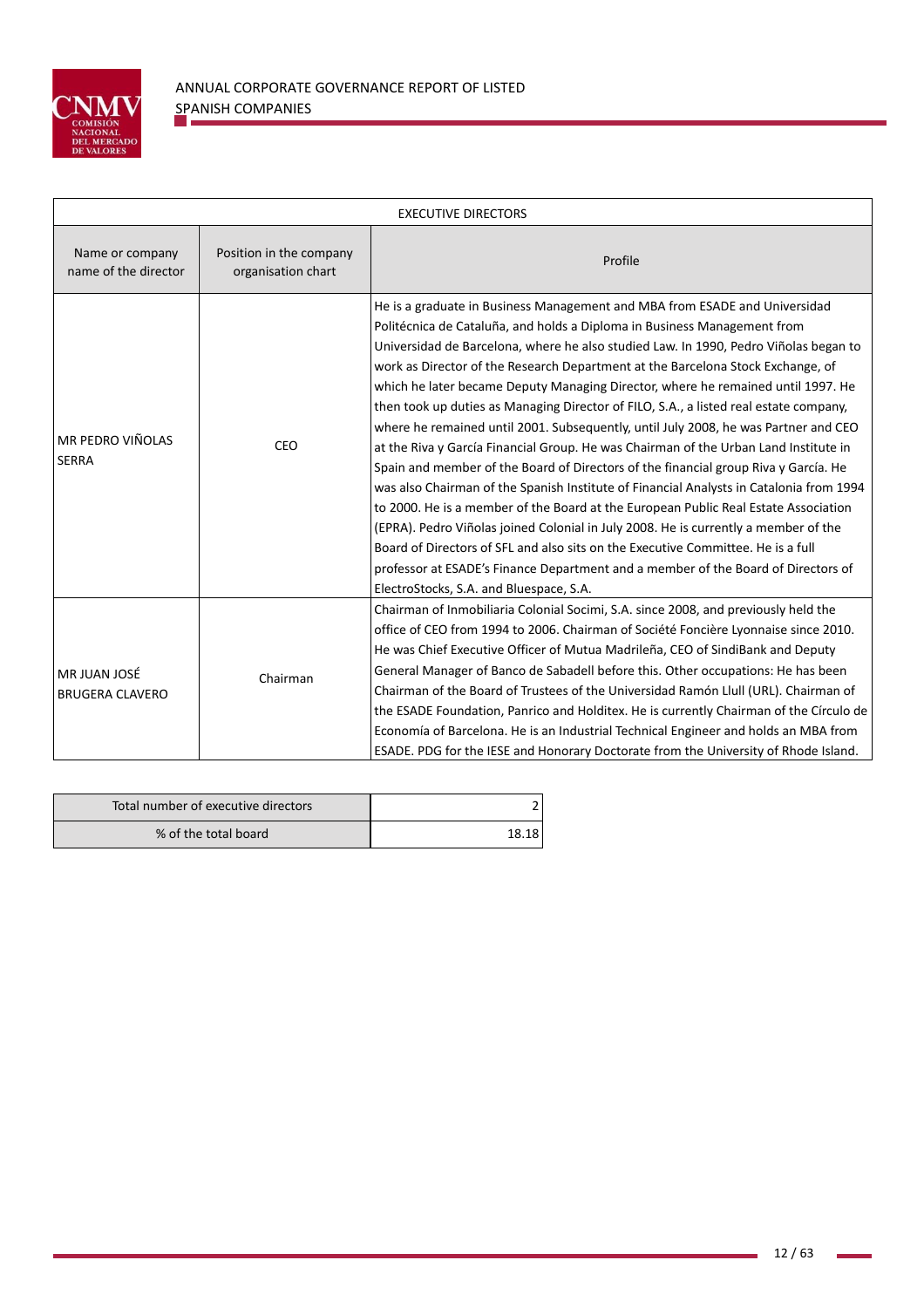

| <b>EXECUTIVE DIRECTORS</b>                                                               |          |                                                                                                                                                                                                                                                                                                                                                                                                                                                                                                                                                                                                                                                                                                                                                                                                                                                                                                                                                                                                                                                                                                                                                                                                                                                                                   |  |  |
|------------------------------------------------------------------------------------------|----------|-----------------------------------------------------------------------------------------------------------------------------------------------------------------------------------------------------------------------------------------------------------------------------------------------------------------------------------------------------------------------------------------------------------------------------------------------------------------------------------------------------------------------------------------------------------------------------------------------------------------------------------------------------------------------------------------------------------------------------------------------------------------------------------------------------------------------------------------------------------------------------------------------------------------------------------------------------------------------------------------------------------------------------------------------------------------------------------------------------------------------------------------------------------------------------------------------------------------------------------------------------------------------------------|--|--|
| Name or company<br>Position in the company<br>name of the director<br>organisation chart |          | Profile                                                                                                                                                                                                                                                                                                                                                                                                                                                                                                                                                                                                                                                                                                                                                                                                                                                                                                                                                                                                                                                                                                                                                                                                                                                                           |  |  |
| MR PEDRO VIÑOLAS<br><b>SERRA</b>                                                         | CEO      | He is a graduate in Business Management and MBA from ESADE and Universidad<br>Politécnica de Cataluña, and holds a Diploma in Business Management from<br>Universidad de Barcelona, where he also studied Law. In 1990, Pedro Viñolas began to<br>work as Director of the Research Department at the Barcelona Stock Exchange, of<br>which he later became Deputy Managing Director, where he remained until 1997. He<br>then took up duties as Managing Director of FILO, S.A., a listed real estate company,<br>where he remained until 2001. Subsequently, until July 2008, he was Partner and CEO<br>at the Riva y García Financial Group. He was Chairman of the Urban Land Institute in<br>Spain and member of the Board of Directors of the financial group Riva y García. He<br>was also Chairman of the Spanish Institute of Financial Analysts in Catalonia from 1994<br>to 2000. He is a member of the Board at the European Public Real Estate Association<br>(EPRA). Pedro Viñolas joined Colonial in July 2008. He is currently a member of the<br>Board of Directors of SFL and also sits on the Executive Committee. He is a full<br>professor at ESADE's Finance Department and a member of the Board of Directors of<br>ElectroStocks, S.A. and Bluespace, S.A. |  |  |
| MR JUAN JOSÉ<br><b>BRUGERA CLAVERO</b>                                                   | Chairman | Chairman of Inmobiliaria Colonial Socimi, S.A. since 2008, and previously held the<br>office of CEO from 1994 to 2006. Chairman of Société Foncière Lyonnaise since 2010.<br>He was Chief Executive Officer of Mutua Madrileña, CEO of SindiBank and Deputy<br>General Manager of Banco de Sabadell before this. Other occupations: He has been<br>Chairman of the Board of Trustees of the Universidad Ramón Llull (URL). Chairman of<br>the ESADE Foundation, Panrico and Holditex. He is currently Chairman of the Círculo de<br>Economía of Barcelona. He is an Industrial Technical Engineer and holds an MBA from<br>ESADE. PDG for the IESE and Honorary Doctorate from the University of Rhode Island.                                                                                                                                                                                                                                                                                                                                                                                                                                                                                                                                                                    |  |  |

| Total number of executive directors |       |
|-------------------------------------|-------|
| % of the total board                | 18.18 |

i.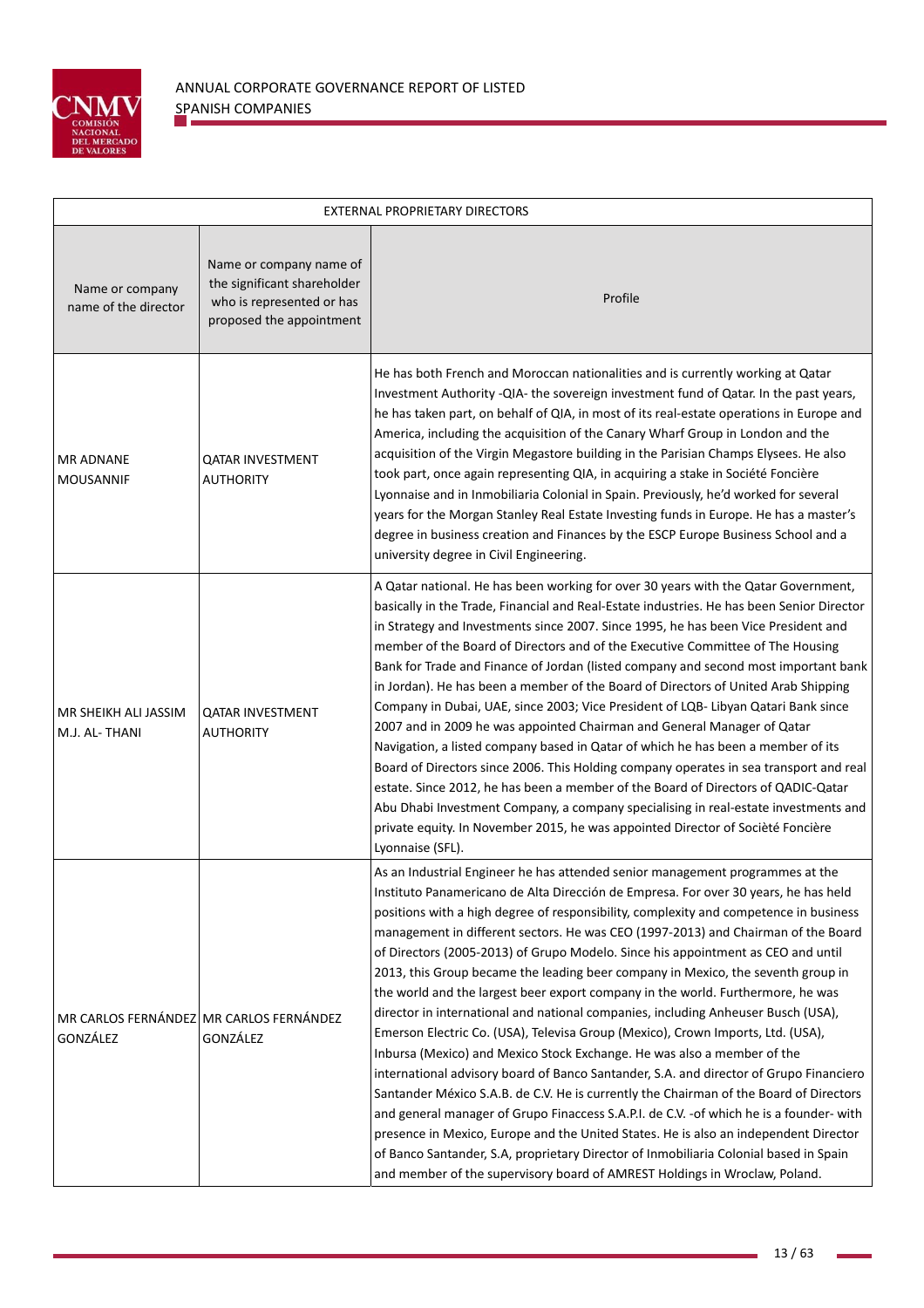

| EXTERNAL PROPRIETARY DIRECTORS          |                                                                                                                 |                                                                                                                                                                                                                                                                                                                                                                                                                                                                                                                                                                                                                                                                                                                                                                                                                                                                                                                                                                                                                                                                                                                                                                                                                                                                                                                                                                                                                 |  |  |  |
|-----------------------------------------|-----------------------------------------------------------------------------------------------------------------|-----------------------------------------------------------------------------------------------------------------------------------------------------------------------------------------------------------------------------------------------------------------------------------------------------------------------------------------------------------------------------------------------------------------------------------------------------------------------------------------------------------------------------------------------------------------------------------------------------------------------------------------------------------------------------------------------------------------------------------------------------------------------------------------------------------------------------------------------------------------------------------------------------------------------------------------------------------------------------------------------------------------------------------------------------------------------------------------------------------------------------------------------------------------------------------------------------------------------------------------------------------------------------------------------------------------------------------------------------------------------------------------------------------------|--|--|--|
| Name or company<br>name of the director | Name or company name of<br>the significant shareholder<br>who is represented or has<br>proposed the appointment | Profile                                                                                                                                                                                                                                                                                                                                                                                                                                                                                                                                                                                                                                                                                                                                                                                                                                                                                                                                                                                                                                                                                                                                                                                                                                                                                                                                                                                                         |  |  |  |
| <b>MR ADNANE</b><br><b>MOUSANNIF</b>    | QATAR INVESTMENT<br><b>AUTHORITY</b>                                                                            | He has both French and Moroccan nationalities and is currently working at Qatar<br>Investment Authority -QIA- the sovereign investment fund of Qatar. In the past years,<br>he has taken part, on behalf of QIA, in most of its real-estate operations in Europe and<br>America, including the acquisition of the Canary Wharf Group in London and the<br>acquisition of the Virgin Megastore building in the Parisian Champs Elysees. He also<br>took part, once again representing QIA, in acquiring a stake in Société Foncière<br>Lyonnaise and in Inmobiliaria Colonial in Spain. Previously, he'd worked for several<br>years for the Morgan Stanley Real Estate Investing funds in Europe. He has a master's<br>degree in business creation and Finances by the ESCP Europe Business School and a<br>university degree in Civil Engineering.                                                                                                                                                                                                                                                                                                                                                                                                                                                                                                                                                             |  |  |  |
| MR SHEIKH ALI JASSIM<br>M.J. AL-THANI   | <b>OATAR INVESTMENT</b><br><b>AUTHORITY</b>                                                                     | A Qatar national. He has been working for over 30 years with the Qatar Government,<br>basically in the Trade, Financial and Real-Estate industries. He has been Senior Director<br>in Strategy and Investments since 2007. Since 1995, he has been Vice President and<br>member of the Board of Directors and of the Executive Committee of The Housing<br>Bank for Trade and Finance of Jordan (listed company and second most important bank<br>in Jordan). He has been a member of the Board of Directors of United Arab Shipping<br>Company in Dubai, UAE, since 2003; Vice President of LQB- Libyan Qatari Bank since<br>2007 and in 2009 he was appointed Chairman and General Manager of Qatar<br>Navigation, a listed company based in Qatar of which he has been a member of its<br>Board of Directors since 2006. This Holding company operates in sea transport and real<br>estate. Since 2012, he has been a member of the Board of Directors of QADIC-Qatar<br>Abu Dhabi Investment Company, a company specialising in real-estate investments and<br>private equity. In November 2015, he was appointed Director of Socièté Foncière<br>Lyonnaise (SFL).                                                                                                                                                                                                                                          |  |  |  |
| GONZÁLEZ                                | MR CARLOS FERNÁNDEZ MR CARLOS FERNÁNDEZ<br>GONZÁLEZ                                                             | As an Industrial Engineer he has attended senior management programmes at the<br>Instituto Panamericano de Alta Dirección de Empresa. For over 30 years, he has held<br>positions with a high degree of responsibility, complexity and competence in business<br>management in different sectors. He was CEO (1997-2013) and Chairman of the Board<br>of Directors (2005-2013) of Grupo Modelo. Since his appointment as CEO and until<br>2013, this Group became the leading beer company in Mexico, the seventh group in<br>the world and the largest beer export company in the world. Furthermore, he was<br>director in international and national companies, including Anheuser Busch (USA),<br>Emerson Electric Co. (USA), Televisa Group (Mexico), Crown Imports, Ltd. (USA),<br>Inbursa (Mexico) and Mexico Stock Exchange. He was also a member of the<br>international advisory board of Banco Santander, S.A. and director of Grupo Financiero<br>Santander México S.A.B. de C.V. He is currently the Chairman of the Board of Directors<br>and general manager of Grupo Finaccess S.A.P.I. de C.V. - of which he is a founder- with<br>presence in Mexico, Europe and the United States. He is also an independent Director<br>of Banco Santander, S.A, proprietary Director of Inmobiliaria Colonial based in Spain<br>and member of the supervisory board of AMREST Holdings in Wroclaw, Poland. |  |  |  |

i.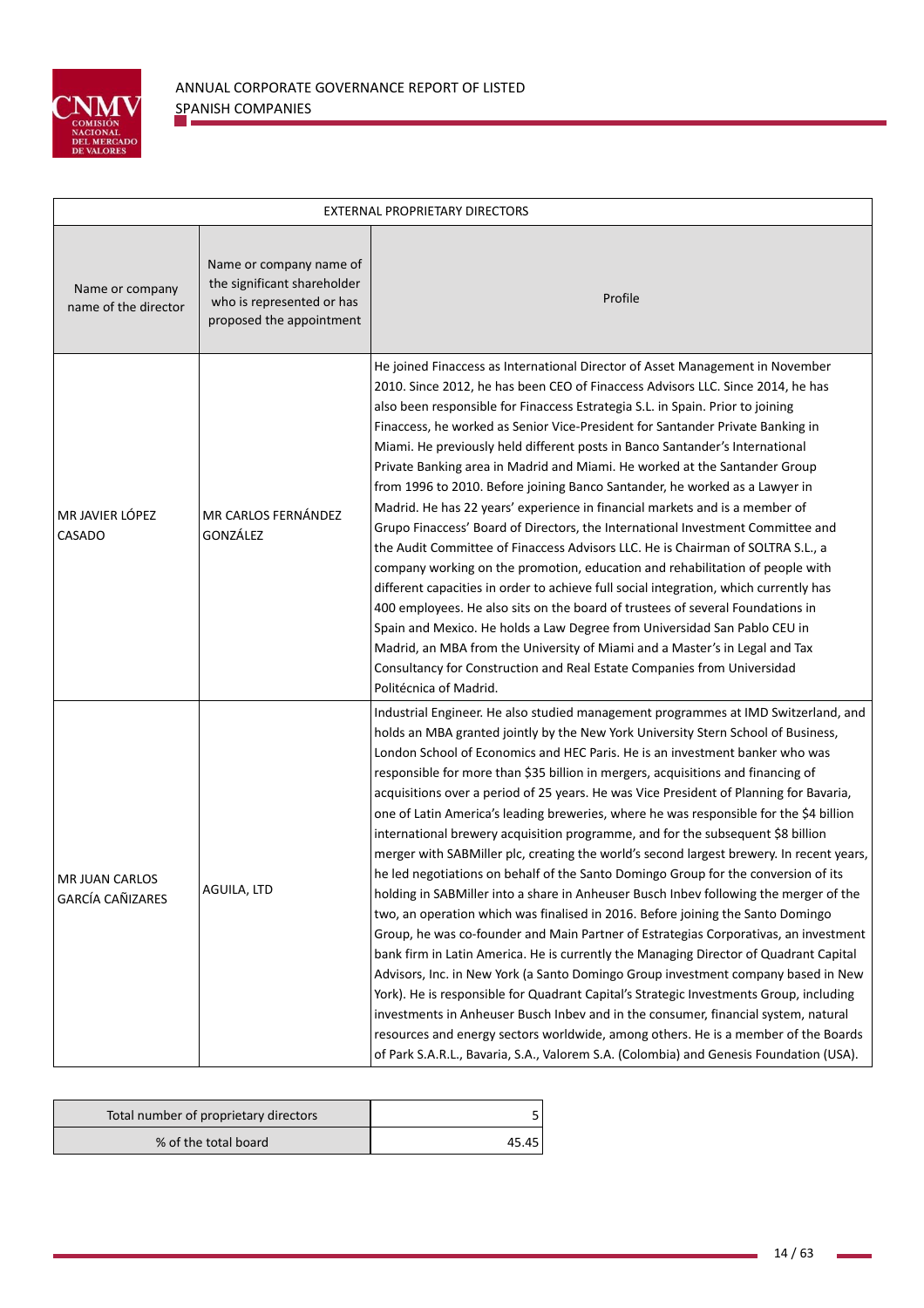

| EXTERNAL PROPRIETARY DIRECTORS            |                                                                                                                 |                                                                                                                                                                                                                                                                                                                                                                                                                                                                                                                                                                                                                                                                                                                                                                                                                                                                                                                                                                                                                                                                                                                                                                                                                                                                                                                                                                                                                                                                                                                                                                                                                        |  |  |  |
|-------------------------------------------|-----------------------------------------------------------------------------------------------------------------|------------------------------------------------------------------------------------------------------------------------------------------------------------------------------------------------------------------------------------------------------------------------------------------------------------------------------------------------------------------------------------------------------------------------------------------------------------------------------------------------------------------------------------------------------------------------------------------------------------------------------------------------------------------------------------------------------------------------------------------------------------------------------------------------------------------------------------------------------------------------------------------------------------------------------------------------------------------------------------------------------------------------------------------------------------------------------------------------------------------------------------------------------------------------------------------------------------------------------------------------------------------------------------------------------------------------------------------------------------------------------------------------------------------------------------------------------------------------------------------------------------------------------------------------------------------------------------------------------------------------|--|--|--|
| Name or company<br>name of the director   | Name or company name of<br>the significant shareholder<br>who is represented or has<br>proposed the appointment | Profile                                                                                                                                                                                                                                                                                                                                                                                                                                                                                                                                                                                                                                                                                                                                                                                                                                                                                                                                                                                                                                                                                                                                                                                                                                                                                                                                                                                                                                                                                                                                                                                                                |  |  |  |
| MR JAVIER LÓPEZ<br>CASADO                 | MR CARLOS FERNÁNDEZ<br>GONZÁLEZ                                                                                 | He joined Finaccess as International Director of Asset Management in November<br>2010. Since 2012, he has been CEO of Finaccess Advisors LLC. Since 2014, he has<br>also been responsible for Finaccess Estrategia S.L. in Spain. Prior to joining<br>Finaccess, he worked as Senior Vice-President for Santander Private Banking in<br>Miami. He previously held different posts in Banco Santander's International<br>Private Banking area in Madrid and Miami. He worked at the Santander Group<br>from 1996 to 2010. Before joining Banco Santander, he worked as a Lawyer in<br>Madrid. He has 22 years' experience in financial markets and is a member of<br>Grupo Finaccess' Board of Directors, the International Investment Committee and<br>the Audit Committee of Finaccess Advisors LLC. He is Chairman of SOLTRA S.L., a<br>company working on the promotion, education and rehabilitation of people with<br>different capacities in order to achieve full social integration, which currently has<br>400 employees. He also sits on the board of trustees of several Foundations in<br>Spain and Mexico. He holds a Law Degree from Universidad San Pablo CEU in<br>Madrid, an MBA from the University of Miami and a Master's in Legal and Tax<br>Consultancy for Construction and Real Estate Companies from Universidad<br>Politécnica of Madrid.                                                                                                                                                                                                                                                    |  |  |  |
| <b>MR JUAN CARLOS</b><br>GARCÍA CAÑIZARES | AGUILA, LTD                                                                                                     | Industrial Engineer. He also studied management programmes at IMD Switzerland, and<br>holds an MBA granted jointly by the New York University Stern School of Business,<br>London School of Economics and HEC Paris. He is an investment banker who was<br>responsible for more than \$35 billion in mergers, acquisitions and financing of<br>acquisitions over a period of 25 years. He was Vice President of Planning for Bavaria,<br>one of Latin America's leading breweries, where he was responsible for the \$4 billion<br>international brewery acquisition programme, and for the subsequent \$8 billion<br>merger with SABMiller plc, creating the world's second largest brewery. In recent years,<br>he led negotiations on behalf of the Santo Domingo Group for the conversion of its<br>holding in SABMiller into a share in Anheuser Busch Inbev following the merger of the<br>two, an operation which was finalised in 2016. Before joining the Santo Domingo<br>Group, he was co-founder and Main Partner of Estrategias Corporativas, an investment<br>bank firm in Latin America. He is currently the Managing Director of Quadrant Capital<br>Advisors, Inc. in New York (a Santo Domingo Group investment company based in New<br>York). He is responsible for Quadrant Capital's Strategic Investments Group, including<br>investments in Anheuser Busch Inbev and in the consumer, financial system, natural<br>resources and energy sectors worldwide, among others. He is a member of the Boards<br>of Park S.A.R.L., Bavaria, S.A., Valorem S.A. (Colombia) and Genesis Foundation (USA). |  |  |  |

| Total number of proprietary directors |       |
|---------------------------------------|-------|
| % of the total board                  | 45.45 |

ŧ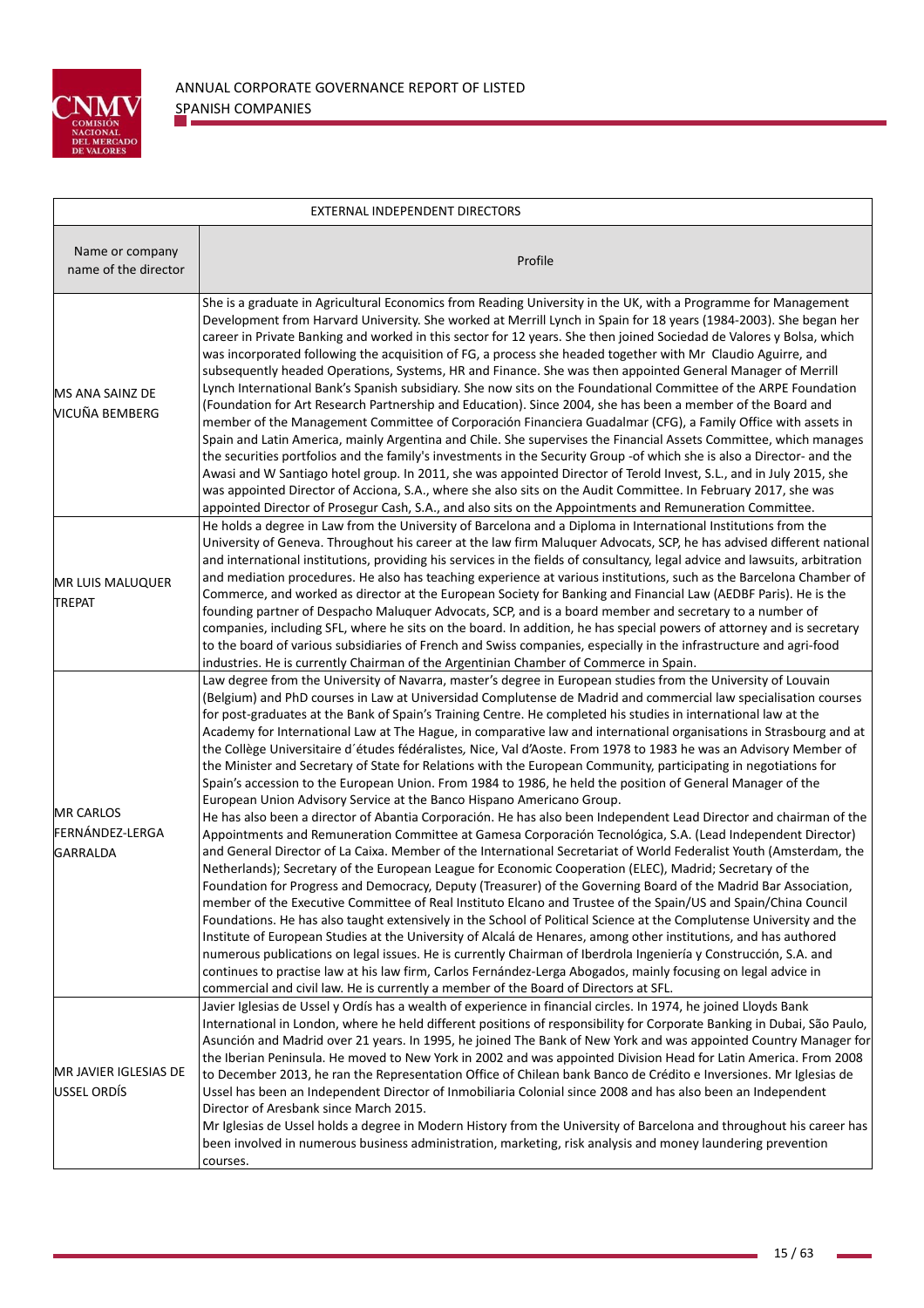

| EXTERNAL INDEPENDENT DIRECTORS                         |                                                                                                                                                                                                                                                                                                                                                                                                                                                                                                                                                                                                                                                                                                                                                                                                                                                                                                                                                                                                                                                                                                                                                                                                                                                                                                                                                                                                                                                                                                                                                                                                                                                                                                                                                                                                                                                                                                                                                                                                                                                                                                                                                                                                    |  |  |  |  |
|--------------------------------------------------------|----------------------------------------------------------------------------------------------------------------------------------------------------------------------------------------------------------------------------------------------------------------------------------------------------------------------------------------------------------------------------------------------------------------------------------------------------------------------------------------------------------------------------------------------------------------------------------------------------------------------------------------------------------------------------------------------------------------------------------------------------------------------------------------------------------------------------------------------------------------------------------------------------------------------------------------------------------------------------------------------------------------------------------------------------------------------------------------------------------------------------------------------------------------------------------------------------------------------------------------------------------------------------------------------------------------------------------------------------------------------------------------------------------------------------------------------------------------------------------------------------------------------------------------------------------------------------------------------------------------------------------------------------------------------------------------------------------------------------------------------------------------------------------------------------------------------------------------------------------------------------------------------------------------------------------------------------------------------------------------------------------------------------------------------------------------------------------------------------------------------------------------------------------------------------------------------------|--|--|--|--|
| Name or company<br>name of the director                | Profile                                                                                                                                                                                                                                                                                                                                                                                                                                                                                                                                                                                                                                                                                                                                                                                                                                                                                                                                                                                                                                                                                                                                                                                                                                                                                                                                                                                                                                                                                                                                                                                                                                                                                                                                                                                                                                                                                                                                                                                                                                                                                                                                                                                            |  |  |  |  |
| MS ANA SAINZ DE<br><b>VICUÑA BEMBERG</b>               | She is a graduate in Agricultural Economics from Reading University in the UK, with a Programme for Management<br>Development from Harvard University. She worked at Merrill Lynch in Spain for 18 years (1984-2003). She began her<br>career in Private Banking and worked in this sector for 12 years. She then joined Sociedad de Valores y Bolsa, which<br>was incorporated following the acquisition of FG, a process she headed together with Mr Claudio Aguirre, and<br>subsequently headed Operations, Systems, HR and Finance. She was then appointed General Manager of Merrill<br>Lynch International Bank's Spanish subsidiary. She now sits on the Foundational Committee of the ARPE Foundation<br>(Foundation for Art Research Partnership and Education). Since 2004, she has been a member of the Board and<br>member of the Management Committee of Corporación Financiera Guadalmar (CFG), a Family Office with assets in<br>Spain and Latin America, mainly Argentina and Chile. She supervises the Financial Assets Committee, which manages<br>the securities portfolios and the family's investments in the Security Group -of which she is also a Director- and the<br>Awasi and W Santiago hotel group. In 2011, she was appointed Director of Terold Invest, S.L., and in July 2015, she<br>was appointed Director of Acciona, S.A., where she also sits on the Audit Committee. In February 2017, she was<br>appointed Director of Prosegur Cash, S.A., and also sits on the Appointments and Remuneration Committee.                                                                                                                                                                                                                                                                                                                                                                                                                                                                                                                                                                                                                                                   |  |  |  |  |
| <b>MR LUIS MALUQUER</b><br><b>TREPAT</b>               | He holds a degree in Law from the University of Barcelona and a Diploma in International Institutions from the<br>University of Geneva. Throughout his career at the law firm Maluquer Advocats, SCP, he has advised different national<br>and international institutions, providing his services in the fields of consultancy, legal advice and lawsuits, arbitration<br>and mediation procedures. He also has teaching experience at various institutions, such as the Barcelona Chamber of<br>Commerce, and worked as director at the European Society for Banking and Financial Law (AEDBF Paris). He is the<br>founding partner of Despacho Maluquer Advocats, SCP, and is a board member and secretary to a number of<br>companies, including SFL, where he sits on the board. In addition, he has special powers of attorney and is secretary<br>to the board of various subsidiaries of French and Swiss companies, especially in the infrastructure and agri-food<br>industries. He is currently Chairman of the Argentinian Chamber of Commerce in Spain.                                                                                                                                                                                                                                                                                                                                                                                                                                                                                                                                                                                                                                                                                                                                                                                                                                                                                                                                                                                                                                                                                                                                |  |  |  |  |
| <b>MR CARLOS</b><br>FERNÁNDEZ-LERGA<br><b>GARRALDA</b> | Law degree from the University of Navarra, master's degree in European studies from the University of Louvain<br>(Belgium) and PhD courses in Law at Universidad Complutense de Madrid and commercial law specialisation courses<br>for post-graduates at the Bank of Spain's Training Centre. He completed his studies in international law at the<br>Academy for International Law at The Hague, in comparative law and international organisations in Strasbourg and at<br>the Collège Universitaire d'études fédéralistes, Nice, Val d'Aoste. From 1978 to 1983 he was an Advisory Member of<br>the Minister and Secretary of State for Relations with the European Community, participating in negotiations for<br>Spain's accession to the European Union. From 1984 to 1986, he held the position of General Manager of the<br>European Union Advisory Service at the Banco Hispano Americano Group.<br>He has also been a director of Abantia Corporación. He has also been Independent Lead Director and chairman of the<br>Appointments and Remuneration Committee at Gamesa Corporación Tecnológica, S.A. (Lead Independent Director)<br>and General Director of La Caixa. Member of the International Secretariat of World Federalist Youth (Amsterdam, the<br>Netherlands); Secretary of the European League for Economic Cooperation (ELEC), Madrid; Secretary of the<br>Foundation for Progress and Democracy, Deputy (Treasurer) of the Governing Board of the Madrid Bar Association,<br>member of the Executive Committee of Real Instituto Elcano and Trustee of the Spain/US and Spain/China Council<br>Foundations. He has also taught extensively in the School of Political Science at the Complutense University and the<br>Institute of European Studies at the University of Alcalá de Henares, among other institutions, and has authored<br>numerous publications on legal issues. He is currently Chairman of Iberdrola Ingeniería y Construcción, S.A. and<br>continues to practise law at his law firm, Carlos Fernández-Lerga Abogados, mainly focusing on legal advice in<br>commercial and civil law. He is currently a member of the Board of Directors at SFL. |  |  |  |  |
| MR JAVIER IGLESIAS DE<br>USSEL ORDÍS                   | Javier Iglesias de Ussel y Ordís has a wealth of experience in financial circles. In 1974, he joined Lloyds Bank<br>International in London, where he held different positions of responsibility for Corporate Banking in Dubai, São Paulo,<br>Asunción and Madrid over 21 years. In 1995, he joined The Bank of New York and was appointed Country Manager for<br>the Iberian Peninsula. He moved to New York in 2002 and was appointed Division Head for Latin America. From 2008<br>to December 2013, he ran the Representation Office of Chilean bank Banco de Crédito e Inversiones. Mr Iglesias de<br>Ussel has been an Independent Director of Inmobiliaria Colonial since 2008 and has also been an Independent<br>Director of Aresbank since March 2015.<br>Mr Iglesias de Ussel holds a degree in Modern History from the University of Barcelona and throughout his career has<br>been involved in numerous business administration, marketing, risk analysis and money laundering prevention<br>courses.                                                                                                                                                                                                                                                                                                                                                                                                                                                                                                                                                                                                                                                                                                                                                                                                                                                                                                                                                                                                                                                                                                                                                                               |  |  |  |  |

i.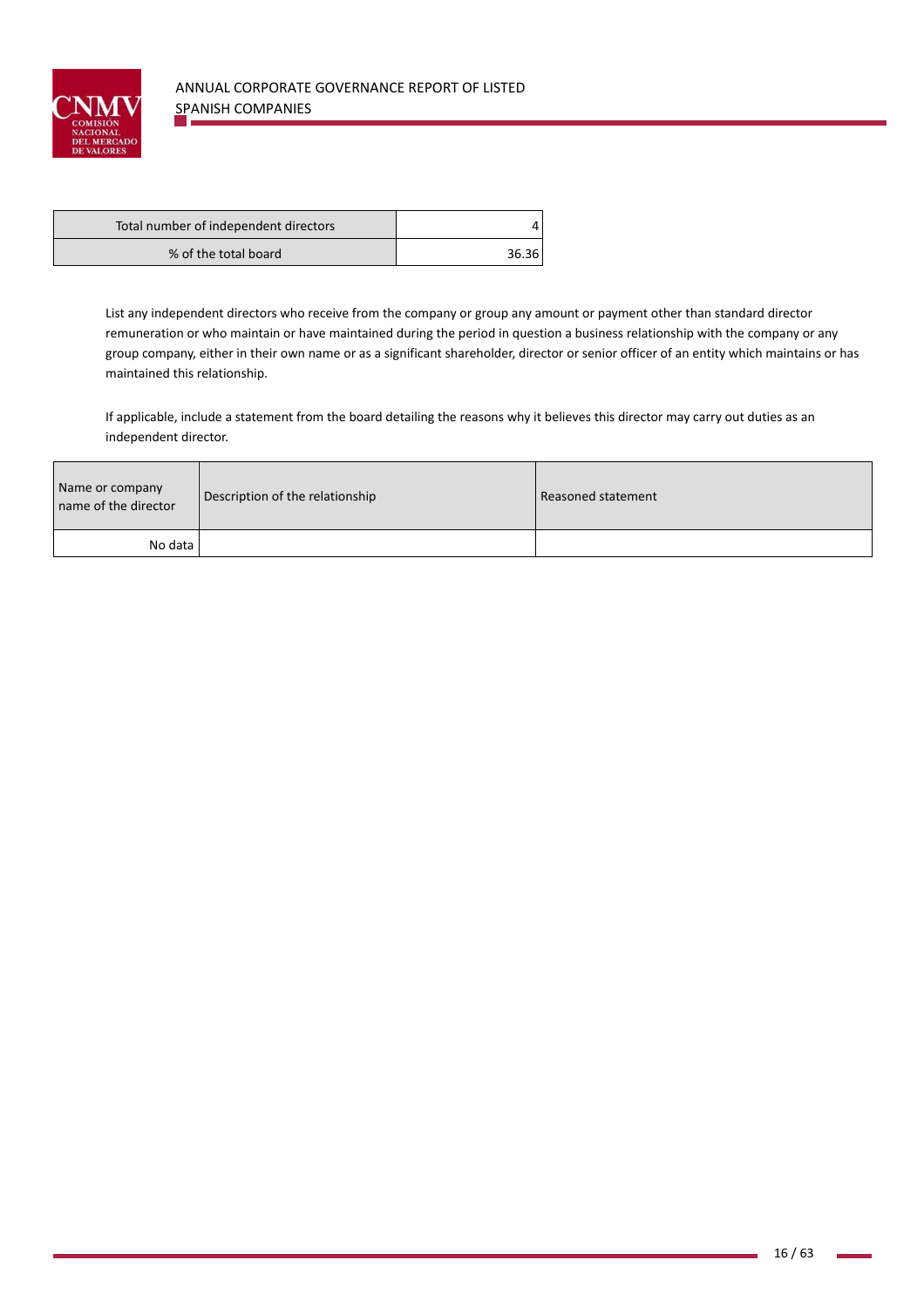

| Total number of independent directors |       |
|---------------------------------------|-------|
| % of the total board                  | 36.36 |

List any independent directors who receive from the company or group any amount or payment other than standard director remuneration or who maintain or have maintained during the period in question a business relationship with the company or any group company, either in their own name or as a significant shareholder, director or senior officer of an entity which maintains or has maintained this relationship.

If applicable, include a statement from the board detailing the reasons why it believes this director may carry out duties as an independent director.

| Name or company<br>name of the director | Description of the relationship | Reasoned statement |
|-----------------------------------------|---------------------------------|--------------------|
| No data l                               |                                 |                    |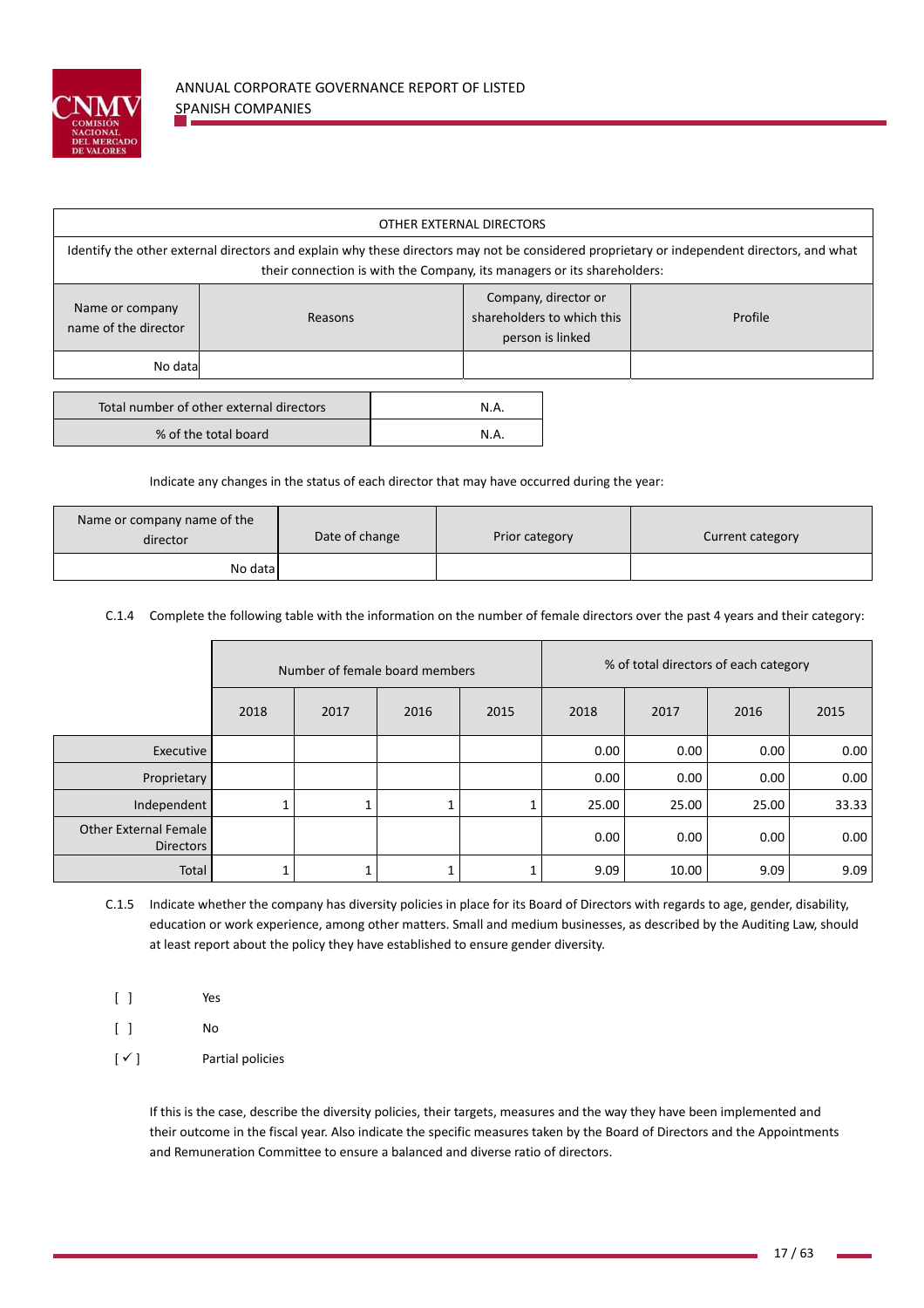

| OTHER EXTERNAL DIRECTORS                                                                                                                                                                                              |  |                                                                        |  |         |  |  |  |
|-----------------------------------------------------------------------------------------------------------------------------------------------------------------------------------------------------------------------|--|------------------------------------------------------------------------|--|---------|--|--|--|
| Identify the other external directors and explain why these directors may not be considered proprietary or independent directors, and what<br>their connection is with the Company, its managers or its shareholders: |  |                                                                        |  |         |  |  |  |
| Name or company<br>Reasons<br>name of the director                                                                                                                                                                    |  | Company, director or<br>shareholders to which this<br>person is linked |  | Profile |  |  |  |
| No data                                                                                                                                                                                                               |  |                                                                        |  |         |  |  |  |
| Total number of other external directors<br>% of the total board                                                                                                                                                      |  | N.A.<br>N.A.                                                           |  |         |  |  |  |

Indicate any changes in the status of each director that may have occurred during the year:

| Name or company name of the<br>director | Date of change | Prior category | Current category |
|-----------------------------------------|----------------|----------------|------------------|
| No data                                 |                |                |                  |

C.1.4 Complete the following table with the information on the number of female directors over the past 4 years and their category:

|                                                  | Number of female board members |      |      |      |       | % of total directors of each category |       |       |
|--------------------------------------------------|--------------------------------|------|------|------|-------|---------------------------------------|-------|-------|
|                                                  | 2018                           | 2017 | 2016 | 2015 | 2018  | 2017                                  | 2016  | 2015  |
| Executive                                        |                                |      |      |      | 0.00  | 0.00                                  | 0.00  | 0.00  |
| Proprietary                                      |                                |      |      |      | 0.00  | 0.00                                  | 0.00  | 0.00  |
| Independent                                      |                                |      |      |      | 25.00 | 25.00                                 | 25.00 | 33.33 |
| <b>Other External Female</b><br><b>Directors</b> |                                |      |      |      | 0.00  | 0.00                                  | 0.00  | 0.00  |
| Total                                            |                                |      |      |      | 9.09  | 10.00                                 | 9.09  | 9.09  |

C.1.5 Indicate whether the company has diversity policies in place for its Board of Directors with regards to age, gender, disability, education or work experience, among other matters. Small and medium businesses, as described by the Auditing Law, should at least report about the policy they have established to ensure gender diversity.

[ ] Yes

[ ] No

 $[\checkmark]$  Partial policies

If this is the case, describe the diversity policies, their targets, measures and the way they have been implemented and their outcome in the fiscal year. Also indicate the specific measures taken by the Board of Directors and the Appointments and Remuneration Committee to ensure a balanced and diverse ratio of directors.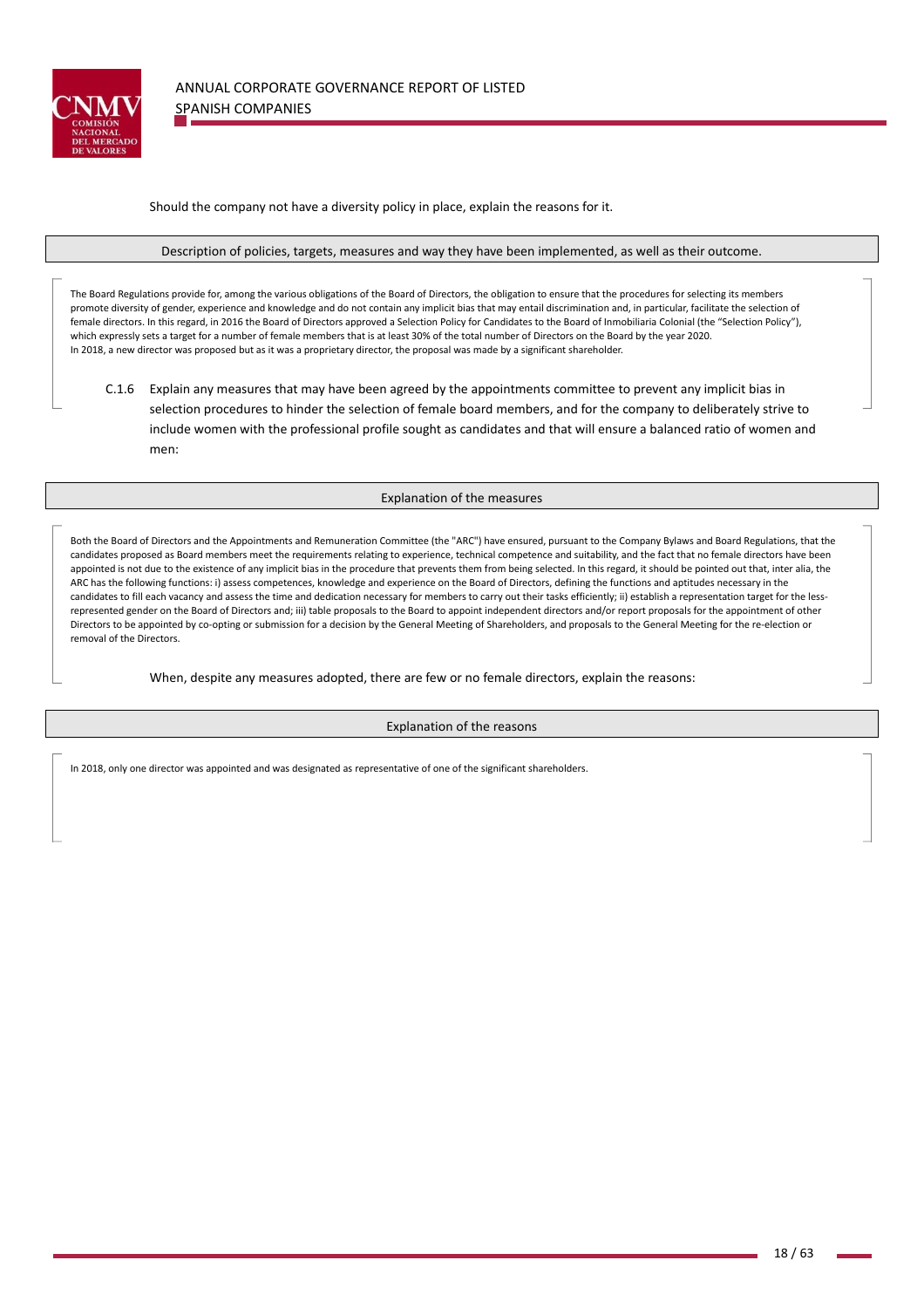

Should the company not have a diversity policy in place, explain the reasons for it.

Description of policies, targets, measures and way they have been implemented, as well as their outcome.

The Board Regulations provide for, among the various obligations of the Board of Directors, the obligation to ensure that the procedures for selecting its members promote diversity of gender, experience and knowledge and do not contain any implicit bias that may entail discrimination and, in particular, facilitate the selection of female directors. In this regard, in 2016 the Board of Directors approved a Selection Policy for Candidates to the Board of Inmobiliaria Colonial (the "Selection Policy"), which expressly sets a target for a number of female members that is at least 30% of the total number of Directors on the Board by the year 2020. In 2018, a new director was proposed but as it was a proprietary director, the proposal was made by a significant shareholder.

C.1.6 Explain any measures that may have been agreed by the appointments committee to prevent any implicit bias in selection procedures to hinder the selection of female board members, and for the company to deliberately strive to include women with the professional profile sought as candidates and that will ensure a balanced ratio of women and men:

## Explanation of the measures

Both the Board of Directors and the Appointments and Remuneration Committee (the "ARC") have ensured, pursuant to the Company Bylaws and Board Regulations, that the candidates proposed as Board members meet the requirements relating to experience, technical competence and suitability, and the fact that no female directors have been appointed is not due to the existence of any implicit bias in the procedure that prevents them from being selected. In this regard, it should be pointed out that, inter alia, the ARC has the following functions: i) assess competences, knowledge and experience on the Board of Directors, defining the functions and aptitudes necessary in the candidates to fill each vacancy and assess the time and dedication necessary for members to carry out their tasks efficiently; ii) establish a representation target for the lessrepresented gender on the Board of Directors and; iii) table proposals to the Board to appoint independent directors and/or report proposals for the appointment of other Directors to be appointed by co-opting or submission for a decision by the General Meeting of Shareholders, and proposals to the General Meeting for the re-election or removal of the Directors.

When, despite any measures adopted, there are few or no female directors, explain the reasons:

Explanation of the reasons

In 2018, only one director was appointed and was designated as representative of one of the significant shareholders.

the contract of the contract of the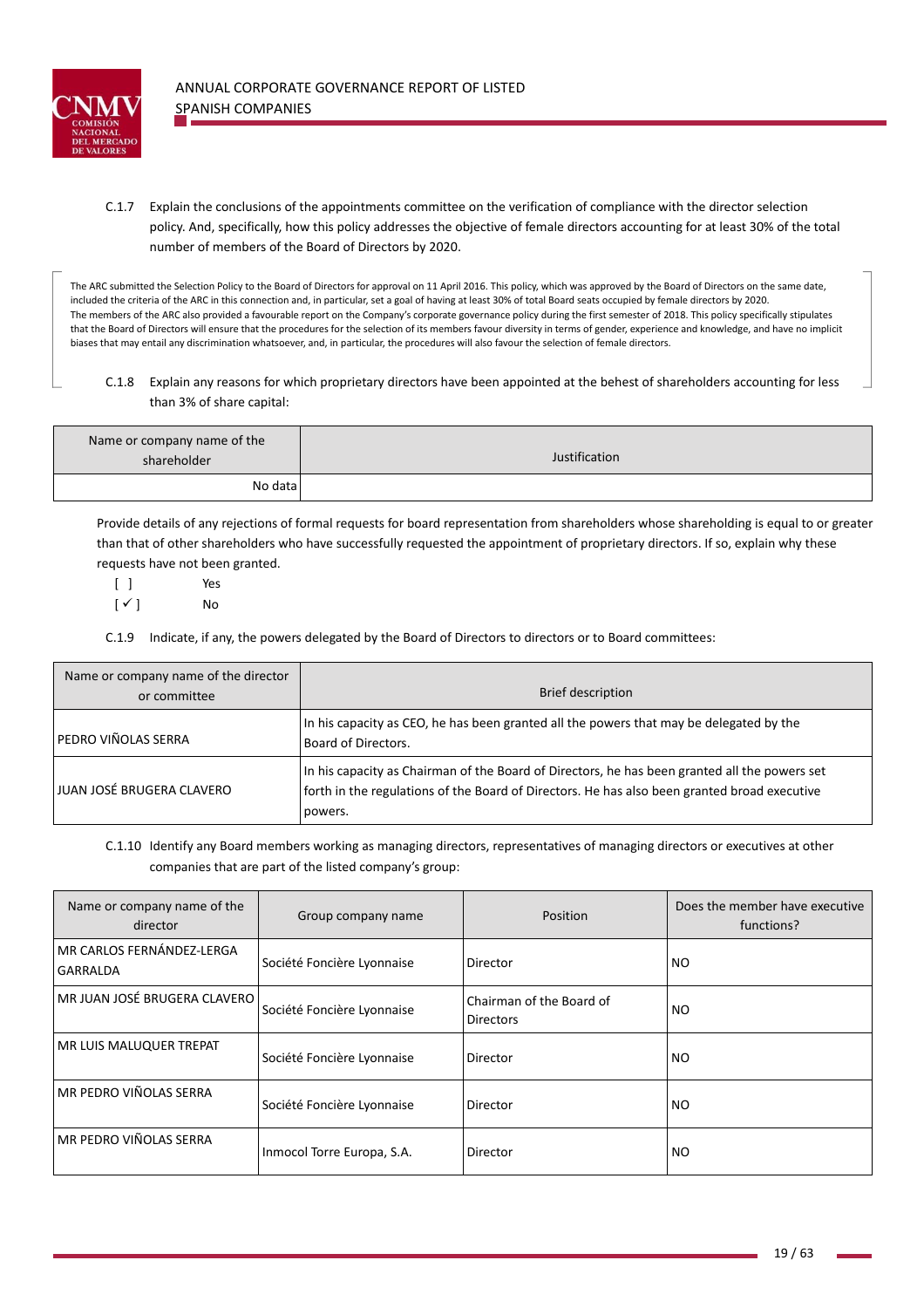

C.1.7 Explain the conclusions of the appointments committee on the verification of compliance with the director selection policy. And, specifically, how this policy addresses the objective of female directors accounting for at least 30% of the total number of members of the Board of Directors by 2020.

The ARC submitted the Selection Policy to the Board of Directors for approval on 11 April 2016. This policy, which was approved by the Board of Directors on the same date, included the criteria of the ARC in this connection and, in particular, set a goal of having at least 30% of total Board seats occupied by female directors by 2020. The members of the ARC also provided a favourable report on the Company's corporate governance policy during the first semester of 2018. This policy specifically stipulates that the Board of Directors will ensure that the procedures for the selection of its members favour diversity in terms of gender, experience and knowledge, and have no implicit biases that may entail any discrimination whatsoever, and, in particular, the procedures will also favour the selection of female directors.

C.1.8 Explain any reasons for which proprietary directors have been appointed at the behest of shareholders accounting for less than 3% of share capital:

| Name or company name of the<br>shareholder | Justification |
|--------------------------------------------|---------------|
| No data                                    |               |

Provide details of any rejections of formal requests for board representation from shareholders whose shareholding is equal to or greater than that of other shareholders who have successfully requested the appointment of proprietary directors. If so, explain why these requests have not been granted.

[ ] Yes  $[\checkmark]$  No

C.1.9 Indicate, if any, the powers delegated by the Board of Directors to directors or to Board committees:

| Name or company name of the director<br>or committee | <b>Brief description</b>                                                                                                                                                                                 |
|------------------------------------------------------|----------------------------------------------------------------------------------------------------------------------------------------------------------------------------------------------------------|
| <b>PEDRO VIÑOLAS SERRA</b>                           | In his capacity as CEO, he has been granted all the powers that may be delegated by the<br>Board of Directors.                                                                                           |
| JUAN JOSÉ BRUGERA CLAVERO                            | In his capacity as Chairman of the Board of Directors, he has been granted all the powers set<br>forth in the regulations of the Board of Directors. He has also been granted broad executive<br>powers. |

C.1.10 Identify any Board members working as managing directors, representatives of managing directors or executives at other companies that are part of the listed company's group:

| Name or company name of the<br>director | Group company name         | Position                                     | Does the member have executive<br>functions? |
|-----------------------------------------|----------------------------|----------------------------------------------|----------------------------------------------|
| MR CARLOS FERNÁNDEZ-LERGA<br>GARRALDA   | Société Foncière Lyonnaise | Director                                     | <b>NO</b>                                    |
| MR JUAN JOSÉ BRUGERA CLAVERO            | Société Foncière Lyonnaise | Chairman of the Board of<br><b>Directors</b> | <b>NO</b>                                    |
| MR LUIS MALUQUER TREPAT                 | Société Foncière Lyonnaise | Director                                     | <b>NO</b>                                    |
| MR PEDRO VIÑOLAS SERRA                  | Société Foncière Lyonnaise | Director                                     | <b>NO</b>                                    |
| MR PEDRO VIÑOLAS SERRA                  | Inmocol Torre Europa, S.A. | Director                                     | NO.                                          |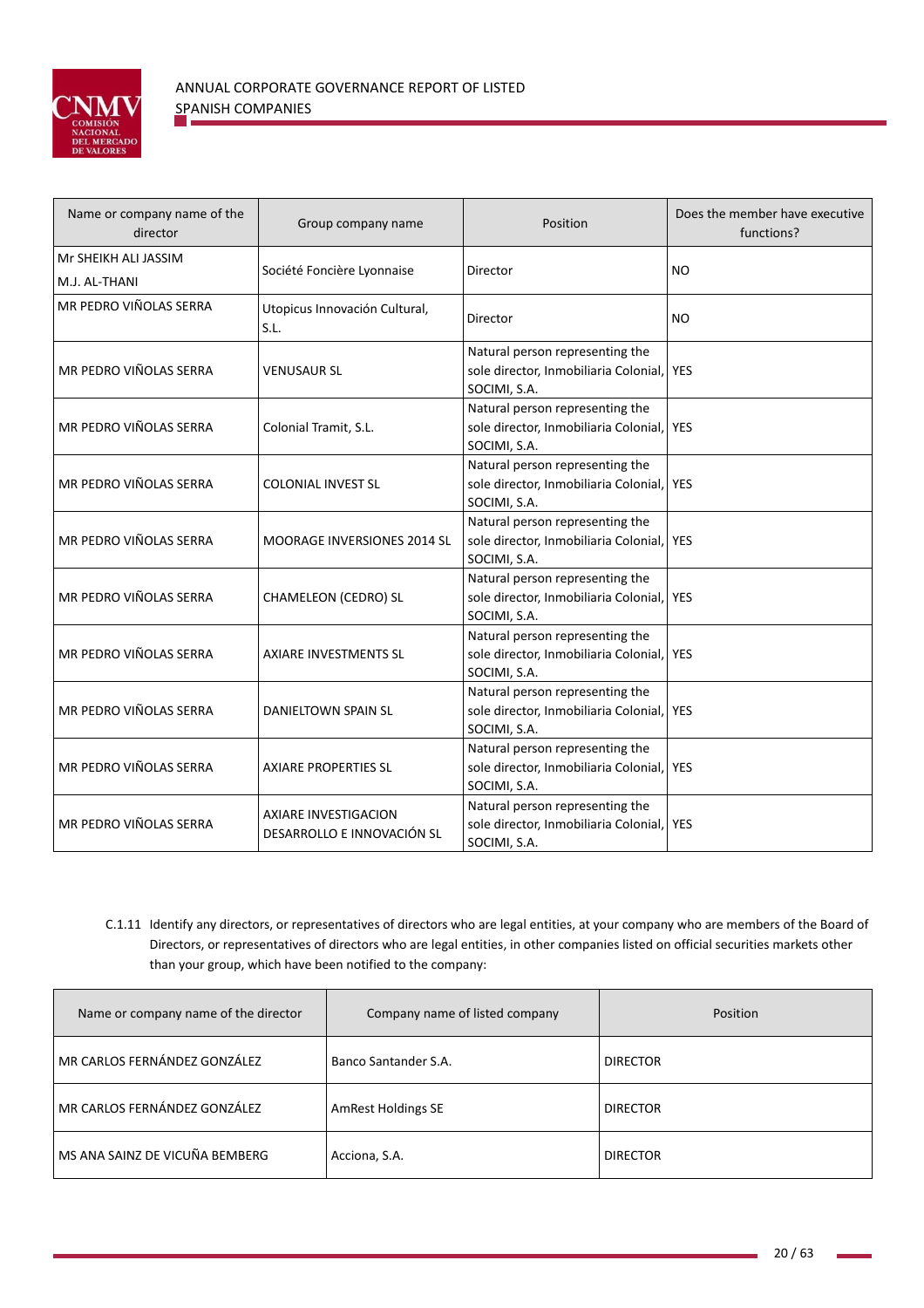

| Name or company name of the<br>director | Group company name                                        | Position                                                                                     | Does the member have executive<br>functions? |
|-----------------------------------------|-----------------------------------------------------------|----------------------------------------------------------------------------------------------|----------------------------------------------|
| Mr SHEIKH ALI JASSIM<br>M.J. AL-THANI   | Société Foncière Lyonnaise                                | Director                                                                                     | <b>NO</b>                                    |
| MR PEDRO VIÑOLAS SERRA                  | Utopicus Innovación Cultural,<br>S.L.                     | Director                                                                                     | <b>NO</b>                                    |
| MR PEDRO VIÑOLAS SERRA                  | <b>VENUSAUR SL</b>                                        | Natural person representing the<br>sole director, Inmobiliaria Colonial, YES<br>SOCIMI, S.A. |                                              |
| MR PEDRO VIÑOLAS SERRA                  | Colonial Tramit, S.L.                                     | Natural person representing the<br>sole director, Inmobiliaria Colonial, YES<br>SOCIMI, S.A. |                                              |
| MR PEDRO VIÑOLAS SERRA                  | <b>COLONIAL INVEST SL</b>                                 | Natural person representing the<br>sole director, Inmobiliaria Colonial, YES<br>SOCIMI, S.A. |                                              |
| MR PEDRO VIÑOLAS SERRA                  | MOORAGE INVERSIONES 2014 SL                               | Natural person representing the<br>sole director, Inmobiliaria Colonial, YES<br>SOCIMI, S.A. |                                              |
| MR PEDRO VIÑOLAS SERRA                  | CHAMELEON (CEDRO) SL                                      | Natural person representing the<br>sole director, Inmobiliaria Colonial, YES<br>SOCIMI, S.A. |                                              |
| MR PEDRO VIÑOLAS SERRA                  | AXIARE INVESTMENTS SL                                     | Natural person representing the<br>sole director, Inmobiliaria Colonial, YES<br>SOCIMI, S.A. |                                              |
| MR PEDRO VIÑOLAS SERRA                  | DANIELTOWN SPAIN SL                                       | Natural person representing the<br>sole director, Inmobiliaria Colonial, YES<br>SOCIMI, S.A. |                                              |
| MR PEDRO VIÑOLAS SERRA                  | <b>AXIARE PROPERTIES SL</b>                               | Natural person representing the<br>sole director, Inmobiliaria Colonial, YES<br>SOCIMI, S.A. |                                              |
| MR PEDRO VIÑOLAS SERRA                  | <b>AXIARE INVESTIGACION</b><br>DESARROLLO E INNOVACIÓN SL | Natural person representing the<br>sole director, Inmobiliaria Colonial, YES<br>SOCIMI, S.A. |                                              |

C.1.11 Identify any directors, or representatives of directors who are legal entities, at your company who are members of the Board of Directors, or representatives of directors who are legal entities, in other companies listed on official securities markets other than your group, which have been notified to the company:

| Name or company name of the director | Company name of listed company | <b>Position</b> |
|--------------------------------------|--------------------------------|-----------------|
| MR CARLOS FERNÁNDEZ GONZÁLEZ         | Banco Santander S.A.           | <b>DIRECTOR</b> |
| MR CARLOS FERNÁNDEZ GONZÁLEZ         | AmRest Holdings SE             | <b>DIRECTOR</b> |
| MS ANA SAINZ DE VICUÑA BEMBERG       | Acciona, S.A.                  | <b>DIRECTOR</b> |

 $\mathbf{r}$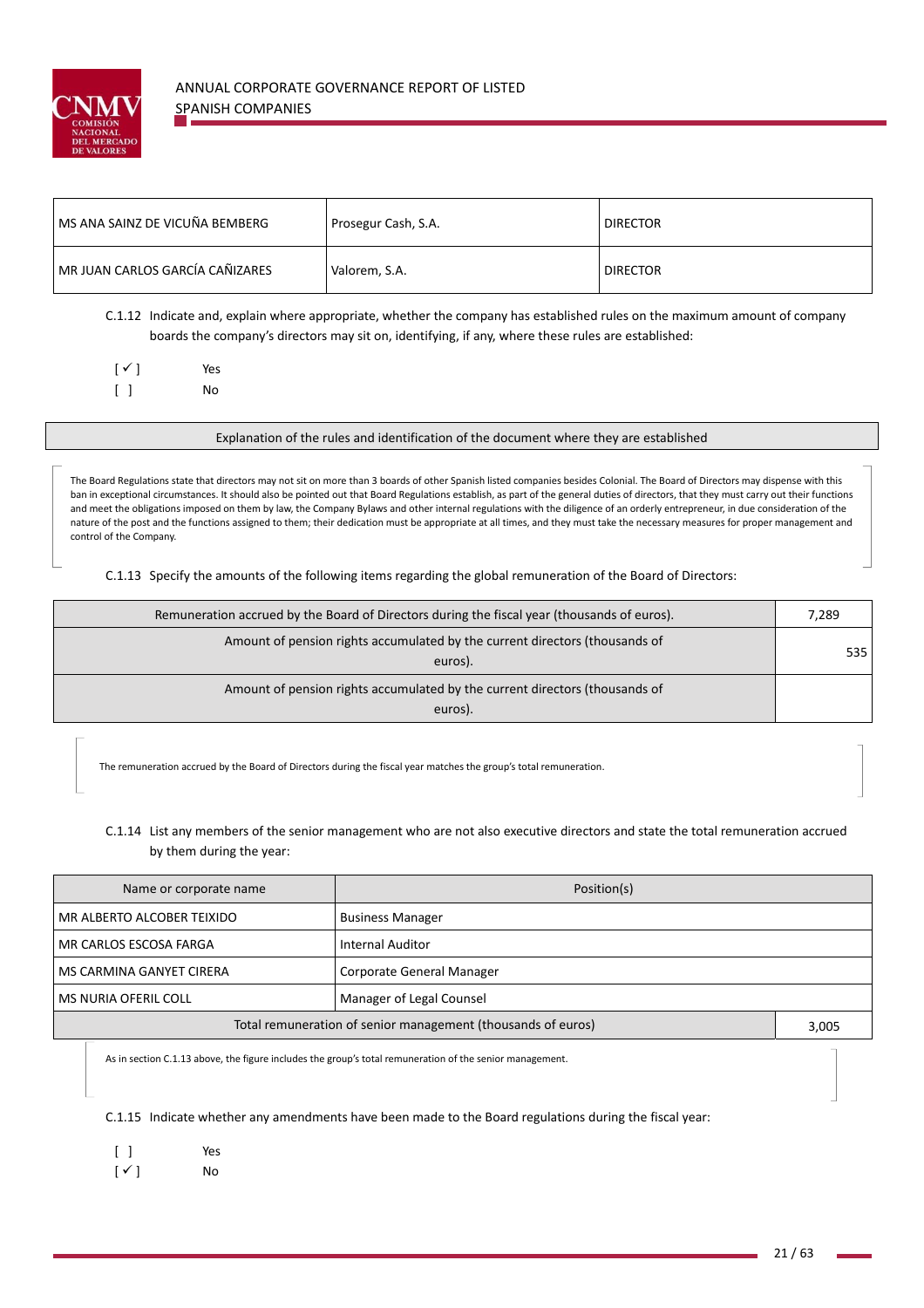

| l MS ANA SAINZ DE VICUÑA BEMBERG | Prosegur Cash, S.A. | <b>DIRECTOR</b> |
|----------------------------------|---------------------|-----------------|
| MR JUAN CARLOS GARCÍA CAÑIZARES  | Valorem, S.A.       | <b>DIRECTOR</b> |

C.1.12 Indicate and, explain where appropriate, whether the company has established rules on the maximum amount of company boards the company's directors may sit on, identifying, if any, where these rules are established:

|   | $[\checkmark]$ | Yes |
|---|----------------|-----|
| ſ |                | No  |

Explanation of the rules and identification of the document where they are established

The Board Regulations state that directors may not sit on more than 3 boards of other Spanish listed companies besides Colonial. The Board of Directors may dispense with this ban in exceptional circumstances. It should also be pointed out that Board Regulations establish, as part of the general duties of directors, that they must carry out their functions and meet the obligations imposed on them by law, the Company Bylaws and other internal regulations with the diligence of an orderly entrepreneur, in due consideration of the nature of the post and the functions assigned to them; their dedication must be appropriate at all times, and they must take the necessary measures for proper management and control of the Company.

C.1.13 Specify the amounts of the following items regarding the global remuneration of the Board of Directors:

| Remuneration accrued by the Board of Directors during the fiscal year (thousands of euros). | 7,289 |
|---------------------------------------------------------------------------------------------|-------|
| Amount of pension rights accumulated by the current directors (thousands of<br>euros).      | 535.  |
| Amount of pension rights accumulated by the current directors (thousands of<br>euros).      |       |

The remuneration accrued by the Board of Directors during the fiscal year matches the group's total remuneration.

# C.1.14 List any members of the senior management who are not also executive directors and state the total remuneration accrued by them during the year:

| Name or corporate name                                       | Position(s)               |       |  |
|--------------------------------------------------------------|---------------------------|-------|--|
| MR ALBERTO ALCOBER TEIXIDO                                   | <b>Business Manager</b>   |       |  |
| MR CARLOS ESCOSA FARGA                                       | <b>Internal Auditor</b>   |       |  |
| MS CARMINA GANYET CIRERA                                     | Corporate General Manager |       |  |
| Manager of Legal Counsel<br>MS NURIA OFERIL COLL             |                           |       |  |
| Total remuneration of senior management (thousands of euros) |                           | 3,005 |  |

As in section C.1.13 above, the figure includes the group's total remuneration of the senior management.

C.1.15 Indicate whether any amendments have been made to the Board regulations during the fiscal year:

|                        | Yes |
|------------------------|-----|
| $\lceil \sqrt{\rceil}$ | No  |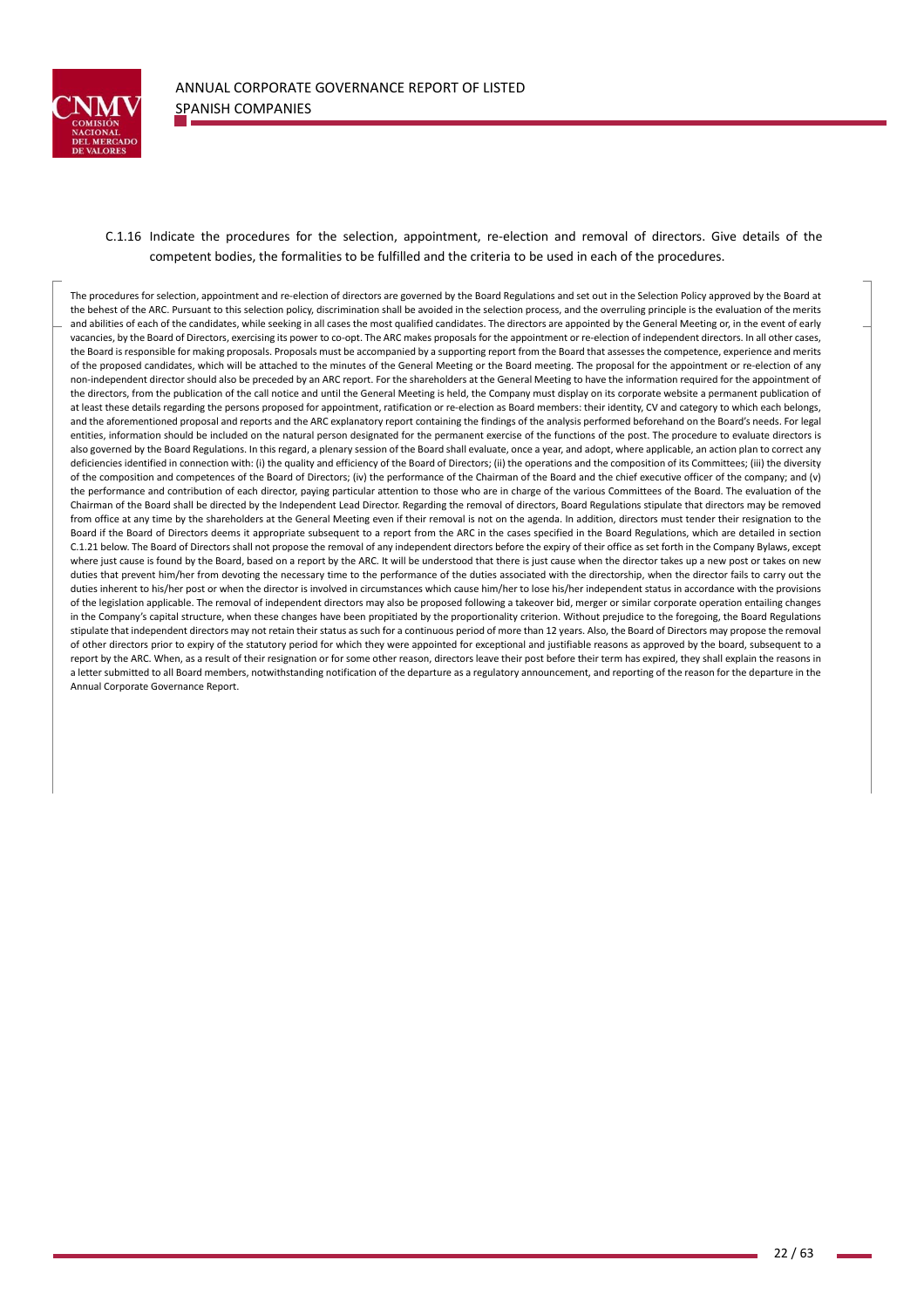

the contract of the contract of the contract of

C.1.16 Indicate the procedures for the selection, appointment, re‐election and removal of directors. Give details of the competent bodies, the formalities to be fulfilled and the criteria to be used in each of the procedures.

The procedures for selection, appointment and re-election of directors are governed by the Board Regulations and set out in the Selection Policy approved by the Board at the behest of the ARC. Pursuant to this selection policy, discrimination shall be avoided in the selection process, and the overruling principle is the evaluation of the merits and abilities of each of the candidates, while seeking in all cases the most qualified candidates. The directors are appointed by the General Meeting or, in the event of early vacancies, by the Board of Directors, exercising its power to co-opt. The ARC makes proposals for the appointment or re-election of independent directors. In all other cases, the Board is responsible for making proposals. Proposals must be accompanied by a supporting report from the Board that assesses the competence, experience and merits of the proposed candidates, which will be attached to the minutes of the General Meeting or the Board meeting. The proposal for the appointment or re‐election of any non-independent director should also be preceded by an ARC report. For the shareholders at the General Meeting to have the information required for the appointment of the directors, from the publication of the call notice and until the General Meeting is held, the Company must display on its corporate website a permanent publication of at least these details regarding the persons proposed for appointment, ratification or re-election as Board members: their identity, CV and category to which each belongs, and the aforementioned proposal and reports and the ARC explanatory report containing the findings of the analysis performed beforehand on the Board's needs. For legal entities, information should be included on the natural person designated for the permanent exercise of the functions of the post. The procedure to evaluate directors is also governed by the Board Regulations. In this regard, a plenary session of the Board shall evaluate, once a year, and adopt, where applicable, an action plan to correct any deficiencies identified in connection with: (i) the quality and efficiency of the Board of Directors; (ii) the operations and the composition of its Committees; (iii) the diversity of the composition and competences of the Board of Directors; (iv) the performance of the Chairman of the Board and the chief executive officer of the company; and (v) the performance and contribution of each director, paying particular attention to those who are in charge of the various Committees of the Board. The evaluation of the Chairman of the Board shall be directed by the Independent Lead Director. Regarding the removal of directors, Board Regulations stipulate that directors may be removed from office at any time by the shareholders at the General Meeting even if their removal is not on the agenda. In addition, directors must tender their resignation to the Board if the Board of Directors deems it appropriate subsequent to a report from the ARC in the cases specified in the Board Regulations, which are detailed in section C.1.21 below. The Board of Directors shall not propose the removal of any independent directors before the expiry of their office as set forth in the Company Bylaws, except where just cause is found by the Board, based on a report by the ARC. It will be understood that there is just cause when the director takes up a new post or takes on new duties that prevent him/her from devoting the necessary time to the performance of the duties associated with the directorship, when the director fails to carry out the duties inherent to his/her post or when the director is involved in circumstances which cause him/her to lose his/her independent status in accordance with the provisions of the legislation applicable. The removal of independent directors may also be proposed following a takeover bid, merger or similar corporate operation entailing changes in the Company's capital structure, when these changes have been propitiated by the proportionality criterion. Without prejudice to the foregoing, the Board Regulations stipulate that independent directors may not retain their status as such for a continuous period of more than 12 years. Also, the Board of Directors may propose the removal of other directors prior to expiry of the statutory period for which they were appointed for exceptional and justifiable reasons as approved by the board, subsequent to a report by the ARC. When, as a result of their resignation or for some other reason, directors leave their post before their term has expired, they shall explain the reasons in a letter submitted to all Board members, notwithstanding notification of the departure as a regulatory announcement, and reporting of the reason for the departure in the Annual Corporate Governance Report.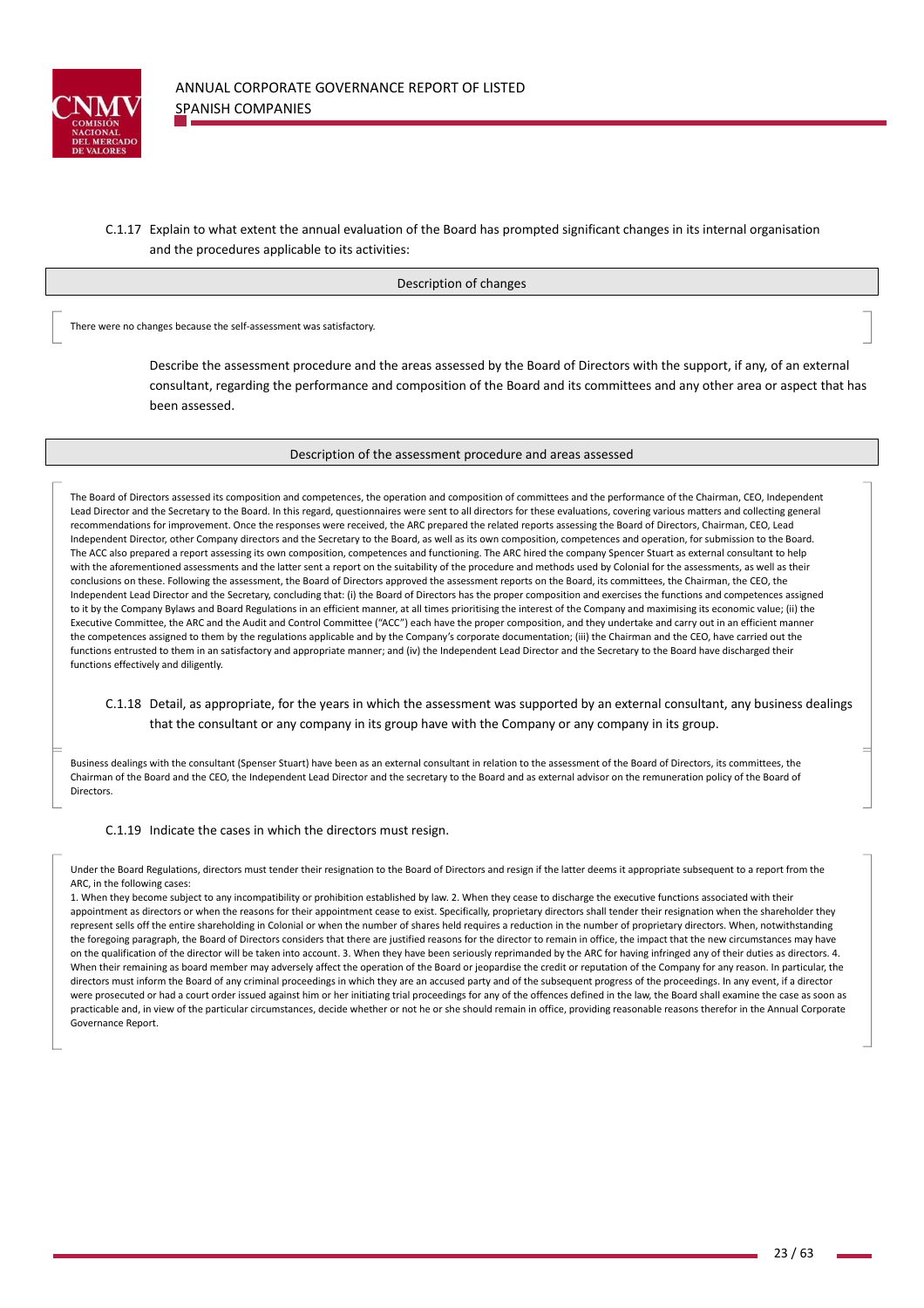

# C.1.17 Explain to what extent the annual evaluation of the Board has prompted significant changes in its internal organisation and the procedures applicable to its activities:

#### Description of changes

There were no changes because the self‐assessment was satisfactory.

Describe the assessment procedure and the areas assessed by the Board of Directors with the support, if any, of an external consultant, regarding the performance and composition of the Board and its committees and any other area or aspect that has been assessed.

### Description of the assessment procedure and areas assessed

The Board of Directors assessed its composition and competences, the operation and composition of committees and the performance of the Chairman, CEO, Independent Lead Director and the Secretary to the Board. In this regard, questionnaires were sent to all directors for these evaluations, covering various matters and collecting general recommendations for improvement. Once the responses were received, the ARC prepared the related reports assessing the Board of Directors, Chairman, CEO, Lead Independent Director, other Company directors and the Secretary to the Board, as well as its own composition, competences and operation, for submission to the Board. The ACC also prepared a report assessing its own composition, competences and functioning. The ARC hired the company Spencer Stuart as external consultant to help with the aforementioned assessments and the latter sent a report on the suitability of the procedure and methods used by Colonial for the assessments, as well as their conclusions on these. Following the assessment, the Board of Directors approved the assessment reports on the Board, its committees, the Chairman, the CEO, the Independent Lead Director and the Secretary, concluding that: (i) the Board of Directors has the proper composition and exercises the functions and competences assigned to it by the Company Bylaws and Board Regulations in an efficient manner, at all times prioritising the interest of the Company and maximising its economic value; (ii) the Executive Committee, the ARC and the Audit and Control Committee ("ACC") each have the proper composition, and they undertake and carry out in an efficient manner the competences assigned to them by the regulations applicable and by the Company's corporate documentation; (iii) the Chairman and the CEO, have carried out the functions entrusted to them in an satisfactory and appropriate manner; and (iv) the Independent Lead Director and the Secretary to the Board have discharged their functions effectively and diligently.

## C.1.18 Detail, as appropriate, for the years in which the assessment was supported by an external consultant, any business dealings that the consultant or any company in its group have with the Company or any company in its group.

Business dealings with the consultant (Spenser Stuart) have been as an external consultant in relation to the assessment of the Board of Directors, its committees, the Chairman of the Board and the CEO, the Independent Lead Director and the secretary to the Board and as external advisor on the remuneration policy of the Board of **Directors** 

C.1.19 Indicate the cases in which the directors must resign.

the contract of the contract of the contract of

Under the Board Regulations, directors must tender their resignation to the Board of Directors and resign if the latter deems it appropriate subsequent to a report from the ARC, in the following cases:

1. When they become subject to any incompatibility or prohibition established by law. 2. When they cease to discharge the executive functions associated with their appointment as directors or when the reasons for their appointment cease to exist. Specifically, proprietary directors shall tender their resignation when the shareholder they represent sells off the entire shareholding in Colonial or when the number of shares held requires a reduction in the number of proprietary directors. When, notwithstanding the foregoing paragraph, the Board of Directors considers that there are justified reasons for the director to remain in office, the impact that the new circumstances may have on the qualification of the director will be taken into account. 3. When they have been seriously reprimanded by the ARC for having infringed any of their duties as directors. 4. When their remaining as board member may adversely affect the operation of the Board or jeopardise the credit or reputation of the Company for any reason. In particular, the directors must inform the Board of any criminal proceedings in which they are an accused party and of the subsequent progress of the proceedings. In any event, if a director were prosecuted or had a court order issued against him or her initiating trial proceedings for any of the offences defined in the law, the Board shall examine the case as soon as practicable and, in view of the particular circumstances, decide whether or not he or she should remain in office, providing reasonable reasons therefor in the Annual Corporate Governance Report.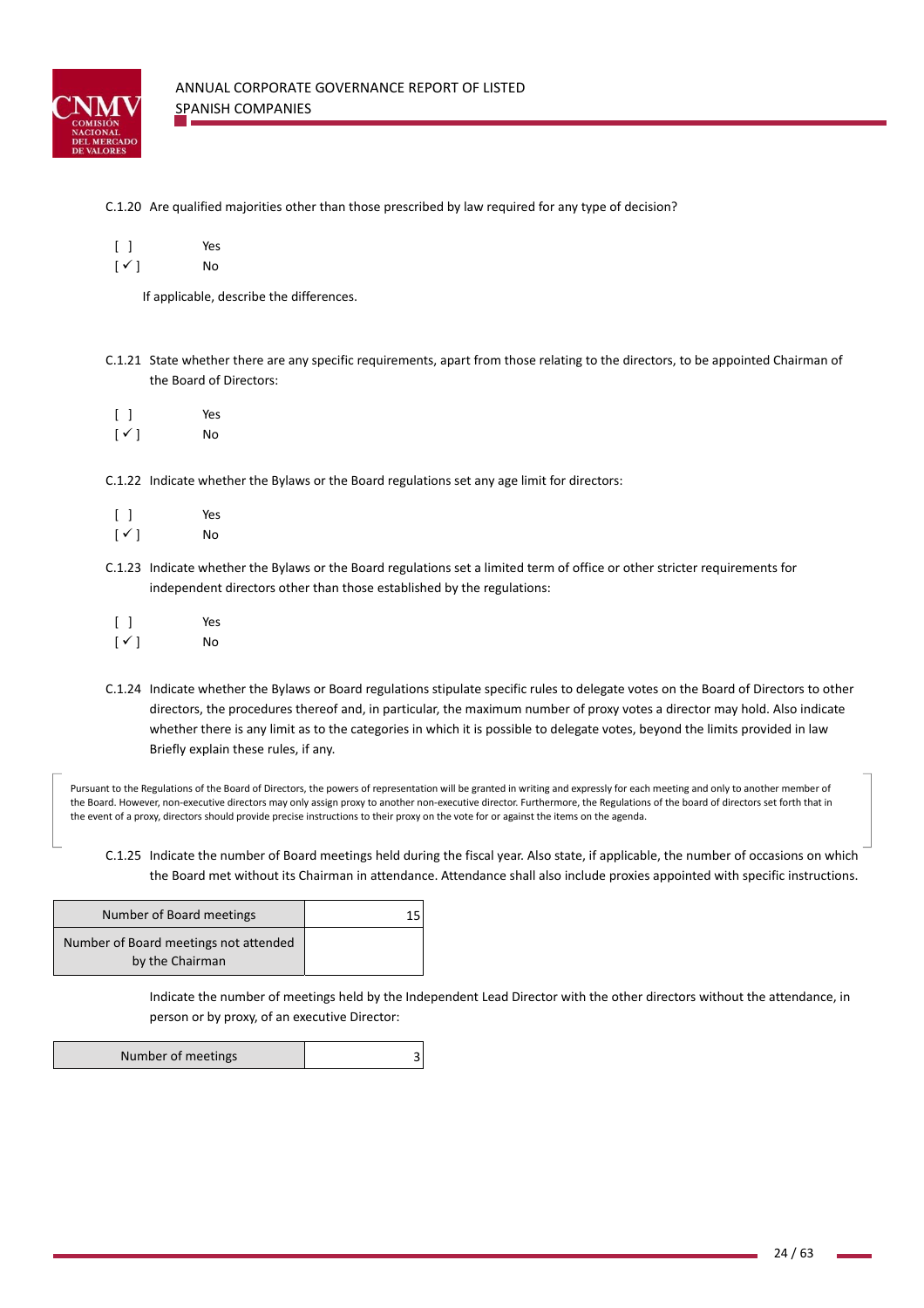

## C.1.20 Are qualified majorities other than those prescribed by law required for any type of decision?

|                             | Yes          |
|-----------------------------|--------------|
| $\mathsf{r}$ . $\mathsf{r}$ | <b>A</b> I – |

 $[\checkmark]$  No

If applicable, describe the differences.

- C.1.21 State whether there are any specific requirements, apart from those relating to the directors, to be appointed Chairman of the Board of Directors:
- [ ] Yes  $\lceil \checkmark \rceil$  No
- C.1.22 Indicate whether the Bylaws or the Board regulations set any age limit for directors:

| $\Box$       | Yes |
|--------------|-----|
| $[\sqrt{ }]$ | No  |

- C.1.23 Indicate whether the Bylaws or the Board regulations set a limited term of office or other stricter requirements for independent directors other than those established by the regulations:
- [ ] Yes  $\lceil \sqrt{} \rceil$  No
- C.1.24 Indicate whether the Bylaws or Board regulations stipulate specific rules to delegate votes on the Board of Directors to other directors, the procedures thereof and, in particular, the maximum number of proxy votes a director may hold. Also indicate whether there is any limit as to the categories in which it is possible to delegate votes, beyond the limits provided in law Briefly explain these rules, if any.

Pursuant to the Regulations of the Board of Directors, the powers of representation will be granted in writing and expressly for each meeting and only to another member of the Board. However, non-executive directors may only assign proxy to another non-executive director. Furthermore, the Regulations of the board of directors set forth that in the event of a proxy, directors should provide precise instructions to their proxy on the vote for or against the items on the agenda.

C.1.25 Indicate the number of Board meetings held during the fiscal year. Also state, if applicable, the number of occasions on which the Board met without its Chairman in attendance. Attendance shall also include proxies appointed with specific instructions.

| Number of Board meetings                                 |  |
|----------------------------------------------------------|--|
| Number of Board meetings not attended<br>by the Chairman |  |

Indicate the number of meetings held by the Independent Lead Director with the other directors without the attendance, in person or by proxy, of an executive Director:

| Number of meetings |  |
|--------------------|--|
|                    |  |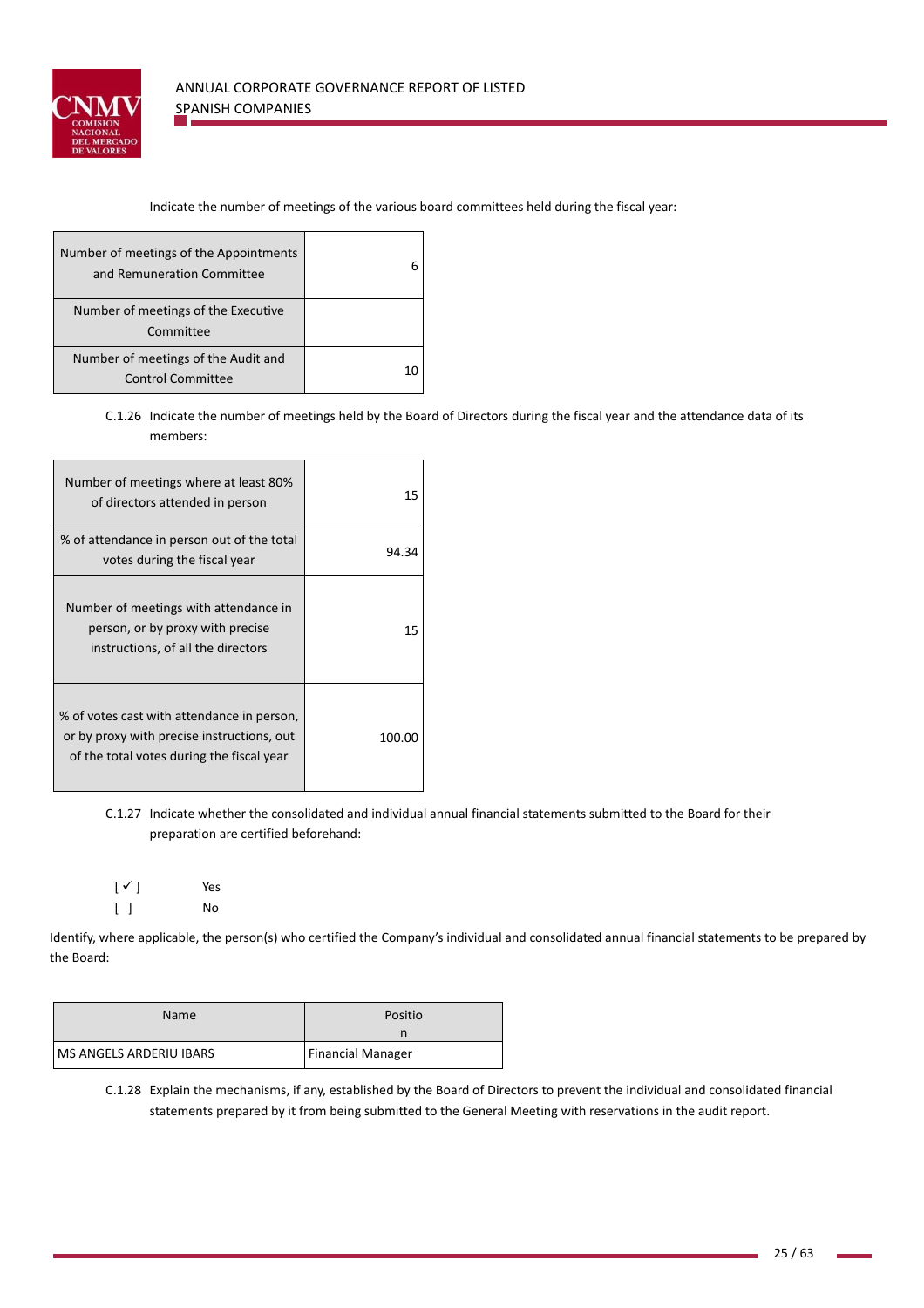

# Indicate the number of meetings of the various board committees held during the fiscal year:

| Number of meetings of the Appointments<br>and Remuneration Committee |  |
|----------------------------------------------------------------------|--|
| Number of meetings of the Executive<br>Committee                     |  |
| Number of meetings of the Audit and<br><b>Control Committee</b>      |  |

C.1.26 Indicate the number of meetings held by the Board of Directors during the fiscal year and the attendance data of its members:

| Number of meetings where at least 80%<br>of directors attended in person                                                              | 15     |
|---------------------------------------------------------------------------------------------------------------------------------------|--------|
| % of attendance in person out of the total<br>votes during the fiscal year                                                            | 94.34  |
| Number of meetings with attendance in<br>person, or by proxy with precise<br>instructions, of all the directors                       | 15     |
| % of votes cast with attendance in person,<br>or by proxy with precise instructions, out<br>of the total votes during the fiscal year | 100.00 |

C.1.27 Indicate whether the consolidated and individual annual financial statements submitted to the Board for their preparation are certified beforehand:

 $[\checkmark]$  Yes [ ] No

Identify, where applicable, the person(s) who certified the Company's individual and consolidated annual financial statements to be prepared by the Board:

| <b>Name</b>                    | Positio                  |
|--------------------------------|--------------------------|
|                                |                          |
| <b>MS ANGELS ARDERIU IBARS</b> | <b>Financial Manager</b> |

C.1.28 Explain the mechanisms, if any, established by the Board of Directors to prevent the individual and consolidated financial statements prepared by it from being submitted to the General Meeting with reservations in the audit report.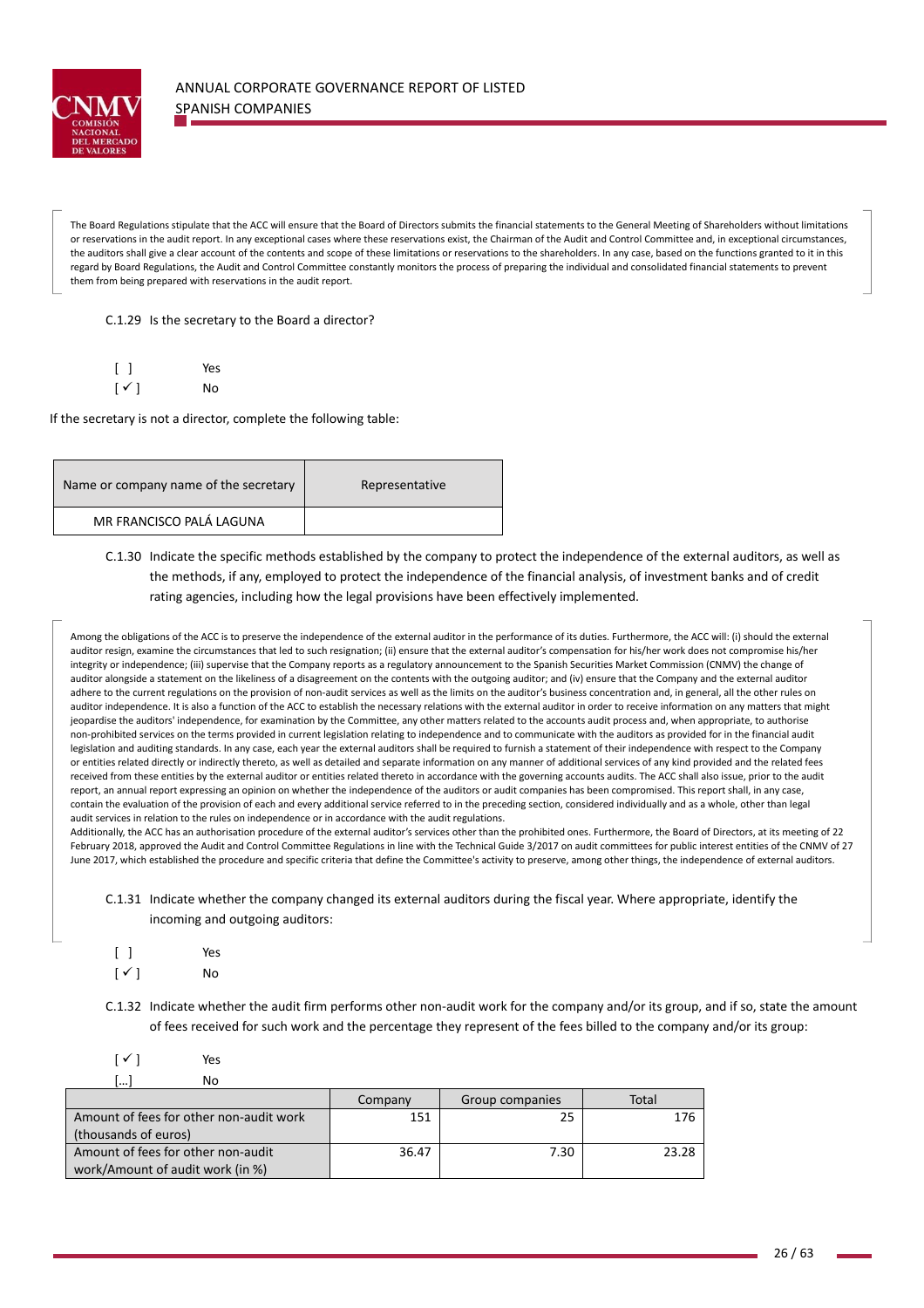

The Board Regulations stipulate that the ACC will ensure that the Board of Directors submits the financial statements to the General Meeting of Shareholders without limitations or reservations in the audit report. In any exceptional cases where these reservations exist, the Chairman of the Audit and Control Committee and, in exceptional circumstances, the auditors shall give a clear account of the contents and scope of these limitations or reservations to the shareholders. In any case, based on the functions granted to it in this regard by Board Regulations, the Audit and Control Committee constantly monitors the process of preparing the individual and consolidated financial statements to prevent them from being prepared with reservations in the audit report.

C.1.29 Is the secretary to the Board a director?

|                        | Yes |
|------------------------|-----|
| $\lceil \sqrt{\rceil}$ | No  |

If the secretary is not a director, complete the following table:

| Name or company name of the secretary | Representative |
|---------------------------------------|----------------|
| MR FRANCISCO PALÁ LAGUNA              |                |

# C.1.30 Indicate the specific methods established by the company to protect the independence of the external auditors, as well as the methods, if any, employed to protect the independence of the financial analysis, of investment banks and of credit rating agencies, including how the legal provisions have been effectively implemented.

Among the obligations of the ACC is to preserve the independence of the external auditor in the performance of its duties. Furthermore, the ACC will: (i) should the external auditor resign, examine the circumstances that led to such resignation; (ii) ensure that the external auditor's compensation for his/her work does not compromise his/her integrity or independence; (iii) supervise that the Company reports as a regulatory announcement to the Spanish Securities Market Commission (CNMV) the change of auditor alongside a statement on the likeliness of a disagreement on the contents with the outgoing auditor; and (iv) ensure that the Company and the external auditor adhere to the current regulations on the provision of non-audit services as well as the limits on the auditor's business concentration and, in general, all the other rules on auditor independence. It is also a function of the ACC to establish the necessary relations with the external auditor in order to receive information on any matters that might jeopardise the auditors' independence, for examination by the Committee, any other matters related to the accounts audit process and, when appropriate, to authorise non-prohibited services on the terms provided in current legislation relating to independence and to communicate with the auditors as provided for in the financial audit legislation and auditing standards. In any case, each year the external auditors shall be required to furnish a statement of their independence with respect to the Company or entities related directly or indirectly thereto, as well as detailed and separate information on any manner of additional services of any kind provided and the related fees received from these entities by the external auditor or entities related thereto in accordance with the governing accounts audits. The ACC shall also issue, prior to the audit report, an annual report expressing an opinion on whether the independence of the auditors or audit companies has been compromised. This report shall, in any case, contain the evaluation of the provision of each and every additional service referred to in the preceding section, considered individually and as a whole, other than legal audit services in relation to the rules on independence or in accordance with the audit regulations.

Additionally, the ACC has an authorisation procedure of the external auditor's services other than the prohibited ones. Furthermore, the Board of Directors, at its meeting of 22 February 2018, approved the Audit and Control Committee Regulations in line with the Technical Guide 3/2017 on audit committees for public interest entities of the CNMV of 27 June 2017, which established the procedure and specific criteria that define the Committee's activity to preserve, among other things, the independence of external auditors.

C.1.31 Indicate whether the company changed its external auditors during the fiscal year. Where appropriate, identify the incoming and outgoing auditors:

|                          | Yes |
|--------------------------|-----|
| $\lceil \sqrt{ } \rceil$ | No  |

C.1.32 Indicate whether the audit firm performs other non-audit work for the company and/or its group, and if so, state the amount of fees received for such work and the percentage they represent of the fees billed to the company and/or its group:

| ſ   | Yes |
|-----|-----|
| […] | No  |

|                                         | Company | Group companies | Total |
|-----------------------------------------|---------|-----------------|-------|
| Amount of fees for other non-audit work | 151     | 25              | 176   |
| (thousands of euros)                    |         |                 |       |
| Amount of fees for other non-audit      | 36.47   | 7.30            | 23.28 |
| work/Amount of audit work (in %)        |         |                 |       |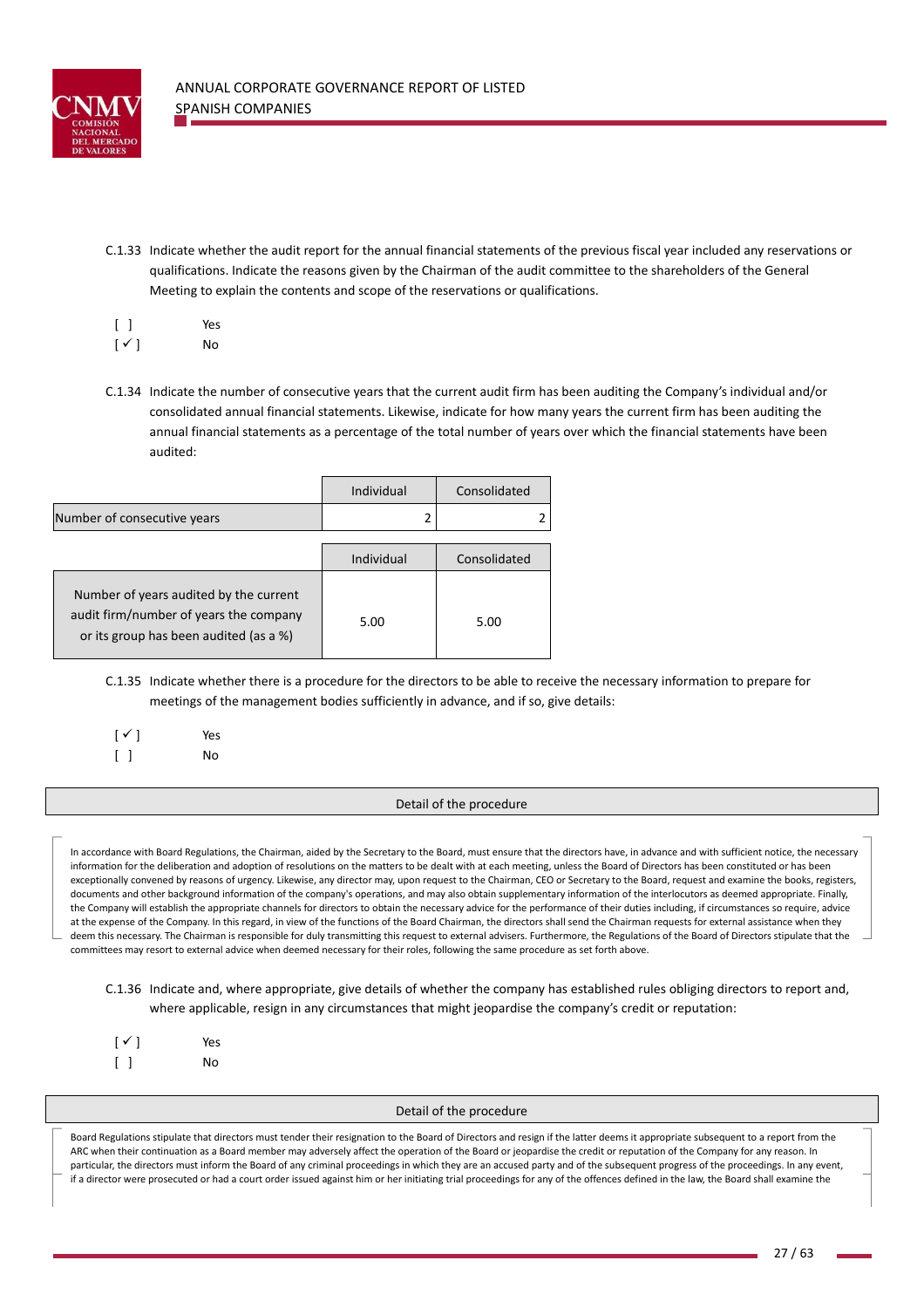

C.1.33 Indicate whether the audit report for the annual financial statements of the previous fiscal year included any reservations or qualifications. Indicate the reasons given by the Chairman of the audit committee to the shareholders of the General Meeting to explain the contents and scope of the reservations or qualifications.

|  | Yes |
|--|-----|
|--|-----|

 $\lceil \checkmark \rceil$  No

C.1.34 Indicate the number of consecutive years that the current audit firm has been auditing the Company's individual and/or consolidated annual financial statements. Likewise, indicate for how many years the current firm has been auditing the annual financial statements as a percentage of the total number of years over which the financial statements have been audited:

|                                                                                                                            | Individual | Consolidated |
|----------------------------------------------------------------------------------------------------------------------------|------------|--------------|
| Number of consecutive years                                                                                                |            |              |
|                                                                                                                            |            |              |
|                                                                                                                            | Individual | Consolidated |
| Number of years audited by the current<br>audit firm/number of years the company<br>or its group has been audited (as a %) | 5.00       | 5.00         |

- C.1.35 Indicate whether there is a procedure for the directors to be able to receive the necessary information to prepare for meetings of the management bodies sufficiently in advance, and if so, give details:
- $[\checkmark]$  Yes [ ] No

# Detail of the procedure

In accordance with Board Regulations, the Chairman, aided by the Secretary to the Board, must ensure that the directors have, in advance and with sufficient notice, the necessary information for the deliberation and adoption of resolutions on the matters to be dealt with at each meeting, unless the Board of Directors has been constituted or has been exceptionally convened by reasons of urgency. Likewise, any director may, upon request to the Chairman, CEO or Secretary to the Board, request and examine the books, registers, documents and other background information of the company's operations, and may also obtain supplementary information of the interlocutors as deemed appropriate. Finally, the Company will establish the appropriate channels for directors to obtain the necessary advice for the performance of their duties including, if circumstances so require, advice at the expense of the Company. In this regard, in view of the functions of the Board Chairman, the directors shall send the Chairman requests for external assistance when they deem this necessary. The Chairman is responsible for duly transmitting this request to external advisers. Furthermore, the Regulations of the Board of Directors stipulate that the committees may resort to external advice when deemed necessary for their roles, following the same procedure as set forth above.

C.1.36 Indicate and, where appropriate, give details of whether the company has established rules obliging directors to report and, where applicable, resign in any circumstances that might jeopardise the company's credit or reputation:

| $[\checkmark]$ | Yes |
|----------------|-----|
|                | No  |

## Detail of the procedure

Board Regulations stipulate that directors must tender their resignation to the Board of Directors and resign if the latter deems it appropriate subsequent to a report from the ARC when their continuation as a Board member may adversely affect the operation of the Board or jeopardise the credit or reputation of the Company for any reason. In particular, the directors must inform the Board of any criminal proceedings in which they are an accused party and of the subsequent progress of the proceedings. In any event, if a director were prosecuted or had a court order issued against him or her initiating trial proceedings for any of the offences defined in the law, the Board shall examine the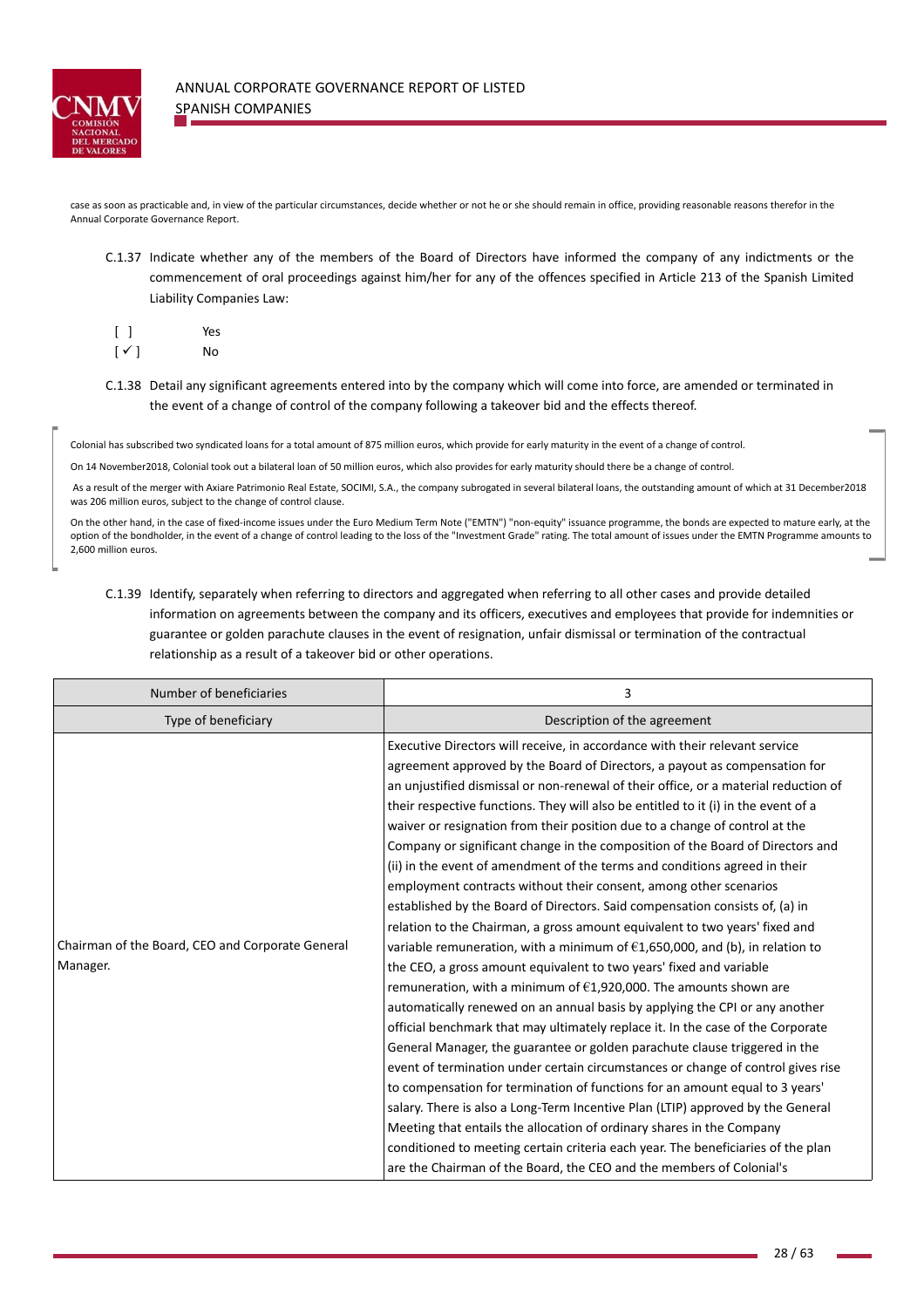

case as soon as practicable and, in view of the particular circumstances, decide whether or not he or she should remain in office, providing reasonable reasons therefor in the Annual Corporate Governance Report.

C.1.37 Indicate whether any of the members of the Board of Directors have informed the company of any indictments or the commencement of oral proceedings against him/her for any of the offences specified in Article 213 of the Spanish Limited Liability Companies Law:

|                           |   | Yes |
|---------------------------|---|-----|
| $\overline{\mathfrak{l}}$ | ✓ | No  |

C.1.38 Detail any significant agreements entered into by the company which will come into force, are amended or terminated in the event of a change of control of the company following a takeover bid and the effects thereof.

Colonial has subscribed two syndicated loans for a total amount of 875 million euros, which provide for early maturity in the event of a change of control.

On 14 November2018, Colonial took out a bilateral loan of 50 million euros, which also provides for early maturity should there be a change of control.

 As a result of the merger with Axiare Patrimonio Real Estate, SOCIMI, S.A., the company subrogated in several bilateral loans, the outstanding amount of which at 31 December2018 was 206 million euros, subject to the change of control clause.

On the other hand, in the case of fixed-income issues under the Euro Medium Term Note ("EMTN") "non-equity" issuance programme, the bonds are expected to mature early, at the option of the bondholder, in the event of a change of control leading to the loss of the "Investment Grade" rating. The total amount of issues under the EMTN Programme amounts to 2,600 million euros.

C.1.39 Identify, separately when referring to directors and aggregated when referring to all other cases and provide detailed information on agreements between the company and its officers, executives and employees that provide for indemnities or guarantee or golden parachute clauses in the event of resignation, unfair dismissal or termination of the contractual relationship as a result of a takeover bid or other operations.

| Number of beneficiaries                                      | 3                                                                                                                                                                                                                                                                                                                                                                                                                                                                                                                                                                                                                                                                                                                                                                                                                                                                                                                                                                                                                                                                                                                                                                                                                                                                                                                                                                                                                                                                                                                                                                                                                                                                                                                                                                                                              |
|--------------------------------------------------------------|----------------------------------------------------------------------------------------------------------------------------------------------------------------------------------------------------------------------------------------------------------------------------------------------------------------------------------------------------------------------------------------------------------------------------------------------------------------------------------------------------------------------------------------------------------------------------------------------------------------------------------------------------------------------------------------------------------------------------------------------------------------------------------------------------------------------------------------------------------------------------------------------------------------------------------------------------------------------------------------------------------------------------------------------------------------------------------------------------------------------------------------------------------------------------------------------------------------------------------------------------------------------------------------------------------------------------------------------------------------------------------------------------------------------------------------------------------------------------------------------------------------------------------------------------------------------------------------------------------------------------------------------------------------------------------------------------------------------------------------------------------------------------------------------------------------|
| Type of beneficiary                                          | Description of the agreement                                                                                                                                                                                                                                                                                                                                                                                                                                                                                                                                                                                                                                                                                                                                                                                                                                                                                                                                                                                                                                                                                                                                                                                                                                                                                                                                                                                                                                                                                                                                                                                                                                                                                                                                                                                   |
| Chairman of the Board, CEO and Corporate General<br>Manager. | Executive Directors will receive, in accordance with their relevant service<br>agreement approved by the Board of Directors, a payout as compensation for<br>an unjustified dismissal or non-renewal of their office, or a material reduction of<br>their respective functions. They will also be entitled to it (i) in the event of a<br>waiver or resignation from their position due to a change of control at the<br>Company or significant change in the composition of the Board of Directors and<br>(ii) in the event of amendment of the terms and conditions agreed in their<br>employment contracts without their consent, among other scenarios<br>established by the Board of Directors. Said compensation consists of, (a) in<br>relation to the Chairman, a gross amount equivalent to two years' fixed and<br>variable remuneration, with a minimum of $£1,650,000$ , and (b), in relation to<br>the CEO, a gross amount equivalent to two years' fixed and variable<br>remuneration, with a minimum of $\epsilon$ 1,920,000. The amounts shown are<br>automatically renewed on an annual basis by applying the CPI or any another<br>official benchmark that may ultimately replace it. In the case of the Corporate<br>General Manager, the guarantee or golden parachute clause triggered in the<br>event of termination under certain circumstances or change of control gives rise<br>to compensation for termination of functions for an amount equal to 3 years'<br>salary. There is also a Long-Term Incentive Plan (LTIP) approved by the General<br>Meeting that entails the allocation of ordinary shares in the Company<br>conditioned to meeting certain criteria each year. The beneficiaries of the plan<br>are the Chairman of the Board, the CEO and the members of Colonial's |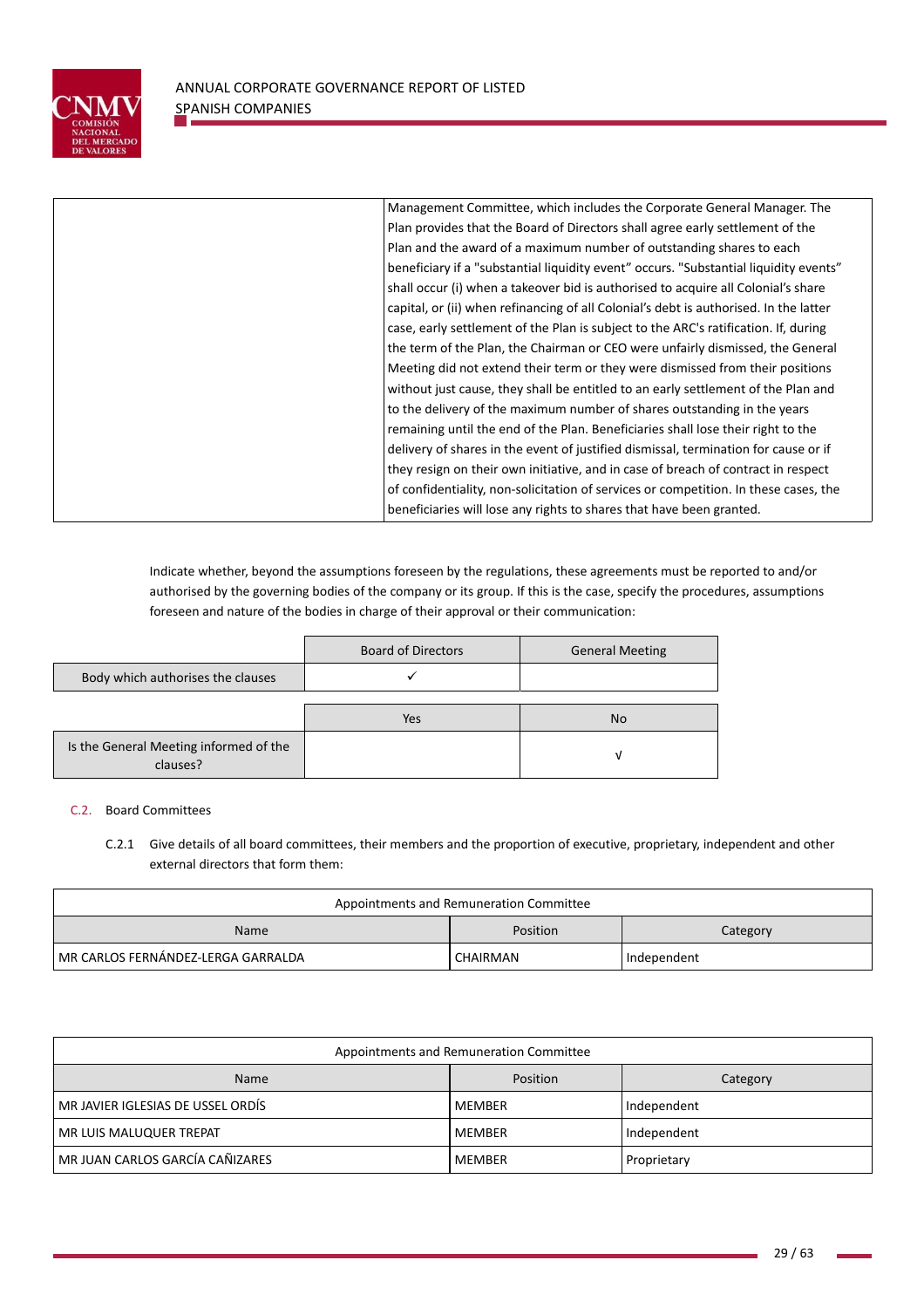

| Management Committee, which includes the Corporate General Manager. The               |
|---------------------------------------------------------------------------------------|
| Plan provides that the Board of Directors shall agree early settlement of the         |
| Plan and the award of a maximum number of outstanding shares to each                  |
| beneficiary if a "substantial liquidity event" occurs. "Substantial liquidity events" |
| shall occur (i) when a takeover bid is authorised to acquire all Colonial's share     |
| capital, or (ii) when refinancing of all Colonial's debt is authorised. In the latter |
| case, early settlement of the Plan is subject to the ARC's ratification. If, during   |
| the term of the Plan, the Chairman or CEO were unfairly dismissed, the General        |
| Meeting did not extend their term or they were dismissed from their positions         |
| without just cause, they shall be entitled to an early settlement of the Plan and     |
| to the delivery of the maximum number of shares outstanding in the years              |
| remaining until the end of the Plan. Beneficiaries shall lose their right to the      |
| delivery of shares in the event of justified dismissal, termination for cause or if   |
|                                                                                       |
| they resign on their own initiative, and in case of breach of contract in respect     |
| of confidentiality, non-solicitation of services or competition. In these cases, the  |
| beneficiaries will lose any rights to shares that have been granted.                  |
|                                                                                       |

Indicate whether, beyond the assumptions foreseen by the regulations, these agreements must be reported to and/or authorised by the governing bodies of the company or its group. If this is the case, specify the procedures, assumptions foreseen and nature of the bodies in charge of their approval or their communication:

|                                                    | <b>Board of Directors</b> | <b>General Meeting</b> |
|----------------------------------------------------|---------------------------|------------------------|
| Body which authorises the clauses                  |                           |                        |
|                                                    |                           |                        |
|                                                    | Yes                       | <b>No</b>              |
| Is the General Meeting informed of the<br>clauses? |                           | v                      |

# C.2. Board Committees

C.2.1 Give details of all board committees, their members and the proportion of executive, proprietary, independent and other external directors that form them:

| Appointments and Remuneration Committee |          |             |  |
|-----------------------------------------|----------|-------------|--|
| Position<br>Name<br>Category            |          |             |  |
| MR CARLOS FERNÁNDEZ-LERGA GARRALDA      | CHAIRMAN | Independent |  |

| Appointments and Remuneration Committee |               |             |  |
|-----------------------------------------|---------------|-------------|--|
| Position<br><b>Name</b><br>Category     |               |             |  |
| MR JAVIER IGLESIAS DE USSEL ORDÍS       | MEMBER        | Independent |  |
| MR LUIS MALUQUER TREPAT                 | MEMBER        | Independent |  |
| MR JUAN CARLOS GARCÍA CAÑIZARES         | <b>MEMBER</b> | Proprietary |  |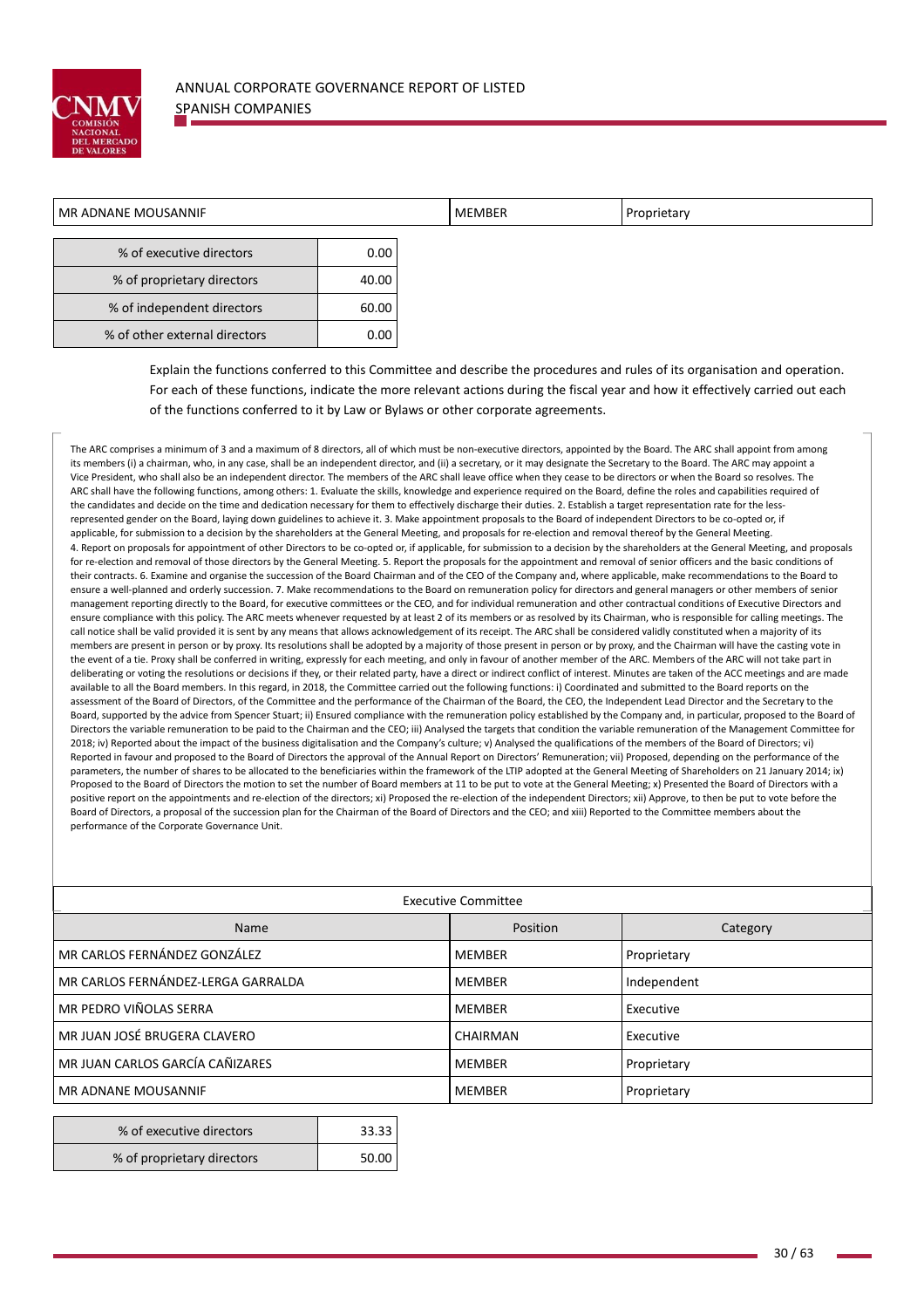

| MR ADNANE MOUSANNIF           |       | <b>MEMBER</b> | Proprietary |  |
|-------------------------------|-------|---------------|-------------|--|
|                               |       |               |             |  |
| % of executive directors      | 0.00  |               |             |  |
| % of proprietary directors    | 40.00 |               |             |  |
| % of independent directors    | 60.00 |               |             |  |
| % of other external directors | 0.00  |               |             |  |
|                               |       |               |             |  |

Explain the functions conferred to this Committee and describe the procedures and rules of its organisation and operation. For each of these functions, indicate the more relevant actions during the fiscal year and how it effectively carried out each of the functions conferred to it by Law or Bylaws or other corporate agreements.

The ARC comprises a minimum of 3 and a maximum of 8 directors, all of which must be non-executive directors, appointed by the Board. The ARC shall appoint from among its members (i) a chairman, who, in any case, shall be an independent director, and (ii) a secretary, or it may designate the Secretary to the Board. The ARC may appoint a Vice President, who shall also be an independent director. The members of the ARC shall leave office when they cease to be directors or when the Board so resolves. The ARC shall have the following functions, among others: 1. Evaluate the skills, knowledge and experience required on the Board, define the roles and capabilities required of the candidates and decide on the time and dedication necessary for them to effectively discharge their duties. 2. Establish a target representation rate for the less represented gender on the Board, laying down guidelines to achieve it. 3. Make appointment proposals to the Board of independent Directors to be co-opted or, if applicable, for submission to a decision by the shareholders at the General Meeting, and proposals for re-election and removal thereof by the General Meeting. 4. Report on proposals for appointment of other Directors to be co-opted or, if applicable, for submission to a decision by the shareholders at the General Meeting, and proposals for re-election and removal of those directors by the General Meeting. 5. Report the proposals for the appointment and removal of senior officers and the basic conditions of their contracts. 6. Examine and organise the succession of the Board Chairman and of the CEO of the Company and, where applicable, make recommendations to the Board to ensure a well-planned and orderly succession. 7. Make recommendations to the Board on remuneration policy for directors and general managers or other members of senior management reporting directly to the Board, for executive committees or the CEO, and for individual remuneration and other contractual conditions of Executive Directors and ensure compliance with this policy. The ARC meets whenever requested by at least 2 of its members or as resolved by its Chairman, who is responsible for calling meetings. The call notice shall be valid provided it is sent by any means that allows acknowledgement of its receipt. The ARC shall be considered validly constituted when a majority of its members are present in person or by proxy. Its resolutions shall be adopted by a majority of those present in person or by proxy, and the Chairman will have the casting vote in the event of a tie. Proxy shall be conferred in writing, expressly for each meeting, and only in favour of another member of the ARC. Members of the ARC will not take part in deliberating or voting the resolutions or decisions if they, or their related party, have a direct or indirect conflict of interest. Minutes are taken of the ACC meetings and are made available to all the Board members. In this regard, in 2018, the Committee carried out the following functions: i) Coordinated and submitted to the Board reports on the assessment of the Board of Directors, of the Committee and the performance of the Chairman of the Board, the CEO, the Independent Lead Director and the Secretary to the Board, supported by the advice from Spencer Stuart; ii) Ensured compliance with the remuneration policy established by the Company and, in particular, proposed to the Board of Directors the variable remuneration to be paid to the Chairman and the CEO; iii) Analysed the targets that condition the variable remuneration of the Management Committee for 2018; iv) Reported about the impact of the business digitalisation and the Company's culture; v) Analysed the qualifications of the members of the Board of Directors; vi) Reported in favour and proposed to the Board of Directors the approval of the Annual Report on Directors' Remuneration; vii) Proposed, depending on the performance of the parameters, the number of shares to be allocated to the beneficiaries within the framework of the LTIP adopted at the General Meeting of Shareholders on 21 January 2014; ix) Proposed to the Board of Directors the motion to set the number of Board members at 11 to be put to vote at the General Meeting; x) Presented the Board of Directors with a positive report on the appointments and re‐election of the directors; xi) Proposed the re‐election of the independent Directors; xii) Approve, to then be put to vote before the Board of Directors, a proposal of the succession plan for the Chairman of the Board of Directors and the CEO; and xiii) Reported to the Committee members about the performance of the Corporate Governance Unit.

| <b>Executive Committee</b>         |                 |             |
|------------------------------------|-----------------|-------------|
| Name                               | Position        | Category    |
| MR CARLOS FERNÁNDEZ GONZÁLEZ       | <b>MEMBER</b>   | Proprietary |
| MR CARLOS FERNÁNDEZ-LERGA GARRALDA | <b>MEMBER</b>   | Independent |
| MR PEDRO VIÑOLAS SERRA             | <b>MEMBER</b>   | Executive   |
| MR JUAN JOSÉ BRUGERA CLAVERO       | <b>CHAIRMAN</b> | Executive   |
| MR JUAN CARLOS GARCÍA CAÑIZARES    | <b>MEMBER</b>   | Proprietary |
| MR ADNANE MOUSANNIF                | <b>MEMBER</b>   | Proprietary |
|                                    |                 |             |

| % of executive directors   | 33.33 |
|----------------------------|-------|
| % of proprietary directors | 50.00 |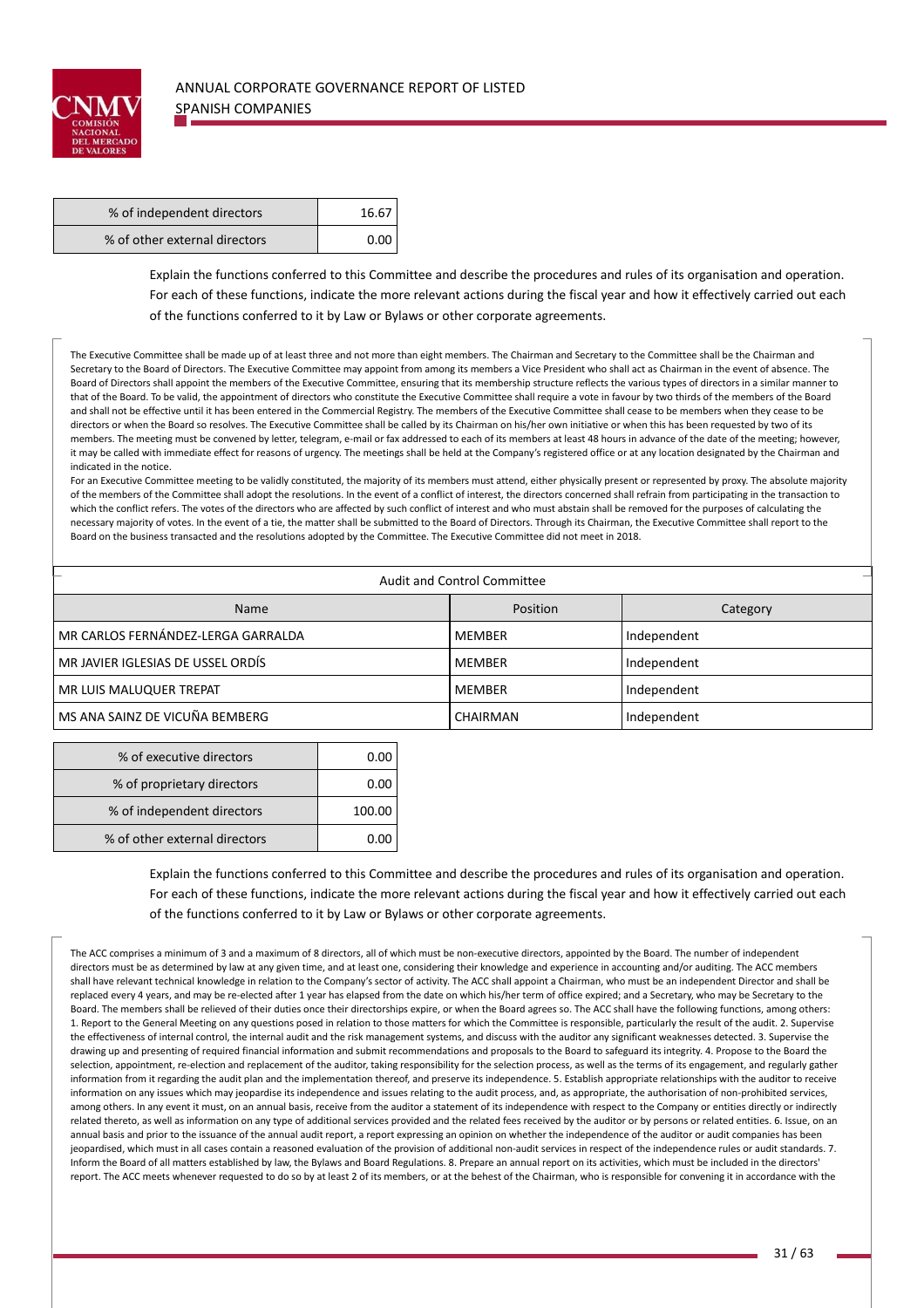

| % of independent directors    | 16.67       |
|-------------------------------|-------------|
| % of other external directors | $0.00 \mid$ |

Explain the functions conferred to this Committee and describe the procedures and rules of its organisation and operation. For each of these functions, indicate the more relevant actions during the fiscal year and how it effectively carried out each of the functions conferred to it by Law or Bylaws or other corporate agreements.

The Executive Committee shall be made up of at least three and not more than eight members. The Chairman and Secretary to the Committee shall be the Chairman and Secretary to the Board of Directors. The Executive Committee may appoint from among its members a Vice President who shall act as Chairman in the event of absence. The Board of Directors shall appoint the members of the Executive Committee, ensuring that its membership structure reflects the various types of directors in a similar manner to that of the Board. To be valid, the appointment of directors who constitute the Executive Committee shall require a vote in favour by two thirds of the members of the Board and shall not be effective until it has been entered in the Commercial Registry. The members of the Executive Committee shall cease to be members when they cease to be directors or when the Board so resolves. The Executive Committee shall be called by its Chairman on his/her own initiative or when this has been requested by two of its members. The meeting must be convened by letter, telegram, e-mail or fax addressed to each of its members at least 48 hours in advance of the date of the meeting; however, it may be called with immediate effect for reasons of urgency. The meetings shall be held at the Company's registered office or at any location designated by the Chairman and indicated in the notice.

For an Executive Committee meeting to be validly constituted, the majority of its members must attend, either physically present or represented by proxy. The absolute majority of the members of the Committee shall adopt the resolutions. In the event of a conflict of interest, the directors concerned shall refrain from participating in the transaction to which the conflict refers. The votes of the directors who are affected by such conflict of interest and who must abstain shall be removed for the purposes of calculating the necessary majority of votes. In the event of a tie, the matter shall be submitted to the Board of Directors. Through its Chairman, the Executive Committee shall report to the Board on the business transacted and the resolutions adopted by the Committee. The Executive Committee did not meet in 2018.

|                                    | <b>Audit and Control Committee</b> |             |
|------------------------------------|------------------------------------|-------------|
| <b>Name</b>                        | Position                           | Category    |
| MR CARLOS FERNÁNDEZ-LERGA GARRALDA | MEMBER                             | Independent |
| MR JAVIER IGLESIAS DE USSEL ORDÍS  | MEMBER                             | Independent |
| MR LUIS MALUQUER TREPAT            | MEMBER                             | Independent |
| MS ANA SAINZ DE VICUÑA BEMBERG     | CHAIRMAN                           | Independent |

| % of executive directors      | 0.00   |
|-------------------------------|--------|
| % of proprietary directors    | 0.00   |
| % of independent directors    | 100.00 |
| % of other external directors | 0.00   |

Explain the functions conferred to this Committee and describe the procedures and rules of its organisation and operation. For each of these functions, indicate the more relevant actions during the fiscal year and how it effectively carried out each of the functions conferred to it by Law or Bylaws or other corporate agreements.

The ACC comprises a minimum of 3 and a maximum of 8 directors, all of which must be non-executive directors, appointed by the Board. The number of independent directors must be as determined by law at any given time, and at least one, considering their knowledge and experience in accounting and/or auditing. The ACC members shall have relevant technical knowledge in relation to the Company's sector of activity. The ACC shall appoint a Chairman, who must be an independent Director and shall be replaced every 4 years, and may be re-elected after 1 year has elapsed from the date on which his/her term of office expired; and a Secretary, who may be Secretary to the Board. The members shall be relieved of their duties once their directorships expire, or when the Board agrees so. The ACC shall have the following functions, among others: 1. Report to the General Meeting on any questions posed in relation to those matters for which the Committee is responsible, particularly the result of the audit. 2. Supervise the effectiveness of internal control, the internal audit and the risk management systems, and discuss with the auditor any significant weaknesses detected. 3. Supervise the drawing up and presenting of required financial information and submit recommendations and proposals to the Board to safeguard its integrity. 4. Propose to the Board the selection, appointment, re-election and replacement of the auditor, taking responsibility for the selection process, as well as the terms of its engagement, and regularly gather information from it regarding the audit plan and the implementation thereof, and preserve its independence. 5. Establish appropriate relationships with the auditor to receive information on any issues which may jeopardise its independence and issues relating to the audit process, and, as appropriate, the authorisation of non-prohibited services, among others. In any event it must, on an annual basis, receive from the auditor a statement of its independence with respect to the Company or entities directly or indirectly related thereto, as well as information on any type of additional services provided and the related ees received by the auditor or by persons or related entities. 6. Issue, on an annual basis and prior to the issuance of the annual audit report, a report expressing an opinion on whether the independence of the auditor or audit companies has been jeopardised, which must in all cases contain a reasoned evaluation of the provision of additional non-audit services in respect of the independence rules or audit standards. 7. Inform the Board of all matters established by law, the Bylaws and Board Regulations. 8. Prepare an annual report on its activities, which must be included in the directors' report. The ACC meets whenever requested to do so by at least 2 of its members, or at the behest of the Chairman, who is responsible for convening it in accordance with the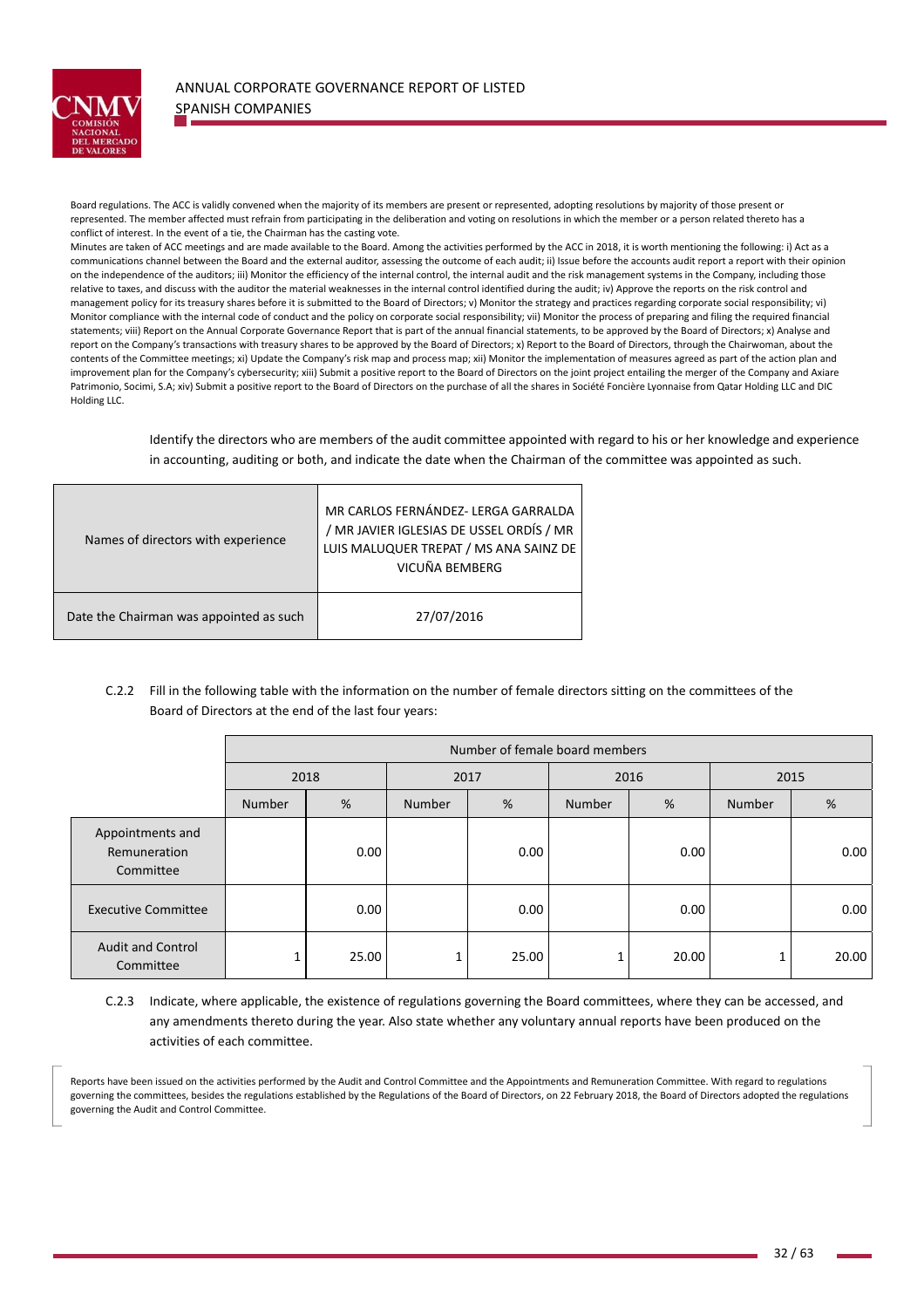

the contract of the contract of the contract of the contract of the contract of the contract of the contract of the contract of the contract of the contract of the contract of the contract of the contract of the contract o

Board regulations. The ACC is validly convened when the majority of its members are present or represented, adopting resolutions by majority of those present or represented. The member affected must refrain from participating in the deliberation and voting on resolutions in which the member or a person related thereto has a conflict of interest. In the event of a tie, the Chairman has the casting vote.

Minutes are taken of ACC meetings and are made available to the Board. Among the activities performed by the ACC in 2018, it is worth mentioning the following: i) Act as a communications channel between the Board and the external auditor, assessing the outcome of each audit; ii) Issue before the accounts audit report a report with their opinion on the independence of the auditors; iii) Monitor the efficiency of the internal control, the internal audit and the risk management systems in the Company, including those relative to taxes, and discuss with the auditor the material weaknesses in the internal control identified during the audit; iv) Approve the reports on the risk control and management policy for its treasury shares before it is submitted to the Board of Directors; v) Monitor the strategy and practices regarding corporate social responsibility; vi) Monitor compliance with the internal code of conduct and the policy on corporate social responsibility; vii) Monitor the process of preparing and filing the required financial statements; viii) Report on the Annual Corporate Governance Report that is part of the annual financial statements, to be approved by the Board of Directors; x) Analyse and report on the Company's transactions with treasury shares to be approved by the Board of Directors; x) Report to the Board of Directors, through the Chairwoman, about the contents of the Committee meetings; xi) Update the Company's risk map and process map; xii) Monitor the implementation of measures agreed as part of the action plan and improvement plan for the Company's cybersecurity; xiii) Submit a positive report to the Board of Directors on the joint project entailing the merger of the Company and Axiare Patrimonio, Socimi, S.A; xiv) Submit a positive report to the Board of Directors on the purchase of all the shares in Société Foncière Lyonnaise from Qatar Holding LLC and DIC Holding LLC.

> Identify the directors who are members of the audit committee appointed with regard to his or her knowledge and experience in accounting, auditing or both, and indicate the date when the Chairman of the committee was appointed as such.

| Names of directors with experience      | MR CARLOS FERNÁNDEZ- LERGA GARRALDA<br>/ MR JAVIER IGLESIAS DE USSEL ORDÍS / MR<br>LUIS MALUQUER TREPAT / MS ANA SAINZ DE<br>VICUÑA BEMBERG |
|-----------------------------------------|---------------------------------------------------------------------------------------------------------------------------------------------|
| Date the Chairman was appointed as such | 27/07/2016                                                                                                                                  |

C.2.2 Fill in the following table with the information on the number of female directors sitting on the committees of the Board of Directors at the end of the last four years:

|                                               |               |       |               | Number of female board members |               |       |               |       |
|-----------------------------------------------|---------------|-------|---------------|--------------------------------|---------------|-------|---------------|-------|
|                                               | 2018          |       | 2017          |                                |               | 2016  | 2015          |       |
|                                               | <b>Number</b> | %     | <b>Number</b> | %                              | <b>Number</b> | %     | <b>Number</b> | %     |
| Appointments and<br>Remuneration<br>Committee |               | 0.00  |               | 0.00                           |               | 0.00  |               | 0.00  |
| <b>Executive Committee</b>                    |               | 0.00  |               | 0.00                           |               | 0.00  |               | 0.00  |
| <b>Audit and Control</b><br>Committee         |               | 25.00 | 1             | 25.00                          |               | 20.00 | 1             | 20.00 |

C.2.3 Indicate, where applicable, the existence of regulations governing the Board committees, where they can be accessed, and any amendments thereto during the year. Also state whether any voluntary annual reports have been produced on the activities of each committee.

Reports have been issued on the activities performed by the Audit and Control Committee and the Appointments and Remuneration Committee. With regard to regulations governing the committees, besides the regulations established by the Regulations of the Board of Directors, on 22 February 2018, the Board of Directors adopted the regulations governing the Audit and Control Committee.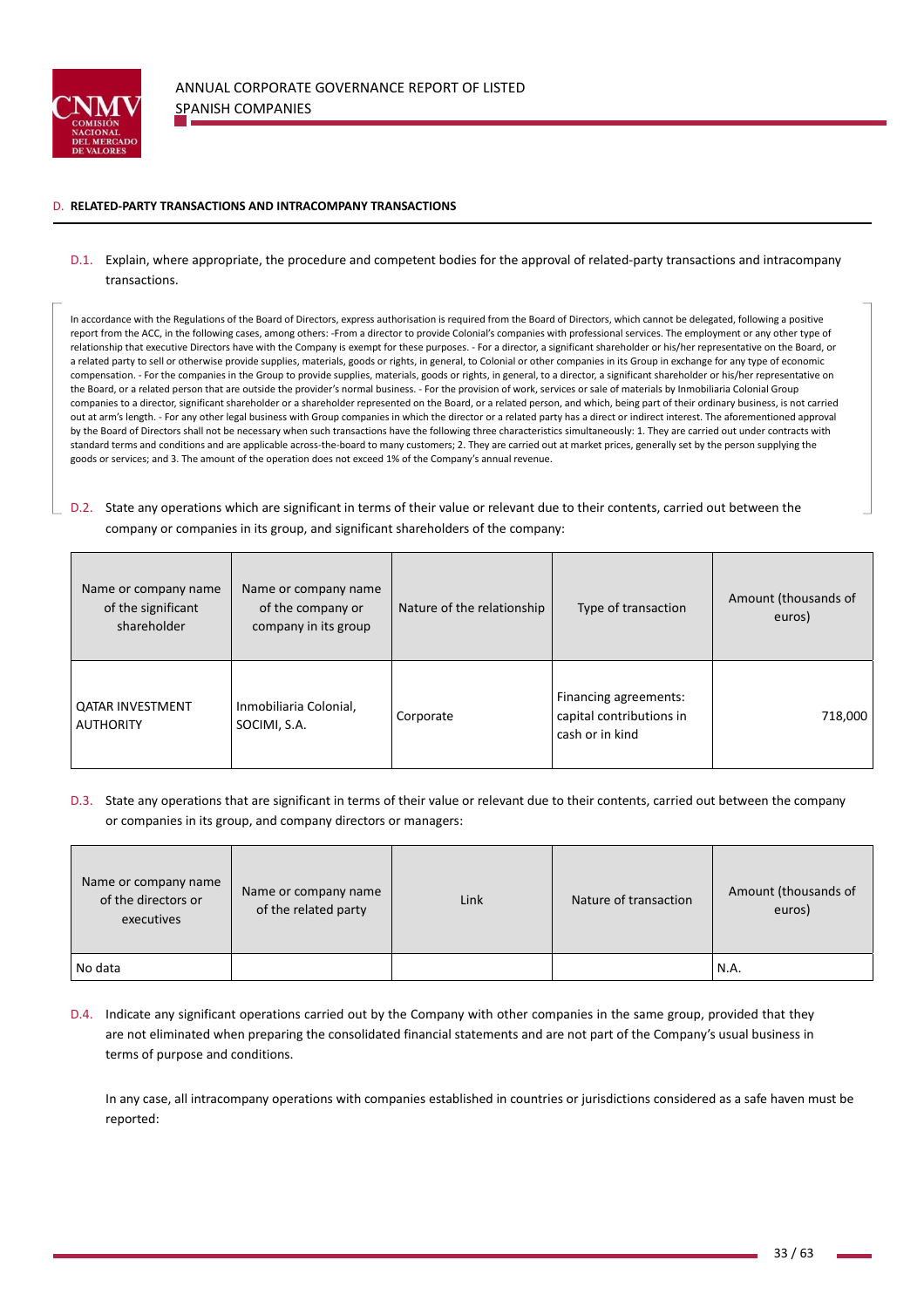

### D. **RELATED‐PARTY TRANSACTIONS AND INTRACOMPANY TRANSACTIONS**

## D.1. Explain, where appropriate, the procedure and competent bodies for the approval of related-party transactions and intracompany transactions.

In accordance with the Regulations of the Board of Directors, express authorisation is required from the Board of Directors, which cannot be delegated, following a positive report from the ACC, in the following cases, among others: ‐From a director to provide Colonial's companies with professional services. The employment or any other type of relationship that executive Directors have with the Company is exempt for these purposes. ‐ For a director, a significant shareholder or his/her representative on the Board, or a related party to sell or otherwise provide supplies, materials, goods or rights, in general, to Colonial or other companies in its Group in exchange for any type of economic compensation. - For the companies in the Group to provide supplies, materials, goods or rights, in general, to a director, a significant shareholder or his/her representative on the Board, or a related person that are outside the provider's normal business. ‐ For the provision of work, services or sale of materials by Inmobiliaria Colonial Group companies to a director, significant shareholder or a shareholder represented on the Board, or a related person, and which, being part of their ordinary business, is not carried out at arm's length. - For any other legal business with Group companies in which the director or a related party has a direct or indirect interest. The aforementioned approval by the Board of Directors shall not be necessary when such transactions have the following three characteristics simultaneously: 1. They are carried out under contracts with standard terms and conditions and are applicable across‐the‐board to many customers; 2. They are carried out at market prices, generally set by the person supplying the goods or services; and 3. The amount of the operation does not exceed 1% of the Company's annual revenue.

D.2. State any operations which are significant in terms of their value or relevant due to their contents, carried out between the company or companies in its group, and significant shareholders of the company:

| Name or company name<br>of the significant<br>shareholder | Name or company name<br>of the company or<br>company in its group | Nature of the relationship | Type of transaction                                                  | Amount (thousands of<br>euros) |
|-----------------------------------------------------------|-------------------------------------------------------------------|----------------------------|----------------------------------------------------------------------|--------------------------------|
| <b>QATAR INVESTMENT</b><br><b>AUTHORITY</b>               | Inmobiliaria Colonial,<br>SOCIMI, S.A.                            | Corporate                  | Financing agreements:<br>capital contributions in<br>cash or in kind | 718,000                        |

D.3. State any operations that are significant in terms of their value or relevant due to their contents, carried out between the company or companies in its group, and company directors or managers:

| Name or company name<br>of the directors or<br>executives | Name or company name<br>of the related party | Link | Nature of transaction | Amount (thousands of<br>euros) |
|-----------------------------------------------------------|----------------------------------------------|------|-----------------------|--------------------------------|
| No data                                                   |                                              |      |                       | N.A.                           |

D.4. Indicate any significant operations carried out by the Company with other companies in the same group, provided that they are not eliminated when preparing the consolidated financial statements and are not part of the Company's usual business in terms of purpose and conditions.

In any case, all intracompany operations with companies established in countries or jurisdictions considered as a safe haven must be reported: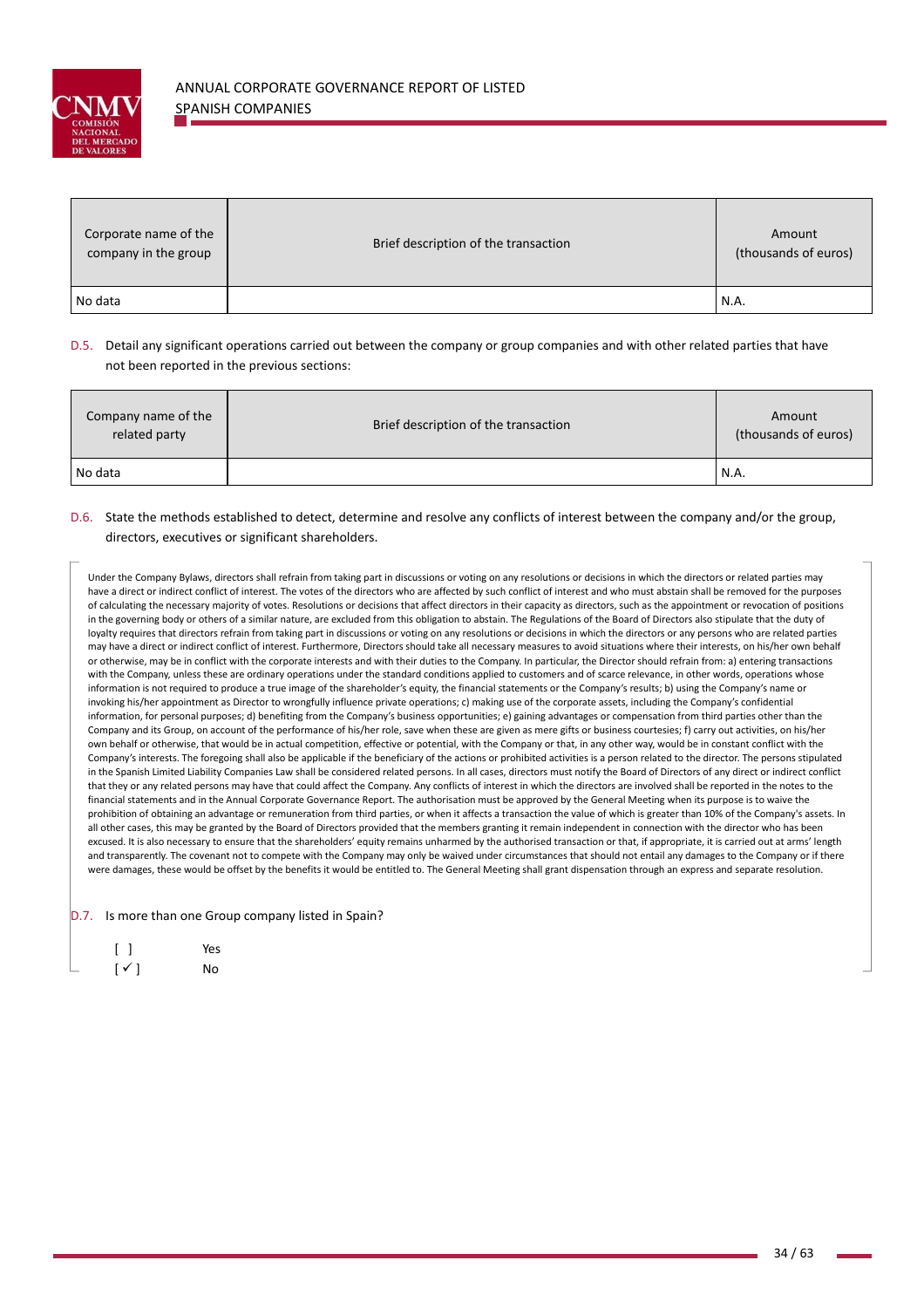

| Corporate name of the<br>company in the group | Brief description of the transaction | Amount<br>(thousands of euros) |
|-----------------------------------------------|--------------------------------------|--------------------------------|
| No data                                       |                                      | N.A.                           |

## D.5. Detail any significant operations carried out between the company or group companies and with other related parties that have not been reported in the previous sections:

| Company name of the<br>related party | Brief description of the transaction | Amount<br>(thousands of euros) |
|--------------------------------------|--------------------------------------|--------------------------------|
| No data                              |                                      | N.A.                           |

# D.6. State the methods established to detect, determine and resolve any conflicts of interest between the company and/or the group, directors, executives or significant shareholders.

Under the Company Bylaws, directors shall refrain from taking part in discussions or voting on any resolutions or decisions in which the directors or related parties may have a direct or indirect conflict of interest. The votes of the directors who are affected by such conflict of interest and who must abstain shall be removed for the purposes of calculating the necessary majority of votes. Resolutions or decisions that affect directors in their capacity as directors, such as the appointment or revocation of positions in the governing body or others of a similar nature, are excluded from this obligation to abstain. The Regulations of the Board of Directors also stipulate that the duty of loyalty requires that directors refrain from taking part in discussions or voting on any resolutions or decisions in which the directors or any persons who are related parties may have a direct or indirect conflict of interest. Furthermore, Directors should take all necessary measures to avoid situations where their interests, on his/her own behalf or otherwise, may be in conflict with the corporate interests and with their duties to the Company. In particular, the Director should refrain from: a) entering transactions with the Company, unless these are ordinary operations under the standard conditions applied to customers and of scarce relevance, in other words, operations whose information is not required to produce a true image of the shareholder's equity, the financial statements or the Company's results; b) using the Company's name or invoking his/her appointment as Director to wrongfully influence private operations; c) making use of the corporate assets, including the Company's confidential information, for personal purposes; d) benefiting from the Company's business opportunities; e) gaining advantages or compensation from third parties other than the Company and its Group, on account of the performance of his/her role, save when these are given as mere gifts or business courtesies; f) carry out activities, on his/her own behalf or otherwise, that would be in actual competition, effective or potential, with the Company or that, in any other way, would be in constant conflict with the Company's interests. The foregoing shall also be applicable if the beneficiary of the actions or prohibited activities is a person related to the director. The persons stipulated in the Spanish Limited Liability Companies Law shall be considered related persons. In all cases, directors must notify the Board of Directors of any direct or indirect conflict that they or any related persons may have that could affect the Company. Any conflicts of interest in which the directors are involved shall be reported in the notes to the financial statements and in the Annual Corporate Governance Report. The authorisation must be approved by the General Meeting when its purpose is to waive the prohibition of obtaining an advantage or remuneration from third parties, or when it affects a transaction the value of which is greater than 10% of the Company's assets. In all other cases, this may be granted by the Board of Directors provided that the members granting it remain independent in connection with the director who has been excused. It is also necessary to ensure that the shareholders' equity remains unharmed by the authorised transaction or that, if appropriate, it is carried out at arms' length and transparently. The covenant not to compete with the Company may only be waived under circumstances that should not entail any damages to the Company or if there were damages, these would be offset by the benefits it would be entitled to. The General Meeting shall grant dispensation through an express and separate resolution.

D.7. Is more than one Group company listed in Spain?

|   | $\begin{bmatrix} \end{bmatrix}$ | Yes |
|---|---------------------------------|-----|
| ۰ | $[\vee]$                        | No  |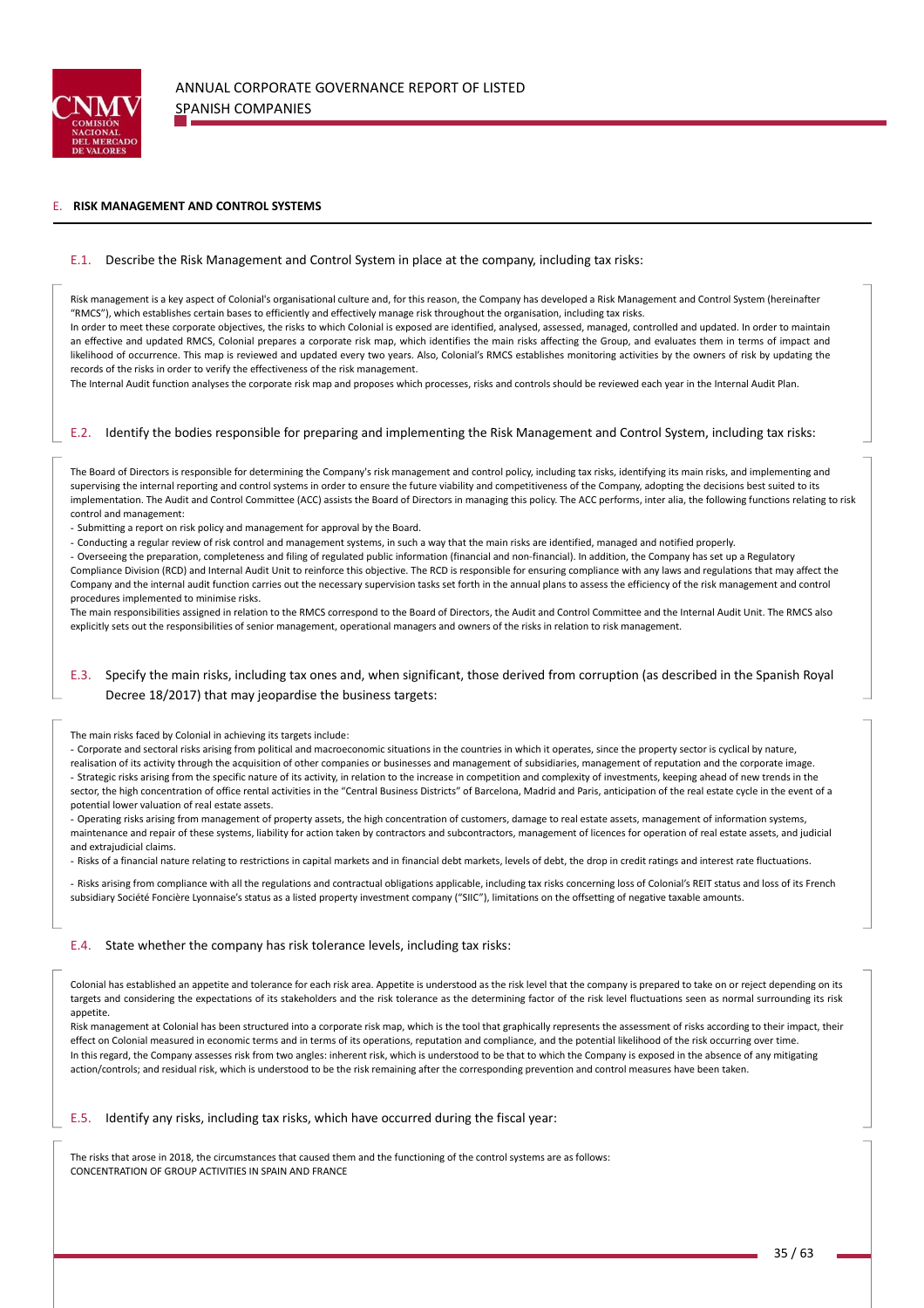

#### E. **RISK MANAGEMENT AND CONTROL SYSTEMS**

#### E.1. Describe the Risk Management and Control System in place at the company, including tax risks:

Risk management is a key aspect of Colonial's organisational culture and, for this reason, the Company has developed a Risk Management and Control System (hereinafter "RMCS"), which establishes certain bases to efficiently and effectively manage risk throughout the organisation, including tax risks. In order to meet these corporate objectives, the risks to which Colonial is exposed are identified, analysed, assessed, managed, controlled and updated. In order to maintain an effective and updated RMCS, Colonial prepares a corporate risk map, which identifies the main risks affecting the Group, and evaluates them in terms of impact and likelihood of occurrence. This map is reviewed and updated every two years. Also, Colonial's RMCS establishes monitoring activities by the owners of risk by updating the records of the risks in order to verify the effectiveness of the risk management.

The Internal Audit function analyses the corporate risk map and proposes which processes, risks and controls should be reviewed each year in the Internal Audit Plan.

### E.2. Identify the bodies responsible for preparing and implementing the Risk Management and Control System, including tax risks:

The Board of Directors is responsible for determining the Company's risk management and control policy, including tax risks, identifying its main risks, and implementing and supervising the internal reporting and control systems in order to ensure the future viability and competitiveness of the Company, adopting the decisions best suited to its implementation. The Audit and Control Committee (ACC) assists the Board of Directors in managing this policy. The ACC performs, inter alia, the following functions relating to risk control and management:

- Submitting a report on risk policy and management for approval by the Board.

- Conducting a regular review of risk control and management systems, in such a way that the main risks are identified, managed and notified properly.

- Overseeing the preparation, completeness and filing of regulated public information (financial and non‐financial). In addition, the Company has set up a Regulatory Compliance Division (RCD) and Internal Audit Unit to reinforce this objective. The RCD is responsible for ensuring compliance with any laws and regulations that may affect the Company and the internal audit function carries out the necessary supervision tasks set forth in the annual plans to assess the efficiency of the risk management and control procedures implemented to minimise risks.

The main responsibilities assigned in relation to the RMCS correspond to the Board of Directors, the Audit and Control Committee and the Internal Audit Unit. The RMCS also explicitly sets out the responsibilities of senior management, operational managers and owners of the risks in relation to risk management.

# E.3. Specify the main risks, including tax ones and, when significant, those derived from corruption (as described in the Spanish Royal Decree 18/2017) that may jeopardise the business targets:

#### The main risks faced by Colonial in achieving its targets include:

- Corporate and sectoral risks arising from political and macroeconomic situations in the countries in which it operates, since the property sector is cyclical by nature, realisation of its activity through the acquisition of other companies or businesses and management of subsidiaries, management of reputation and the corporate image. - Strategic risks arising from the specific nature of its activity, in relation to the increase in competition and complexity of investments, keeping ahead of new trends in the sector, the high concentration of office rental activities in the "Central Business Districts" of Barcelona, Madrid and Paris, anticipation of the real estate cycle in the event of a potential lower valuation of real estate assets.

- Operating risks arising from management of property assets, the high concentration of customers, damage to real estate assets, management of information systems, maintenance and repair of these systems, liability for action taken by contractors and subcontractors, management of licences for operation of real estate assets, and judicial and extrajudicial claims.

- Risks of a financial nature relating to restrictions in capital markets and in financial debt markets, levels of debt, the drop in credit ratings and interest rate fluctuations.

- Risks arising from compliance with all the regulations and contractual obligations applicable, including tax risks concerning loss of Colonial's REIT status and loss of its French subsidiary Société Foncière Lyonnaise's status as a listed property investment company ("SIIC"), limitations on the offsetting of negative taxable amounts.

#### E.4. State whether the company has risk tolerance levels, including tax risks:

Colonial has established an appetite and tolerance for each risk area. Appetite is understood as the risk level that the company is prepared to take on or reject depending on its targets and considering the expectations of its stakeholders and the risk tolerance as the determining factor of the risk level fluctuations seen as normal surrounding its risk appetite.

Risk management at Colonial has been structured into a corporate risk map, which is the tool that graphically represents the assessment of risks according to their impact, their effect on Colonial measured in economic terms and in terms of its operations, reputation and compliance, and the potential likelihood of the risk occurring over time. In this regard, the Company assesses risk from two angles: inherent risk, which is understood to be that to which the Company is exposed in the absence of any mitigating action/controls; and residual risk, which is understood to be the risk remaining after the corresponding prevention and control measures have been taken.

#### E.5. Identify any risks, including tax risks, which have occurred during the fiscal year:

The risks that arose in 2018, the circumstances that caused them and the functioning of the control systems are as follows: CONCENTRATION OF GROUP ACTIVITIES IN SPAIN AND FRANCE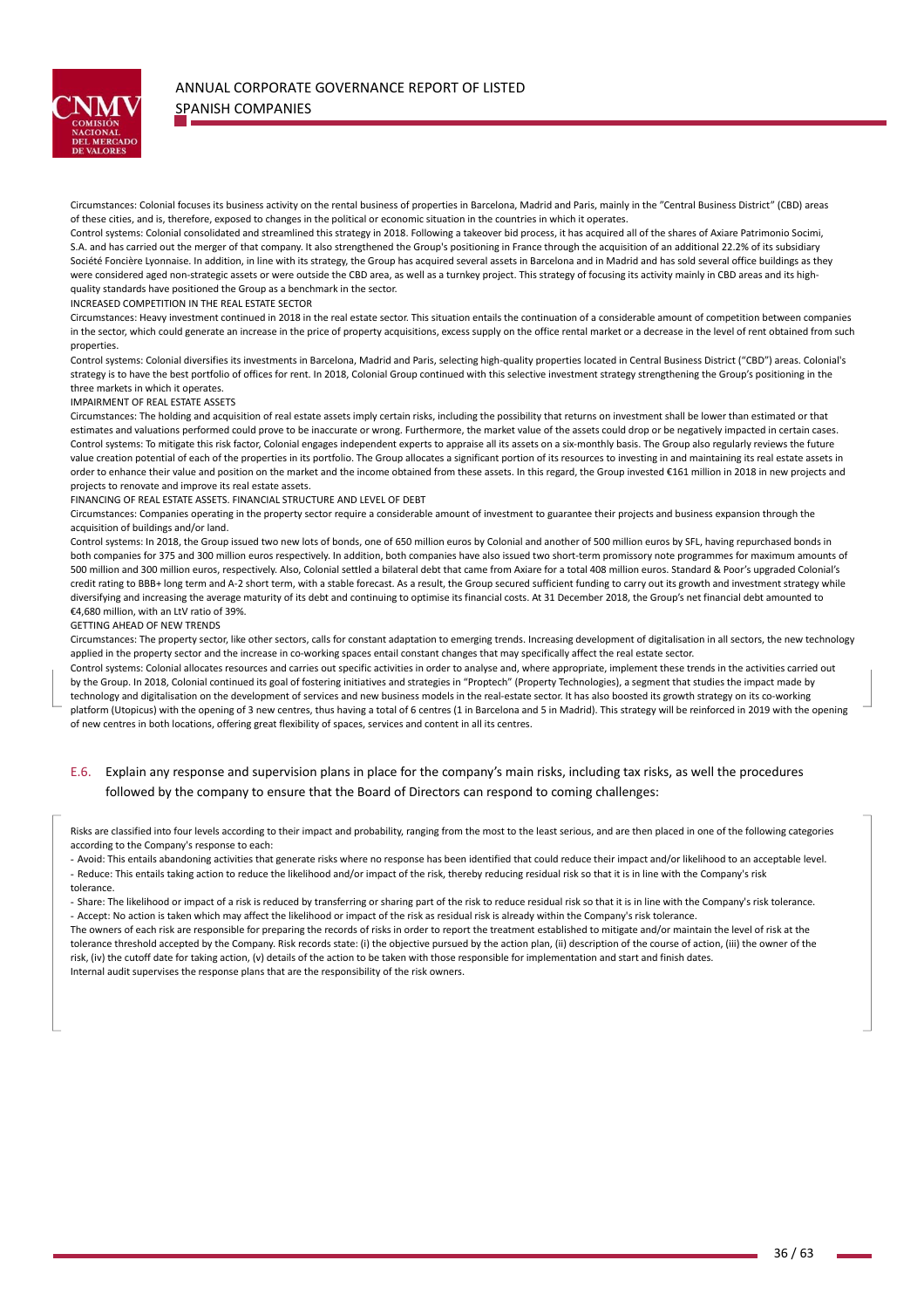

Circumstances: Colonial focuses its business activity on the rental business of properties in Barcelona, Madrid and Paris, mainly in the "Central Business District" (CBD) areas of these cities, and is, therefore, exposed to changes in the political or economic situation in the countries in which it operates.

Control systems: Colonial consolidated and streamlined this strategy in 2018. Following a takeover bid process, it has acquired all of the shares of Axiare Patrimonio Socimi, S.A. and has carried out the merger of that company. It also strengthened the Group's positioning in France through the acquisition of an additional 22.2% of its subsidiary Société Foncière Lyonnaise. In addition, in line with its strategy, the Group has acquired several assets in Barcelona and in Madrid and has sold several office buildings as they were considered aged non-strategic assets or were outside the CBD area, as well as a turnkey project. This strategy of focusing its activity mainly in CBD areas and its highquality standards have positioned the Group as a benchmark in the sector.

INCREASED COMPETITION IN THE REAL ESTATE SECTOR

Circumstances: Heavy investment continued in 2018 in the real estate sector. This situation entails the continuation of a considerable amount of competition between companies in the sector, which could generate an increase in the price of property acquisitions, excess supply on the office rental market or a decrease in the level of rent obtained from such properties.

Control systems: Colonial diversifies its investments in Barcelona, Madrid and Paris, selecting high‐quality properties located in Central Business District ("CBD") areas. Colonial's strategy is to have the best portfolio of offices for rent. In 2018, Colonial Group continued with this selective investment strategy strengthening the Group's positioning in the three markets in which it operates.

#### IMPAIRMENT OF REAL ESTATE ASSETS

Circumstances: The holding and acquisition of real estate assets imply certain risks, including the possibility that returns on investment shall be lower than estimated or that estimates and valuations performed could prove to be inaccurate or wrong. Furthermore, the market value of the assets could drop or be negatively impacted in certain cases. Control systems: To mitigate this risk factor, Colonial engages independent experts to appraise all its assets on a six-monthly basis. The Group also regularly reviews the future value creation potential of each of the properties in its portfolio. The Group allocates a significant portion of its resources to investing in and maintaining its real estate assets in order to enhance their value and position on the market and the income obtained from these assets. In this regard, the Group invested €161 million in 2018 in new projects and projects to renovate and improve its real estate assets.

#### FINANCING OF REAL ESTATE ASSETS. FINANCIAL STRUCTURE AND LEVEL OF DEBT

Circumstances: Companies operating in the property sector require a considerable amount of investment to guarantee their projects and business expansion through the acquisition of buildings and/or land.

Control systems: In 2018, the Group issued two new lots of bonds, one of 650 million euros by Colonial and another of 500 million euros by SFL, having repurchased bonds in both companies for 375 and 300 million euros respectively. In addition, both companies have also issued two short-term promissory note programmes for maximum amounts of 500 million and 300 million euros, respectively. Also, Colonial settled a bilateral debt that came from Axiare for a total 408 million euros. Standard & Poor's upgraded Colonial's credit rating to BBB+ long term and A-2 short term, with a stable forecast. As a result, the Group secured sufficient funding to carry out its growth and investment strategy while diversifying and increasing the average maturity of its debt and continuing to optimise its financial costs. At 31 December 2018, the Group's net financial debt amounted to €4,680 million, with an LtV ratio of 39%.

#### GETTING AHEAD OF NEW TRENDS

the contract of the contract of the

Circumstances: The property sector, like other sectors, calls for constant adaptation to emerging trends. Increasing development of digitalisation in all sectors, the new technology applied in the property sector and the increase in co-working spaces entail constant changes that may specifically affect the real estate sector.

Control systems: Colonial allocates resources and carries out specific activities in order to analyse and, where appropriate, implement these trends in the activities carried out by the Group. In 2018, Colonial continued its goal of fostering initiatives and strategies in "Proptech" (Property Technologies), a segment that studies the impact made by technology and digitalisation on the development of services and new business models in the real‐estate sector. It has also boosted its growth strategy on its co‐working platform (Utopicus) with the opening of 3 new centres, thus having a total of 6 centres (1 in Barcelona and 5 in Madrid). This strategy will be reinforced in 2019 with the opening of new centres in both locations, offering great flexibility of spaces, services and content in all its centres.

## E.6. Explain any response and supervision plans in place for the company's main risks, including tax risks, as well the procedures followed by the company to ensure that the Board of Directors can respond to coming challenges:

Risks are classified into four levels according to their impact and probability, ranging from the most to the least serious, and are then placed in one of the following categories according to the Company's response to each:

- Avoid: This entails abandoning activities that generate risks where no response has been identified that could reduce their impact and/or likelihood to an acceptable level. - Reduce: This entails taking action to reduce the likelihood and/or impact of the risk, thereby reducing residual risk so that it is in line with the Company's risk tolerance.

- Share: The likelihood or impact of a risk is reduced by transferring or sharing part of the risk to reduce residual risk so that it is in line with the Company's risk tolerance. - Accept: No action is taken which may affect the likelihood or impact of the risk as residual risk is already within the Company's risk tolerance.

The owners of each risk are responsible for preparing the records of risks in order to report the treatment established to mitigate and/or maintain the level of risk at the tolerance threshold accepted by the Company. Risk records state: (i) the objective pursued by the action plan, (ii) description of the course of action, (iii) the owner of the risk, (iv) the cutoff date for taking action, (v) details of the action to be taken with those responsible for implementation and start and finish dates. Internal audit supervises the response plans that are the responsibility of the risk owners.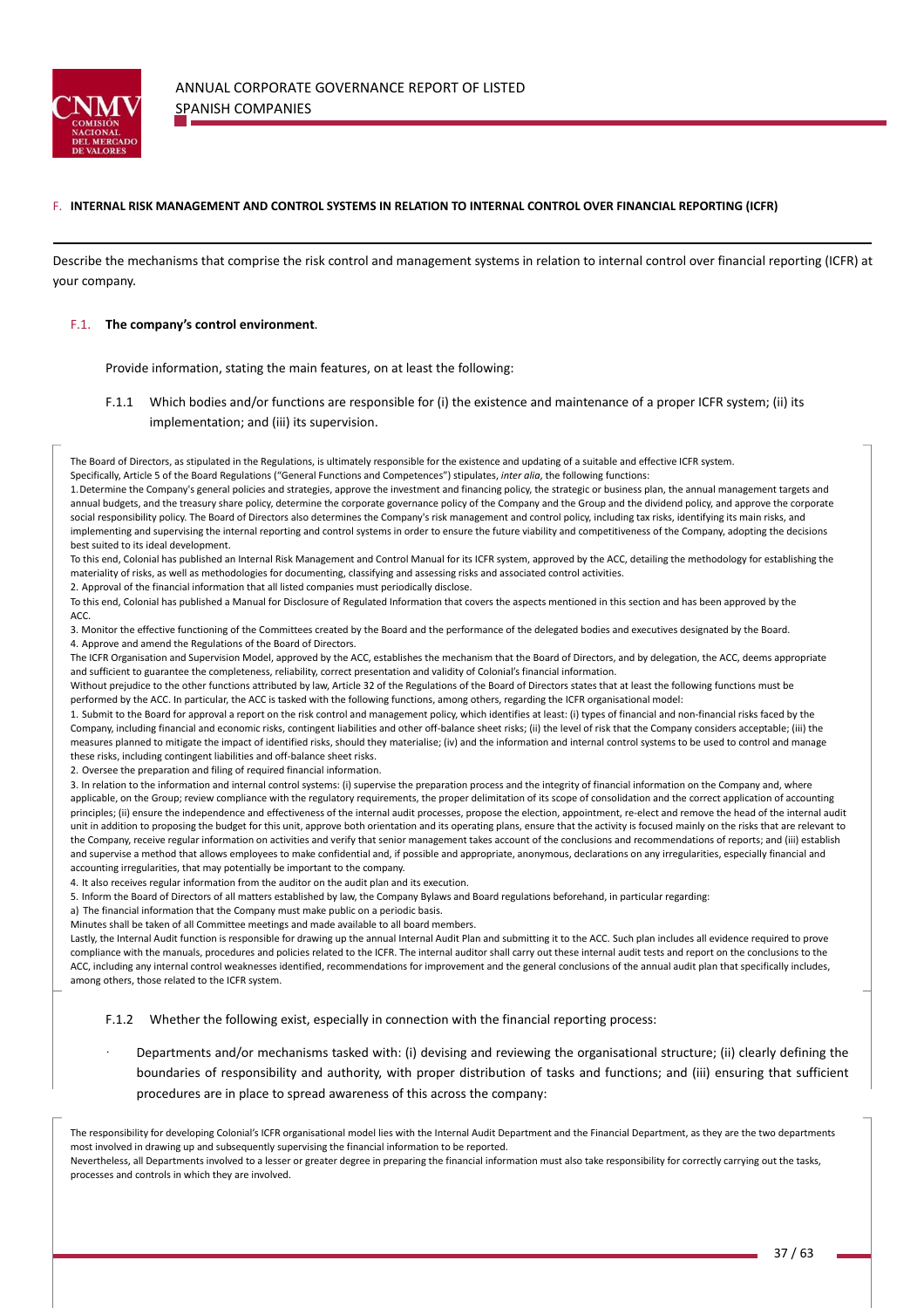

### F. **INTERNAL RISK MANAGEMENT AND CONTROL SYSTEMS IN RELATION TO INTERNAL CONTROL OVER FINANCIAL REPORTING (ICFR)**

Describe the mechanisms that comprise the risk control and management systems in relation to internal control over financial reporting (ICFR) at your company.

### F.1. **The company's control environment**.

Provide information, stating the main features, on at least the following:

F.1.1 Which bodies and/or functions are responsible for (i) the existence and maintenance of a proper ICFR system; (ii) its implementation; and (iii) its supervision.

The Board of Directors, as stipulated in the Regulations, is ultimately responsible for the existence and updating of a suitable and effective ICFR system. Specifically, Article 5 of the Board Regulations ("General Functions and Competences") stipulates, *inter alia*, the following functions:

1.Determine the Company's general policies and strategies, approve the investment and financing policy, the strategic or business plan, the annual management targets and annual budgets, and the treasury share policy, determine the corporate governance policy of the Company and the Group and the dividend policy, and approve the corporate social responsibility policy. The Board of Directors also determines the Company's risk management and control policy, including tax risks, identifying its main risks, and implementing and supervising the internal reporting and control systems in order to ensure the future viability and competitiveness of the Company, adopting the decisions best suited to its ideal development.

To this end, Colonial has published an Internal Risk Management and Control Manual for its ICFR system, approved by the ACC, detailing the methodology for establishing the materiality of risks, as well as methodologies for documenting, classifying and assessing risks and associated control activities.

2. Approval of the financial information that all listed companies must periodically disclose.

To this end, Colonial has published a Manual for Disclosure of Regulated Information that covers the aspects mentioned in this section and has been approved by the ACC.

3. Monitor the effective functioning of the Committees created by the Board and the performance of the delegated bodies and executives designated by the Board. 4. Approve and amend the Regulations of the Board of Directors.

The ICFR Organisation and Supervision Model, approved by the ACC, establishes the mechanism that the Board of Directors, and by delegation, the ACC, deems appropriate and sufficient to guarantee the completeness, reliability, correct presentation and validity of Colonial's financial information.

Without prejudice to the other functions attributed by law, Article 32 of the Regulations of the Board of Directors states that at least the following functions must be performed by the ACC. In particular, the ACC is tasked with the following functions, among others, regarding the ICFR organisational model:

1. Submit to the Board for approval a report on the risk control and management policy, which identifies at least: (i) types of financial and non‐financial risks faced by the Company, including financial and economic risks, contingent liabilities and other off-balance sheet risks; (ii) the level of risk that the Company considers acceptable; (iii) the measures planned to mitigate the impact of identified risks, should they materialise; (iv) and the information and internal control systems to be used to control and manage these risks, including contingent liabilities and off‐balance sheet risks.

2. Oversee the preparation and filing of required financial information.

3. In relation to the information and internal control systems: (i) supervise the preparation process and the integrity of financial information on the Company and, where applicable, on the Group; review compliance with the regulatory requirements, the proper delimitation of its scope of consolidation and the correct application of accounting principles; (ii) ensure the independence and effectiveness of the internal audit processes, propose the election, appointment, re-elect and remove the head of the internal audit unit in addition to proposing the budget for this unit, approve both orientation and its operating plans, ensure that the activity is focused mainly on the risks that are relevant to the Company, receive regular information on activities and verify that senior management takes account of the conclusions and recommendations of reports; and (iii) establish and supervise a method that allows employees to make confidential and, if possible and appropriate, anonymous, declarations on any irregularities, especially financial and accounting irregularities, that may potentially be important to the company.

4. It also receives regular information from the auditor on the audit plan and its execution.

5. Inform the Board of Directors of all matters established by law, the Company Bylaws and Board regulations beforehand, in particular regarding:

a) The financial information that the Company must make public on a periodic basis.

Minutes shall be taken of all Committee meetings and made available to all board members.

Lastly, the Internal Audit function is responsible for drawing up the annual Internal Audit Plan and submitting it to the ACC. Such plan includes all evidence required to prove compliance with the manuals, procedures and policies related to the ICFR. The internal auditor shall carry out these internal audit tests and report on the conclusions to the ACC, including any internal control weaknesses identified, recommendations for improvement and the general conclusions of the annual audit plan that specifically includes, among others, those related to the ICFR system.

F.1.2 Whether the following exist, especially in connection with the financial reporting process:

ꞏ Departments and/or mechanisms tasked with: (i) devising and reviewing the organisational structure; (ii) clearly defining the boundaries of responsibility and authority, with proper distribution of tasks and functions; and (iii) ensuring that sufficient procedures are in place to spread awareness of this across the company:

The responsibility for developing Colonial's ICFR organisational model lies with the Internal Audit Department and the Financial Department, as they are the two departments most involved in drawing up and subsequently supervising the financial information to be reported.

Nevertheless, all Departments involved to a lesser or greater degree in preparing the financial information must also take responsibility for correctly carrying out the tasks, processes and controls in which they are involved.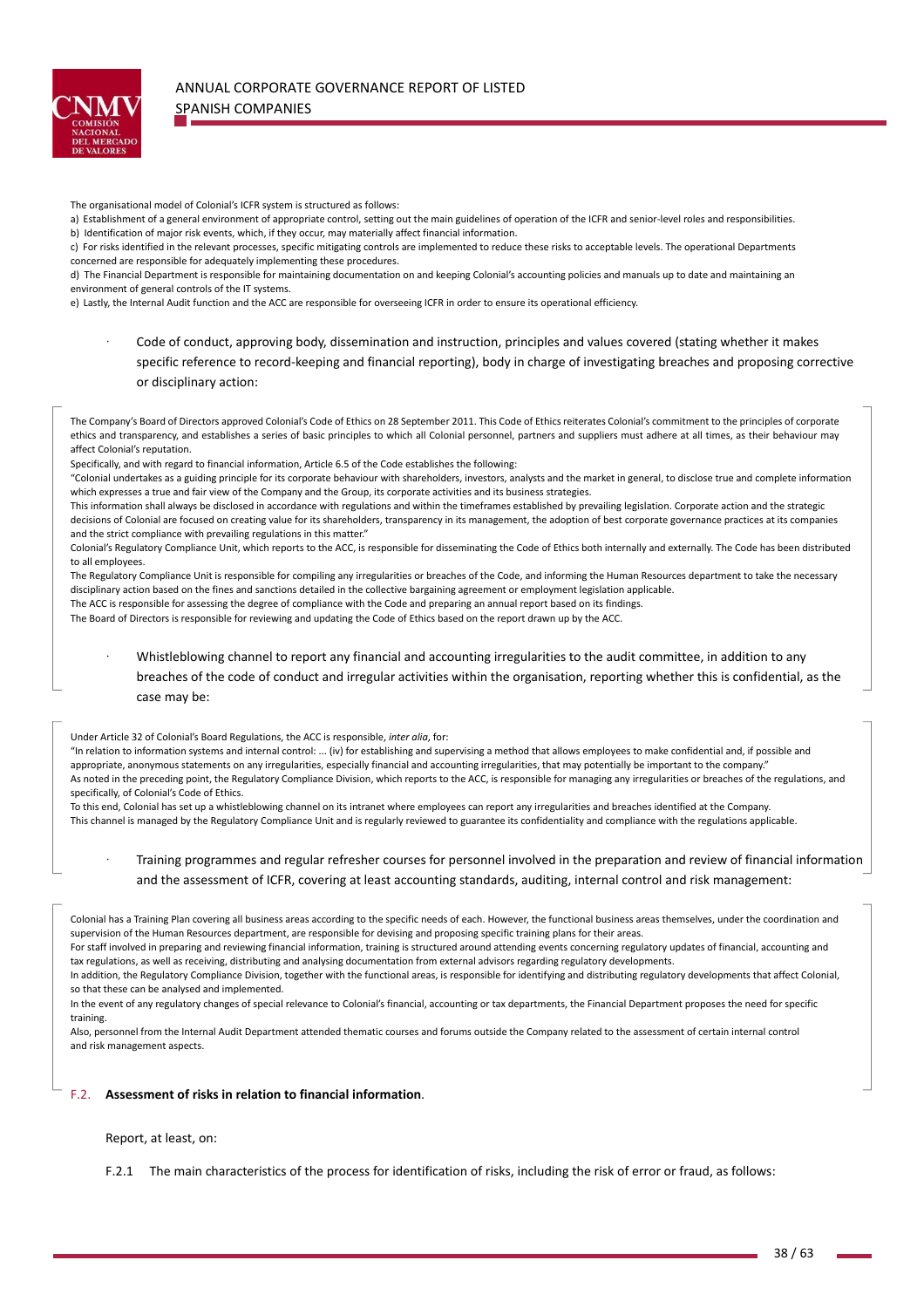

The organisational model of Colonial's ICFR system is structured as follows:

a) Establishment of a general environment of appropriate control, setting out the main guidelines of operation of the ICFR and senior-level roles and responsibilities. b) Identification of major risk events, which, if they occur, may materially affect financial information.

c) For risks identified in the relevant processes, specific mitigating controls are implemented to reduce these risks to acceptable levels. The operational Departments concerned are responsible for adequately implementing these procedures.

d) The Financial Department is responsible for maintaining documentation on and keeping Colonial's accounting policies and manuals up to date and maintaining an environment of general controls of the IT systems.

e) Lastly, the Internal Audit function and the ACC are responsible for overseeing ICFR in order to ensure its operational efficiency.

ꞏ Code of conduct, approving body, dissemination and instruction, principles and values covered (stating whether it makes specific reference to record-keeping and financial reporting), body in charge of investigating breaches and proposing corrective or disciplinary action:

The Company's Board of Directors approved Colonial's Code of Ethics on 28 September 2011. This Code of Ethics reiterates Colonial's commitment to the principles of corporate ethics and transparency, and establishes a series of basic principles to which all Colonial personnel, partners and suppliers must adhere at all times, as their behaviour may affect Colonial's reputation.

Specifically, and with regard to financial information, Article 6.5 of the Code establishes the following:

"Colonial undertakes as a guiding principle for its corporate behaviour with shareholders, investors, analysts and the market in general, to disclose true and complete information which expresses a true and fair view of the Company and the Group, its corporate activities and its business strategies.

This information shall always be disclosed in accordance with regulations and within the timeframes established by prevailing legislation. Corporate action and the strategic decisions of Colonial are focused on creating value for its shareholders, transparency in its management, the adoption of best corporate governance practices at its companies and the strict compliance with prevailing regulations in this matter."

Colonial's Regulatory Compliance Unit, which reports to the ACC, is responsible for disseminating the Code of Ethics both internally and externally. The Code has been distributed to all employees.

The Regulatory Compliance Unit is responsible for compiling any irregularities or breaches of the Code, and informing the Human Resources department to take the necessary disciplinary action based on the fines and sanctions detailed in the collective bargaining agreement or employment legislation applicable.

The ACC is responsible for assessing the degree of compliance with the Code and preparing an annual report based on its findings. The Board of Directors is responsible for reviewing and updating the Code of Ethics based on the report drawn up by the ACC.

Whistleblowing channel to report any financial and accounting irregularities to the audit committee, in addition to any

breaches of the code of conduct and irregular activities within the organisation, reporting whether this is confidential, as the case may be:

Under Article 32 of Colonial's Board Regulations, the ACC is responsible, *inter alia*, for:

"In relation to information systems and internal control: ... (iv) for establishing and supervising a method that allows employees to make confidential and, if possible and appropriate, anonymous statements on any irregularities, especially financial and accounting irregularities, that may potentially be important to the company.' As noted in the preceding point, the Regulatory Compliance Division, which reports to the ACC, is responsible for managing any irregularities or breaches of the regulations, and specifically, of Colonial's Code of Ethics.

To this end, Colonial has set up a whistleblowing channel on its intranet where employees can report any irregularities and breaches identified at the Company. This channel is managed by the Regulatory Compliance Unit and is regularly reviewed to guarantee its confidentiality and compliance with the regulations applicable.

- ꞏ Training programmes and regular refresher courses for personnel involved in the preparation and review of financial information and the assessment of ICFR, covering at least accounting standards, auditing, internal control and risk management:
- Colonial has a Training Plan covering all business areas according to the specific needs of each. However, the functional business areas themselves, under the coordination and supervision of the Human Resources department, are responsible for devising and proposing specific training plans for their areas.

For staff involved in preparing and reviewing financial information, training is structured around attending events concerning regulatory updates of financial, accounting and tax regulations, as well as receiving, distributing and analysing documentation from external advisors regarding regulatory developments.

In addition, the Regulatory Compliance Division, together with the functional areas, is responsible for identifying and distributing regulatory developments that affect Colonial, so that these can be analysed and implemented.

In the event of any regulatory changes of special relevance to Colonial's financial, accounting or tax departments, the Financial Department proposes the need for specific training.

Also, personnel from the Internal Audit Department attended thematic courses and forums outside the Company related to the assessment of certain internal control and risk management aspects.

## F.2. **Assessment of risks in relation to financial information**.

### Report, at least, on:

F.2.1 The main characteristics of the process for identification of risks, including the risk of error or fraud, as follows: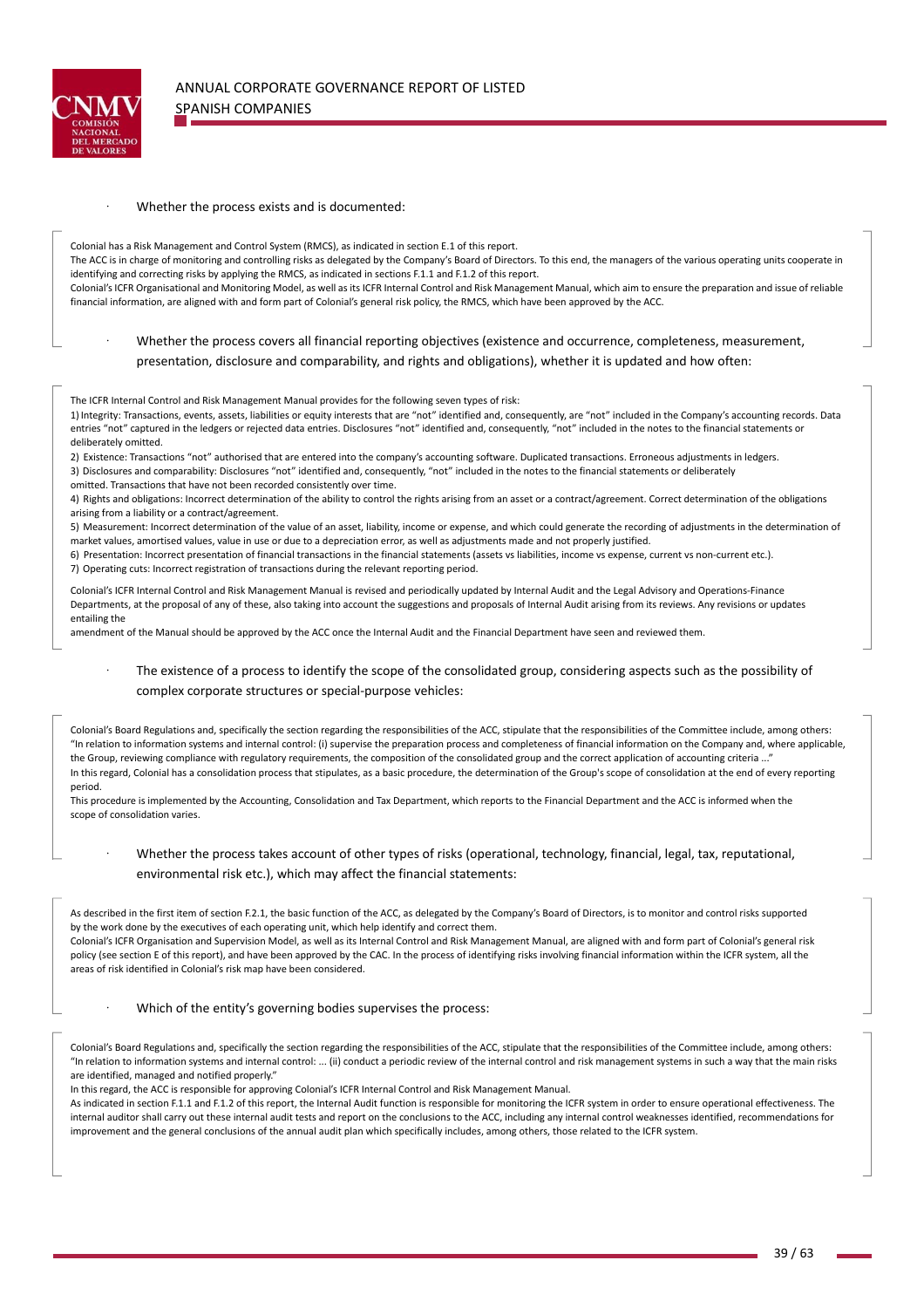

#### Whether the process exists and is documented:

Colonial has a Risk Management and Control System (RMCS), as indicated in section E.1 of this report.

The ACC is in charge of monitoring and controlling risks as delegated by the Company's Board of Directors. To this end, the managers of the various operating units cooperate in identifying and correcting risks by applying the RMCS, as indicated in sections F.1.1 and F.1.2 of this report.

Colonial's ICFR Organisational and Monitoring Model, as well as its ICFR Internal Control and Risk Management Manual, which aim to ensure the preparation and issue of reliable financial information, are aligned with and form part of Colonial's general risk policy, the RMCS, which have been approved by the ACC.

## Whether the process covers all financial reporting objectives (existence and occurrence, completeness, measurement, presentation, disclosure and comparability, and rights and obligations), whether it is updated and how often:

The ICFR Internal Control and Risk Management Manual provides for the following seven types of risk:

1) Integrity: Transactions, events, assets, liabilities or equity interests that are "not" identified and, consequently, are "not" included in the Company's accounting records. Data entries "not" captured in the ledgers or rejected data entries. Disclosures "not" identified and, consequently, "not" included in the notes to the financial statements or deliberately omitted.

2) Existence: Transactions "not" authorised that are entered into the company's accounting software. Duplicated transactions. Erroneous adjustments in ledgers. 3) Disclosures and comparability: Disclosures "not" identified and, consequently, "not" included in the notes to the financial statements or deliberately omitted. Transactions that have not been recorded consistently over time.

4) Rights and obligations: Incorrect determination of the ability to control the rights arising from an asset or a contract/agreement. Correct determination of the obligations arising from a liability or a contract/agreement.

5) Measurement: Incorrect determination of the value of an asset, liability, income or expense, and which could generate the recording of adjustments in the determination of market values, amortised values, value in use or due to a depreciation error, as well as adjustments made and not properly justified.

6) Presentation: Incorrect presentation of financial transactions in the financial statements (assets vs liabilities, income vs expense, current vs non‐current etc.).

7) Operating cuts: Incorrect registration of transactions during the relevant reporting period.

Colonial's ICFR Internal Control and Risk Management Manual is revised and periodically updated by Internal Audit and the Legal Advisory and Operations‐Finance Departments, at the proposal of any of these, also taking into account the suggestions and proposals of Internal Audit arising from its reviews. Any revisions or updates entailing the

amendment of the Manual should be approved by the ACC once the Internal Audit and the Financial Department have seen and reviewed them.

The existence of a process to identify the scope of the consolidated group, considering aspects such as the possibility of complex corporate structures or special‐purpose vehicles:

Colonial's Board Regulations and, specifically the section regarding the responsibilities of the ACC, stipulate that the responsibilities of the Committee include, among others: "In relation to information systems and internal control: (i) supervise the preparation process and completeness of financial information on the Company and, where applicable, the Group, reviewing compliance with regulatory requirements, the composition of the consolidated group and the correct application of accounting criteria .. In this regard, Colonial has a consolidation process that stipulates, as a basic procedure, the determination of the Group's scope of consolidation at the end of every reporting period.

This procedure is implemented by the Accounting, Consolidation and Tax Department, which reports to the Financial Department and the ACC is informed when the scope of consolidation varies.

Whether the process takes account of other types of risks (operational, technology, financial, legal, tax, reputational, environmental risk etc.), which may affect the financial statements:

As described in the first item of section F.2.1, the basic function of the ACC, as delegated by the Company's Board of Directors, is to monitor and control risks supported by the work done by the executives of each operating unit, which help identify and correct them. Colonial's ICFR Organisation and Supervision Model, as well as its Internal Control and Risk Management Manual, are aligned with and form part of Colonial's general risk policy (see section E of this report), and have been approved by the CAC. In the process of identifying risks involving financial information within the ICFR system, all the areas of risk identified in Colonial's risk map have been considered.

Which of the entity's governing bodies supervises the process:

Colonial's Board Regulations and, specifically the section regarding the responsibilities of the ACC, stipulate that the responsibilities of the Committee include, among others: "In relation to information systems and internal control: ... (ii) conduct a periodic review of the internal control and risk management systems in such a way that the main risks are identified, managed and notified properly."

In this regard, the ACC is responsible for approving Colonial's ICFR Internal Control and Risk Management Manual.

As indicated in section F.1.1 and F.1.2 of this report, the Internal Audit function is responsible for monitoring the ICFR system in order to ensure operational effectiveness. The internal auditor shall carry out these internal audit tests and report on the conclusions to the ACC, including any internal control weaknesses identified, recommendations for improvement and the general conclusions of the annual audit plan which specifically includes, among others, those related to the ICFR system.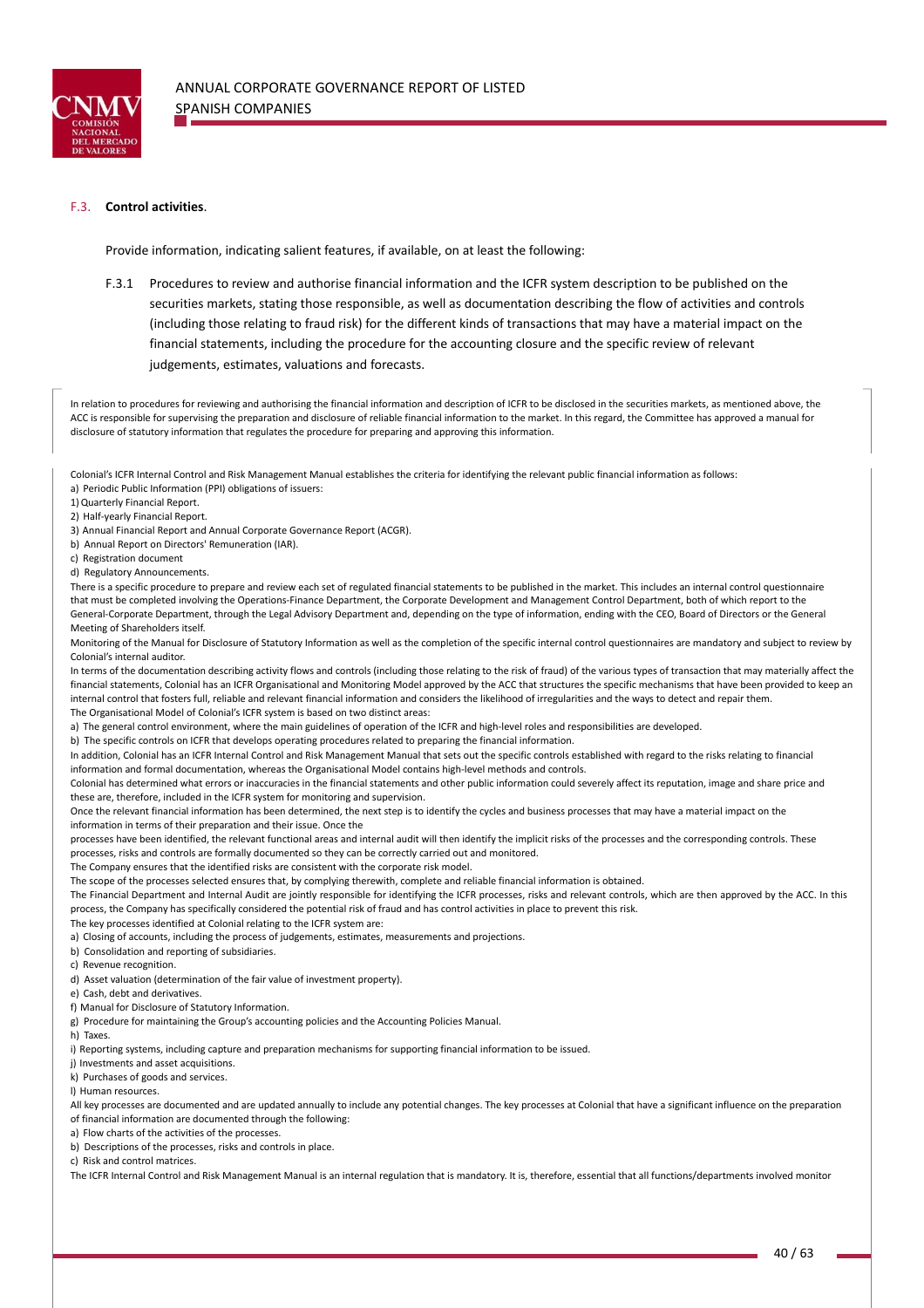

## F.3. **Control activities**.

Provide information, indicating salient features, if available, on at least the following:

F.3.1 Procedures to review and authorise financial information and the ICFR system description to be published on the securities markets, stating those responsible, as well as documentation describing the flow of activities and controls (including those relating to fraud risk) for the different kinds of transactions that may have a material impact on the financial statements, including the procedure for the accounting closure and the specific review of relevant judgements, estimates, valuations and forecasts.

In relation to procedures for reviewing and authorising the financial information and description of ICFR to be disclosed in the securities markets, as mentioned above, the ACC is responsible for supervising the preparation and disclosure of reliable financial information to the market. In this regard, the Committee has approved a manual for disclosure of statutory information that regulates the procedure for preparing and approving this information.

Colonial's ICFR Internal Control and Risk Management Manual establishes the criteria for identifying the relevant public financial information as follows: a) Periodic Public Information (PPI) obligations of issuers:

1)Quarterly Financial Report.

2) Half‐yearly Financial Report.

- 3) Annual Financial Report and Annual Corporate Governance Report (ACGR).
- b) Annual Report on Directors' Remuneration (IAR).
- c) Registration document

d) Regulatory Announcements.

There is a specific procedure to prepare and review each set of regulated financial statements to be published in the market. This includes an internal control questionnaire that must be completed involving the Operations‐Finance Department, the Corporate Development and Management Control Department, both of which report to the General-Corporate Department, through the Legal Advisory Department and, depending on the type of information, ending with the CEO, Board of Directors or the General Meeting of Shareholders itself.

Monitoring of the Manual for Disclosure of Statutory Information as well as the completion of the specific internal control questionnaires are mandatory and subject to review by Colonial's internal auditor.

In terms of the documentation describing activity flows and controls (including those relating to the risk of fraud) of the various types of transaction that may materially affect the financial statements, Colonial has an ICFR Organisational and Monitoring Model approved by the ACC that structures the specific mechanisms that have been provided to keep an internal control that fosters full, reliable and relevant financial information and considers the likelihood of irregularities and the ways to detect and repair them. The Organisational Model of Colonial's ICFR system is based on two distinct areas:

a) The general control environment, where the main guidelines of operation of the ICFR and high-level roles and responsibilities are developed.

b) The specific controls on ICFR that develops operating procedures related to preparing the financial information.

In addition, Colonial has an ICFR Internal Control and Risk Management Manual that sets out the specific controls established with regard to the risks relating to financial information and formal documentation, whereas the Organisational Model contains high‐level methods and controls.

Colonial has determined what errors or inaccuracies in the financial statements and other public information could severely affect its reputation, image and share price and these are, therefore, included in the ICFR system for monitoring and supervision.

Once the relevant financial information has been determined, the next step is to identify the cycles and business processes that may have a material impact on the information in terms of their preparation and their issue. Once the

processes have been identified, the relevant functional areas and internal audit will then identify the implicit risks of the processes and the corresponding controls. These processes, risks and controls are formally documented so they can be correctly carried out and monitored.

The Company ensures that the identified risks are consistent with the corporate risk model.

The scope of the processes selected ensures that, by complying therewith, complete and reliable financial information is obtained.

The Financial Department and Internal Audit are jointly responsible for identifying the ICFR processes, risks and relevant controls, which are then approved by the ACC. In this process, the Company has specifically considered the potential risk of fraud and has control activities in place to prevent this risk.

The key processes identified at Colonial relating to the ICFR system are:

a) Closing of accounts, including the process of judgements, estimates, measurements and projections.

b) Consolidation and reporting of subsidiaries.

c) Revenue recognition.

d) Asset valuation (determination of the fair value of investment property).

e) Cash, debt and derivatives.

f) Manual for Disclosure of Statutory Information.

g) Procedure for maintaining the Group's accounting policies and the Accounting Policies Manual.

h) Taxes.

i) Reporting systems, including capture and preparation mechanisms for supporting financial information to be issued.

j) Investments and asset acquisitions.

k) Purchases of goods and services.

l) Human resources.

All key processes are documented and are updated annually to include any potential changes. The key processes at Colonial that have a significant influence on the preparation of financial information are documented through the following:

a) Flow charts of the activities of the processes

b) Descriptions of the processes, risks and controls in place.

c) Risk and control matrices.

The ICFR Internal Control and Risk Management Manual is an internal regulation that is mandatory. It is, therefore, essential that all functions/departments involved monitor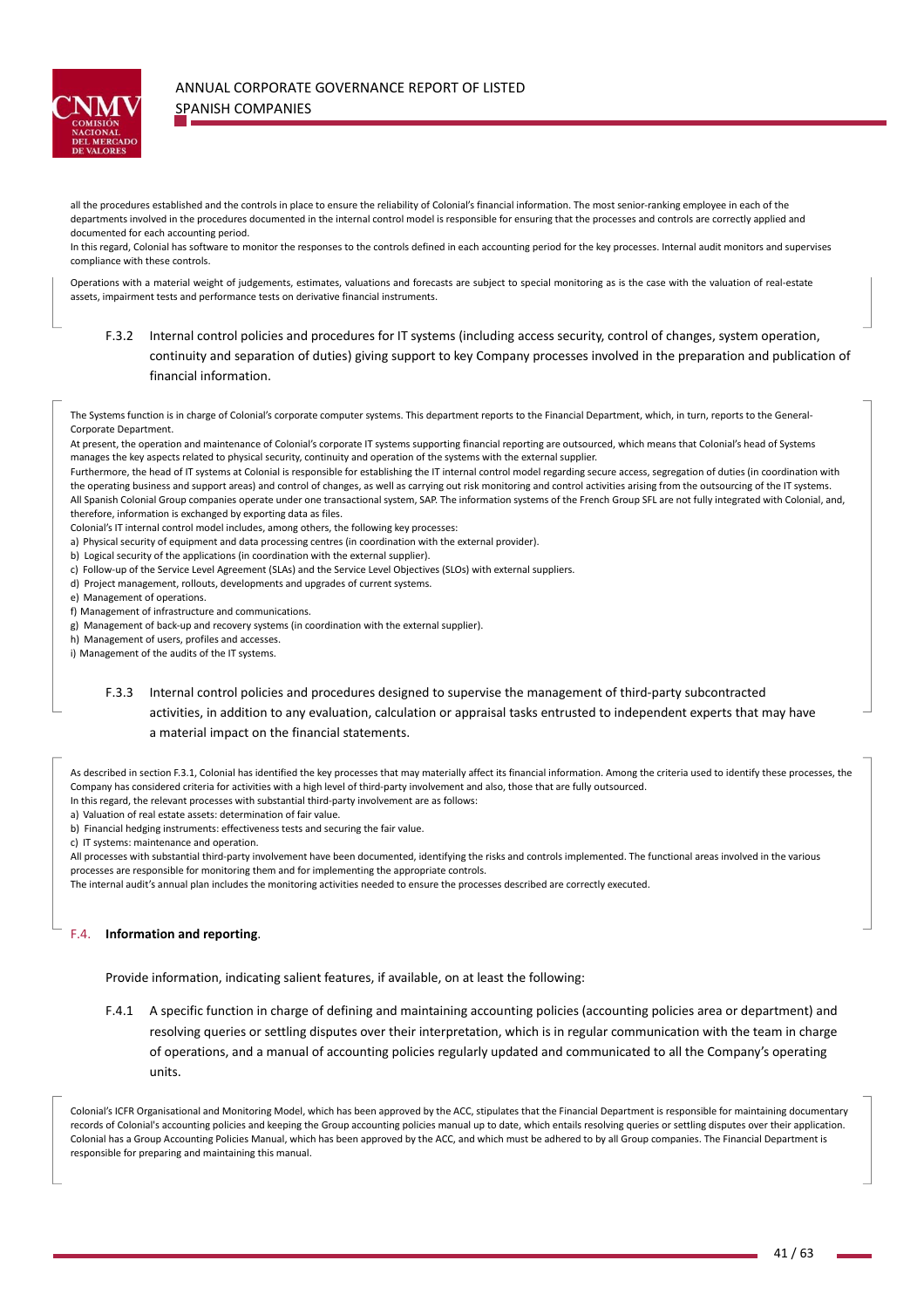

# ANNUAL CORPORATE GOVERNANCE REPORT OF LISTED SPANISH COMPANIES

all the procedures established and the controls in place to ensure the reliability of Colonial's financial information. The most senior-ranking employee in each of the departments involved in the procedures documented in the internal control model is responsible for ensuring that the processes and controls are correctly applied and documented for each accounting period.

In this regard, Colonial has software to monitor the responses to the controls defined in each accounting period for the key processes. Internal audit monitors and supervises compliance with these controls.

Operations with a material weight of judgements, estimates, valuations and forecasts are subject to special monitoring as is the case with the valuation of real‐estate assets, impairment tests and performance tests on derivative financial instruments.

F.3.2 Internal control policies and procedures for IT systems (including access security, control of changes, system operation, continuity and separation of duties) giving support to key Company processes involved in the preparation and publication of financial information.

The Systems function is in charge of Colonial's corporate computer systems. This department reports to the Financial Department, which, in turn, reports to the General-Corporate Department.

At present, the operation and maintenance of Colonial's corporate IT systems supporting financial reporting are outsourced, which means that Colonial's head of Systems manages the key aspects related to physical security, continuity and operation of the systems with the external supplier.

Furthermore, the head of IT systems at Colonial is responsible for establishing the IT internal control model regarding secure access, segregation of duties (in coordination with the operating business and support areas) and control of changes, as well as carrying out risk monitoring and control activities arising from the outsourcing of the IT systems. All Spanish Colonial Group companies operate under one transactional system, SAP. The information systems of the French Group SFL are not fully integrated with Colonial, and, therefore, information is exchanged by exporting data as files.

Colonial's IT internal control model includes, among others, the following key processes:

a) Physical security of equipment and data processing centres (in coordination with the external provider).

b) Logical security of the applications (in coordination with the external supplier).

- c) Follow‐up of the Service Level Agreement (SLAs) and the Service Level Objectives (SLOs) with external suppliers.
- d) Project management, rollouts, developments and upgrades of current systems.

e) Management of operations.

f) Management of infrastructure and communications.

g) Management of back‐up and recovery systems (in coordination with the external supplier).

h) Management of users, profiles and accesses.

i) Management of the audits of the IT systems.

# F.3.3 Internal control policies and procedures designed to supervise the management of third‐party subcontracted activities, in addition to any evaluation, calculation or appraisal tasks entrusted to independent experts that may have a material impact on the financial statements.

As described in section F.3.1, Colonial has identified the key processes that may materially affect its financial information. Among the criteria used to identify these processes, the Company has considered criteria for activities with a high level of third‐party involvement and also, those that are fully outsourced.

In this regard, the relevant processes with substantial third‐party involvement are as follows:

a) Valuation of real estate assets: determination of fair value.

b) Financial hedging instruments: effectiveness tests and securing the fair value.

c) IT systems: maintenance and operation.

All processes with substantial third‐party involvement have been documented, identifying the risks and controls implemented. The functional areas involved in the various processes are responsible for monitoring them and for implementing the appropriate controls.

The internal audit's annual plan includes the monitoring activities needed to ensure the processes described are correctly executed.

### F.4. **Information and reporting**.

Provide information, indicating salient features, if available, on at least the following:

F.4.1 A specific function in charge of defining and maintaining accounting policies (accounting policies area or department) and resolving queries or settling disputes over their interpretation, which is in regular communication with the team in charge of operations, and a manual of accounting policies regularly updated and communicated to all the Company's operating units.

Colonial's ICFR Organisational and Monitoring Model, which has been approved by the ACC, stipulates that the Financial Department is responsible for maintaining documentary records of Colonial's accounting policies and keeping the Group accounting policies manual up to date, which entails resolving queries or settling disputes over their application. Colonial has a Group Accounting Policies Manual, which has been approved by the ACC, and which must be adhered to by all Group companies. The Financial Department is responsible for preparing and maintaining this manual.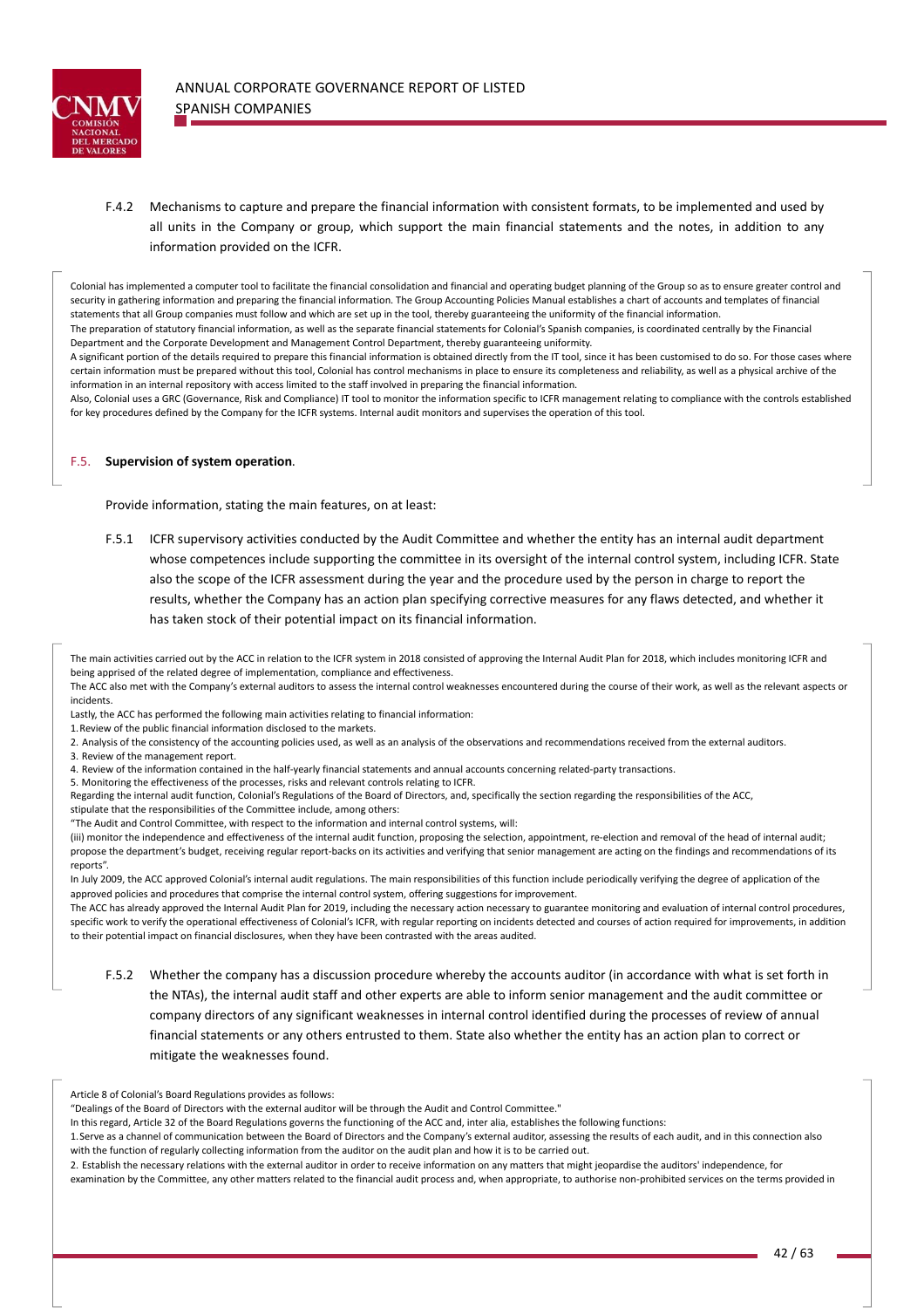

F.4.2 Mechanisms to capture and prepare the financial information with consistent formats, to be implemented and used by all units in the Company or group, which support the main financial statements and the notes, in addition to any information provided on the ICFR.

Colonial has implemented a computer tool to facilitate the financial consolidation and financial and operating budget planning of the Group so as to ensure greater control and security in gathering information and preparing the financial information. The Group Accounting Policies Manual establishes a chart of accounts and templates of financial statements that all Group companies must follow and which are set up in the tool, thereby guaranteeing the uniformity of the financial information. The preparation of statutory financial information, as well as the separate financial statements for Colonial's Spanish companies, is coordinated centrally by the Financial Department and the Corporate Development and Management Control Department, thereby guaranteeing uniformity.

A significant portion of the details required to prepare this financial information is obtained directly from the IT tool, since it has been customised to do so. For those cases where certain information must be prepared without this tool, Colonial has control mechanisms in place to ensure its completeness and reliability, as well as a physical archive of the information in an internal repository with access limited to the staff involved in preparing the financial information.

Also, Colonial uses a GRC (Governance, Risk and Compliance) IT tool to monitor the information specific to ICFR management relating to compliance with the controls established for key procedures defined by the Company for the ICFR systems. Internal audit monitors and supervises the operation of this tool.

#### F.5. **Supervision of system operation**.

Provide information, stating the main features, on at least:

F.5.1 ICFR supervisory activities conducted by the Audit Committee and whether the entity has an internal audit department whose competences include supporting the committee in its oversight of the internal control system, including ICFR. State also the scope of the ICFR assessment during the year and the procedure used by the person in charge to report the results, whether the Company has an action plan specifying corrective measures for any flaws detected, and whether it has taken stock of their potential impact on its financial information.

The main activities carried out by the ACC in relation to the ICFR system in 2018 consisted of approving the Internal Audit Plan for 2018, which includes monitoring ICFR and being apprised of the related degree of implementation, compliance and effectiveness.

The ACC also met with the Company's external auditors to assess the internal control weaknesses encountered during the course of their work, as well as the relevant aspects or incidents.

Lastly, the ACC has performed the following main activities relating to financial information:

- 1.Review of the public financial information disclosed to the markets.
- 2. Analysis of the consistency of the accounting policies used, as well as an analysis of the observations and recommendations received from the external auditors.
- 3. Review of the management report.

4. Review of the information contained in the half‐yearly financial statements and annual accounts concerning related‐party transactions.

5. Monitoring the effectiveness of the processes, risks and relevant controls relating to ICFR. Regarding the internal audit function, Colonial's Regulations of the Board of Directors, and, specifically the section regarding the responsibilities of the ACC,

stipulate that the responsibilities of the Committee include, among others:

"The Audit and Control Committee, with respect to the information and internal control systems, will:

(iii) monitor the independence and effectiveness of the internal audit function, proposing the selection, appointment, re-election and removal of the head of internal audit; propose the department's budget, receiving regular report‐backs on its activities and verifying that senior management are acting on the findings and recommendations of its reports".

In July 2009, the ACC approved Colonial's internal audit regulations. The main responsibilities of this function include periodically verifying the degree of application of the approved policies and procedures that comprise the internal control system, offering suggestions for improvement.

The ACC has already approved the Internal Audit Plan for 2019, including the necessary action necessary to guarantee monitoring and evaluation of internal control procedures, specific work to verify the operational effectiveness of Colonial's ICFR, with regular reporting on incidents detected and courses of action required for improvements, in addition to their potential impact on financial disclosures, when they have been contrasted with the areas audited.

F.5.2 Whether the company has a discussion procedure whereby the accounts auditor (in accordance with what is set forth in the NTAs), the internal audit staff and other experts are able to inform senior management and the audit committee or company directors of any significant weaknesses in internal control identified during the processes of review of annual financial statements or any others entrusted to them. State also whether the entity has an action plan to correct or mitigate the weaknesses found.

Article 8 of Colonial's Board Regulations provides as follows:

2. Establish the necessary relations with the external auditor in order to receive information on any matters that might jeopardise the auditors' independence, for

examination by the Committee, any other matters related to the financial audit process and, when appropriate, to authorise non‐prohibited services on the terms provided in

<sup>&</sup>quot;Dealings of the Board of Directors with the external auditor will be through the Audit and Control Committee."

In this regard, Article 32 of the Board Regulations governs the functioning of the ACC and, inter alia, establishes the following functions:

<sup>1.</sup>Serve as a channel of communication between the Board of Directors and the Company's external auditor, assessing the results of each audit, and in this connection also with the function of regularly collecting information from the auditor on the audit plan and how it is to be carried out.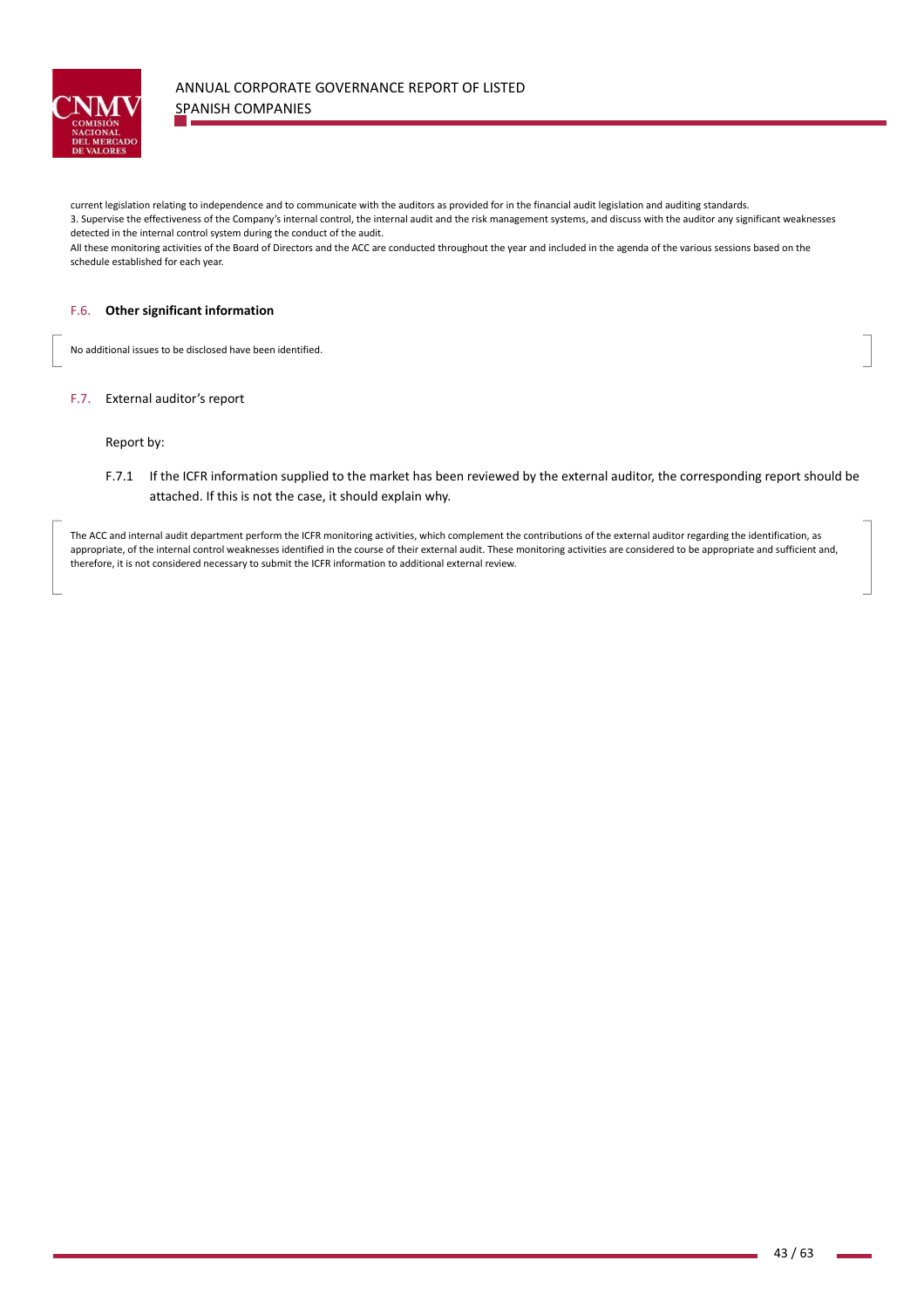

current legislation relating to independence and to communicate with the auditors as provided for in the financial audit legislation and auditing standards.

3. Supervise the effectiveness of the Company's internal control, the internal audit and the risk management systems, and discuss with the auditor any significant weaknesses detected in the internal control system during the conduct of the audit.

All these monitoring activities of the Board of Directors and the ACC are conducted throughout the year and included in the agenda of the various sessions based on the schedule established for each year.

#### F.6. **Other significant information**

No additional issues to be disclosed have been identified.

## F.7. External auditor's report

the contract of the contract of the

Report by:

F.7.1 If the ICFR information supplied to the market has been reviewed by the external auditor, the corresponding report should be attached. If this is not the case, it should explain why.

The ACC and internal audit department perform the ICFR monitoring activities, which complement the contributions of the external auditor regarding the identification, as appropriate, of the internal control weaknesses identified in the course of their external audit. These monitoring activities are considered to be appropriate and sufficient and, therefore, it is not considered necessary to submit the ICFR information to additional external review.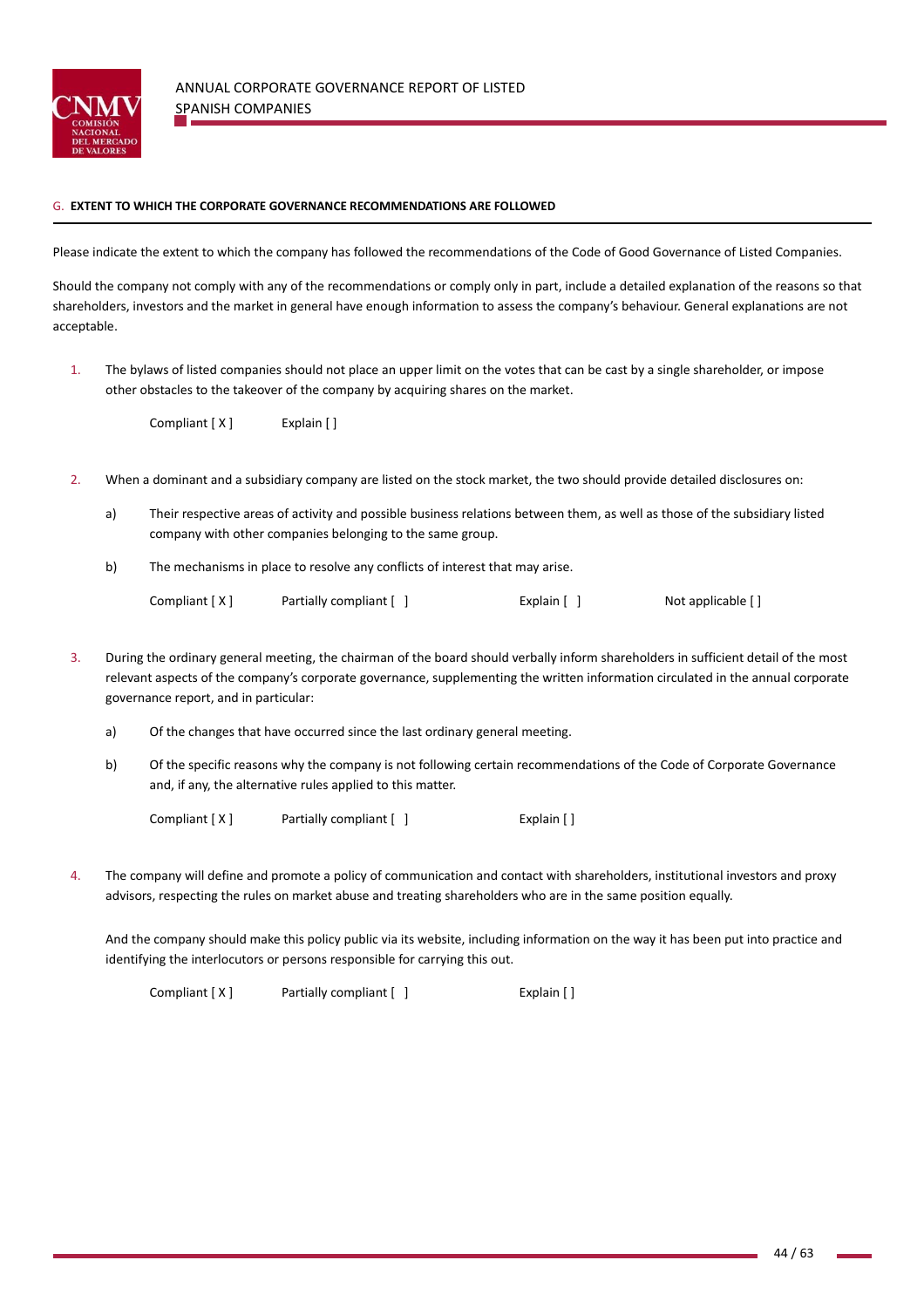

### G. **EXTENT TO WHICH THE CORPORATE GOVERNANCE RECOMMENDATIONS ARE FOLLOWED**

Please indicate the extent to which the company has followed the recommendations of the Code of Good Governance of Listed Companies.

Should the company not comply with any of the recommendations or comply only in part, include a detailed explanation of the reasons so that shareholders, investors and the market in general have enough information to assess the company's behaviour. General explanations are not acceptable.

1. The bylaws of listed companies should not place an upper limit on the votes that can be cast by a single shareholder, or impose other obstacles to the takeover of the company by acquiring shares on the market.

Compliant [ X ] Explain [ ]

- 2. When a dominant and a subsidiary company are listed on the stock market, the two should provide detailed disclosures on:
	- a) Their respective areas of activity and possible business relations between them, as well as those of the subsidiary listed company with other companies belonging to the same group.
	- b) The mechanisms in place to resolve any conflicts of interest that may arise.

| Compliant [X] | Partially compliant [ ] | Explain $[ ]$ | Not applicable [] |
|---------------|-------------------------|---------------|-------------------|
|---------------|-------------------------|---------------|-------------------|

- 3. During the ordinary general meeting, the chairman of the board should verbally inform shareholders in sufficient detail of the most relevant aspects of the company's corporate governance, supplementing the written information circulated in the annual corporate governance report, and in particular:
	- a) Of the changes that have occurred since the last ordinary general meeting.
	- b) Of the specific reasons why the company is not following certain recommendations of the Code of Corporate Governance and, if any, the alternative rules applied to this matter.

Compliant [ X ] Partially compliant [ ] Explain [ ]

4. The company will define and promote a policy of communication and contact with shareholders, institutional investors and proxy advisors, respecting the rules on market abuse and treating shareholders who are in the same position equally.

And the company should make this policy public via its website, including information on the way it has been put into practice and identifying the interlocutors or persons responsible for carrying this out.

Compliant [ X ] Partially compliant  $[ ]$  Explain  $[ ]$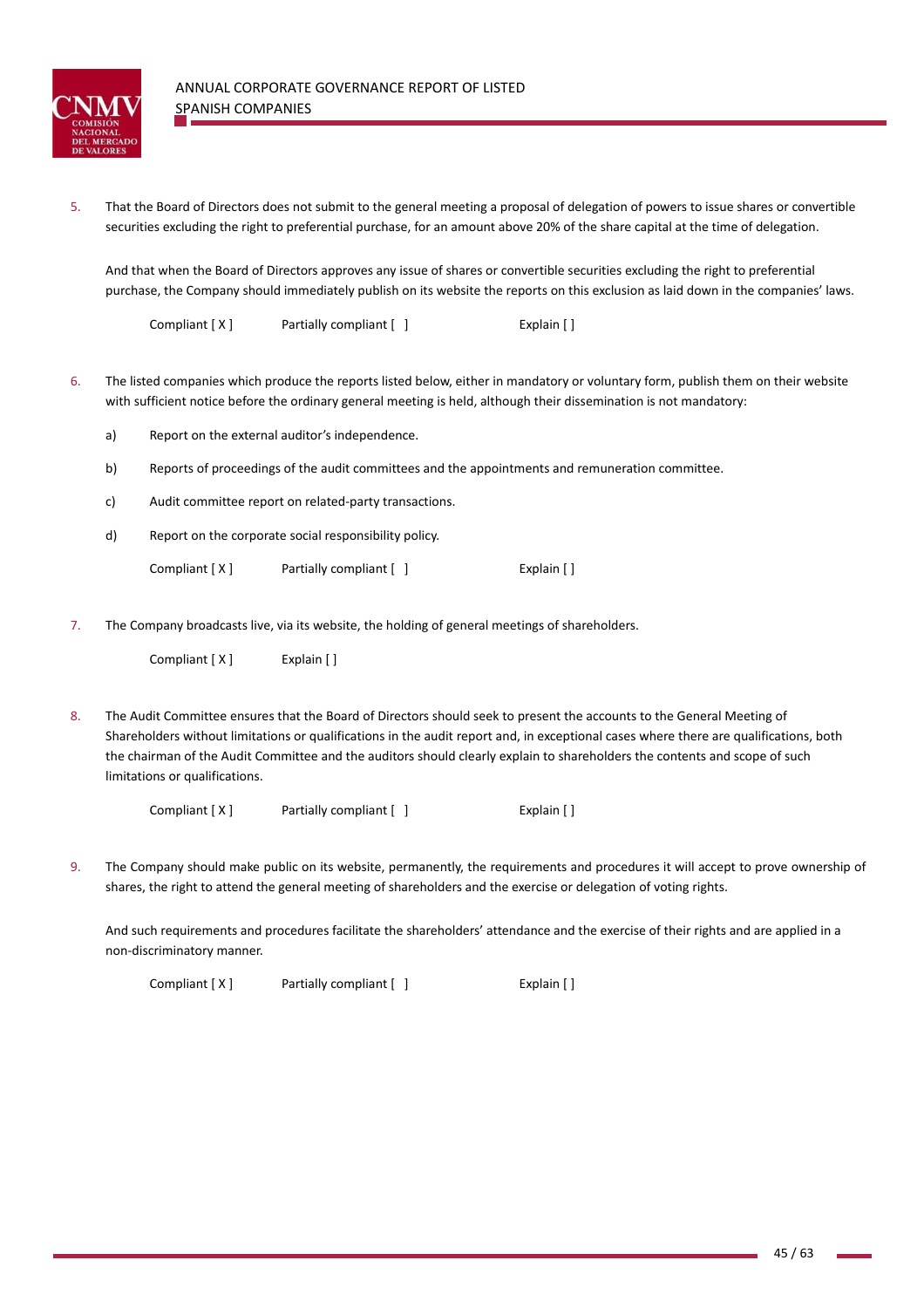

5. That the Board of Directors does not submit to the general meeting a proposal of delegation of powers to issue shares or convertible securities excluding the right to preferential purchase, for an amount above 20% of the share capital at the time of delegation.

And that when the Board of Directors approves any issue of shares or convertible securities excluding the right to preferential purchase, the Company should immediately publish on its website the reports on this exclusion as laid down in the companies' laws.

Compliant [ X ] Partially compliant [ ] Explain [ ]

- 6. The listed companies which produce the reports listed below, either in mandatory or voluntary form, publish them on their website with sufficient notice before the ordinary general meeting is held, although their dissemination is not mandatory:
	- a) Report on the external auditor's independence.
	- b) Reports of proceedings of the audit committees and the appointments and remuneration committee.
	- c) Audit committee report on related‐party transactions.
	- d) Report on the corporate social responsibility policy.
		- Compliant [ X ] Partially compliant [ ] [ [ ] Explain [ ]
- 7. The Company broadcasts live, via its website, the holding of general meetings of shareholders.

| Compliant [X] | Explain [] |
|---------------|------------|
|---------------|------------|

8. The Audit Committee ensures that the Board of Directors should seek to present the accounts to the General Meeting of Shareholders without limitations or qualifications in the audit report and, in exceptional cases where there are qualifications, both the chairman of the Audit Committee and the auditors should clearly explain to shareholders the contents and scope of such limitations or qualifications.

Compliant [ X ] Partially compliant [ ] [ ] [ [ ] Explain [ ]

9. The Company should make public on its website, permanently, the requirements and procedures it will accept to prove ownership of shares, the right to attend the general meeting of shareholders and the exercise or delegation of voting rights.

And such requirements and procedures facilitate the shareholders' attendance and the exercise of their rights and are applied in a non‐discriminatory manner.

Compliant [ X ] Partially compliant [ ] Explain [ ]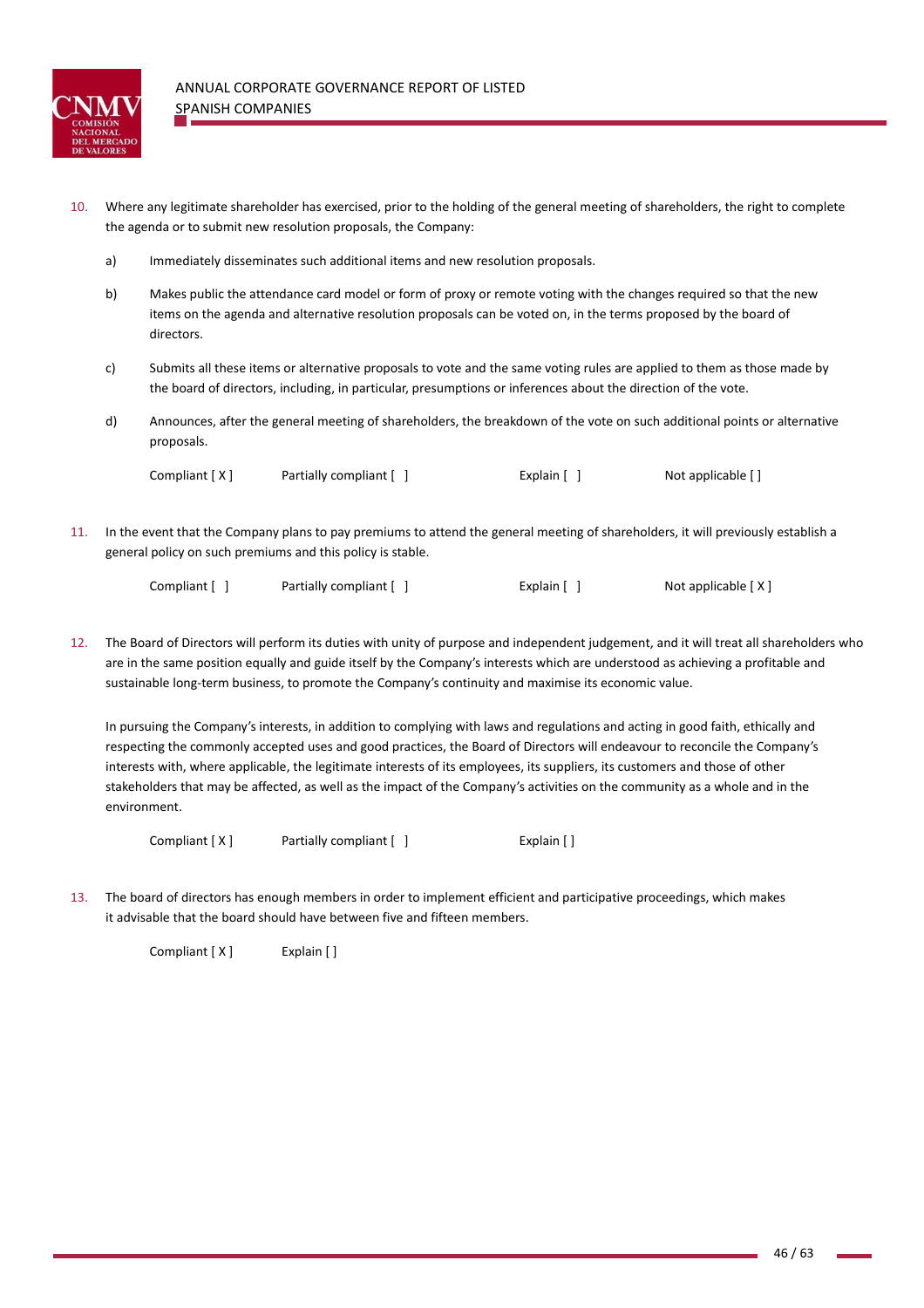

- 10. Where any legitimate shareholder has exercised, prior to the holding of the general meeting of shareholders, the right to complete the agenda or to submit new resolution proposals, the Company:
	- a) Immediately disseminates such additional items and new resolution proposals.
	- b) Makes public the attendance card model or form of proxy or remote voting with the changes required so that the new items on the agenda and alternative resolution proposals can be voted on, in the terms proposed by the board of directors.
	- c) Submits all these items or alternative proposals to vote and the same voting rules are applied to them as those made by the board of directors, including, in particular, presumptions or inferences about the direction of the vote.
	- d) Announces, after the general meeting of shareholders, the breakdown of the vote on such additional points or alternative proposals.

Compliant  $[X]$  Partially compliant  $[ ]$  Explain  $[ ]$  Not applicable  $[ ]$ 

11. In the event that the Company plans to pay premiums to attend the general meeting of shareholders, it will previously establish a general policy on such premiums and this policy is stable.

| Not applicable [X]<br>Explain [ ]<br>Compliant [ ]<br>Partially compliant [ ] |
|-------------------------------------------------------------------------------|
|-------------------------------------------------------------------------------|

12. The Board of Directors will perform its duties with unity of purpose and independent judgement, and it will treat all shareholders who are in the same position equally and guide itself by the Company's interests which are understood as achieving a profitable and sustainable long-term business, to promote the Company's continuity and maximise its economic value.

In pursuing the Company's interests, in addition to complying with laws and regulations and acting in good faith, ethically and respecting the commonly accepted uses and good practices, the Board of Directors will endeavour to reconcile the Company's interests with, where applicable, the legitimate interests of its employees, its suppliers, its customers and those of other stakeholders that may be affected, as well as the impact of the Company's activities on the community as a whole and in the environment.

Compliant [ X ] Partially compliant [ ] Explain [ ]

13. The board of directors has enough members in order to implement efficient and participative proceedings, which makes it advisable that the board should have between five and fifteen members.

Compliant [ X ] Explain [ ]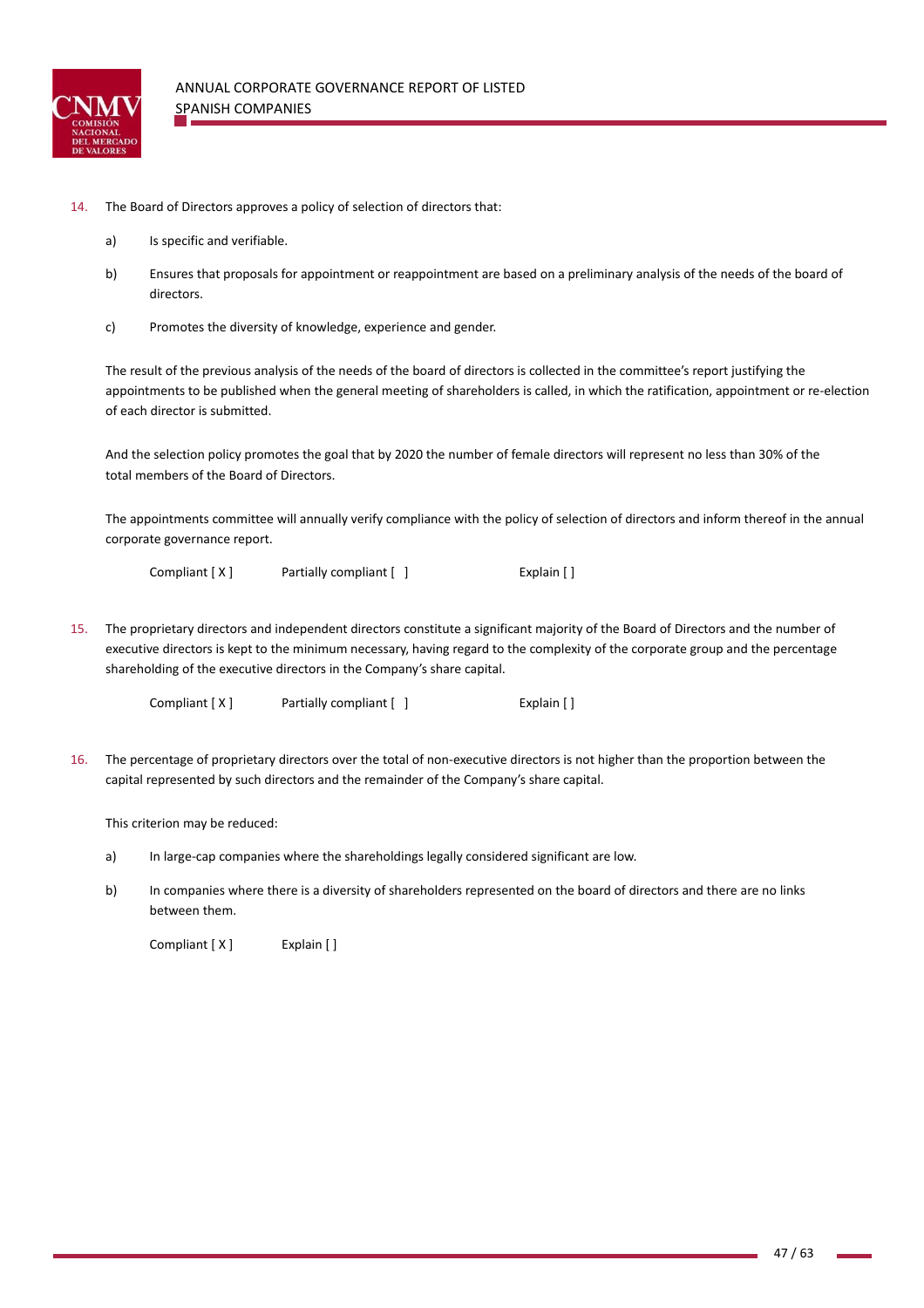

- 14. The Board of Directors approves a policy of selection of directors that:
	- a) Is specific and verifiable.
	- b) Ensures that proposals for appointment or reappointment are based on a preliminary analysis of the needs of the board of directors.
	- c) Promotes the diversity of knowledge, experience and gender.

The result of the previous analysis of the needs of the board of directors is collected in the committee's report justifying the appointments to be published when the general meeting of shareholders is called, in which the ratification, appointment or re‐election of each director is submitted.

And the selection policy promotes the goal that by 2020 the number of female directors will represent no less than 30% of the total members of the Board of Directors.

The appointments committee will annually verify compliance with the policy of selection of directors and inform thereof in the annual corporate governance report.

Compliant [ X ] Partially compliant [ ] Explain [ ]

15. The proprietary directors and independent directors constitute a significant majority of the Board of Directors and the number of executive directors is kept to the minimum necessary, having regard to the complexity of the corporate group and the percentage shareholding of the executive directors in the Company's share capital.

Compliant [ X ] Partially compliant [ ] Explain [ ]

16. The percentage of proprietary directors over the total of non‐executive directors is not higher than the proportion between the capital represented by such directors and the remainder of the Company's share capital.

This criterion may be reduced:

- a) In large-cap companies where the shareholdings legally considered significant are low.
- b) In companies where there is a diversity of shareholders represented on the board of directors and there are no links between them.

Compliant [ X ] Explain [ ]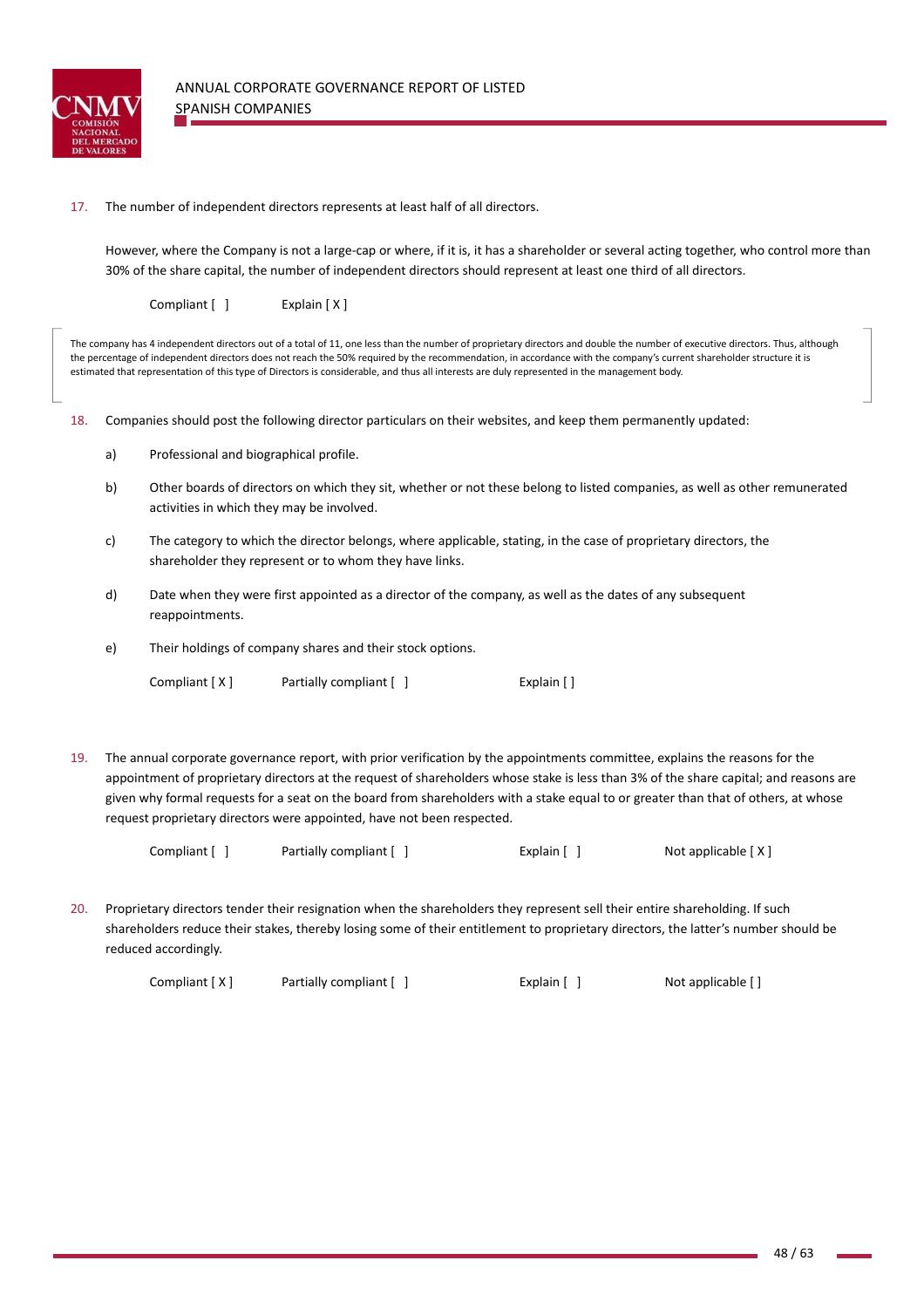

## 17. The number of independent directors represents at least half of all directors.

However, where the Company is not a large‐cap or where, if it is, it has a shareholder or several acting together, who control more than 30% of the share capital, the number of independent directors should represent at least one third of all directors.

Compliant [ ] Explain [ X ]

The company has 4 independent directors out of a total of 11, one less than the number of proprietary directors and double the number of executive directors. Thus, although the percentage of independent directors does not reach the 50% required by the recommendation, in accordance with the company's current shareholder structure it is estimated that representation of this type of Directors is considerable, and thus all interests are duly represented in the management body.

18. Companies should post the following director particulars on their websites, and keep them permanently updated:

- a) Professional and biographical profile.
- b) Other boards of directors on which they sit, whether or not these belong to listed companies, as well as other remunerated activities in which they may be involved.
- c) The category to which the director belongs, where applicable, stating, in the case of proprietary directors, the shareholder they represent or to whom they have links.
- d) Date when they were first appointed as a director of the company, as well as the dates of any subsequent reappointments.
- e) Their holdings of company shares and their stock options.

Compliant [ X ] Partially compliant [ ] Explain [ ]

19. The annual corporate governance report, with prior verification by the appointments committee, explains the reasons for the appointment of proprietary directors at the request of shareholders whose stake is less than 3% of the share capital; and reasons are given why formal requests for a seat on the board from shareholders with a stake equal to or greater than that of others, at whose request proprietary directors were appointed, have not been respected.

| Compliant [] |  | Partially compliant [ ] |  | Explain $\lceil \; \rceil$ | Not applicable [X] |
|--------------|--|-------------------------|--|----------------------------|--------------------|
|--------------|--|-------------------------|--|----------------------------|--------------------|

20. Proprietary directors tender their resignation when the shareholders they represent sell their entire shareholding. If such shareholders reduce their stakes, thereby losing some of their entitlement to proprietary directors, the latter's number should be reduced accordingly.

```
Compliant [ X ]  Partially compliant [   ]  Explain [   ]  Not applicable [ ]
```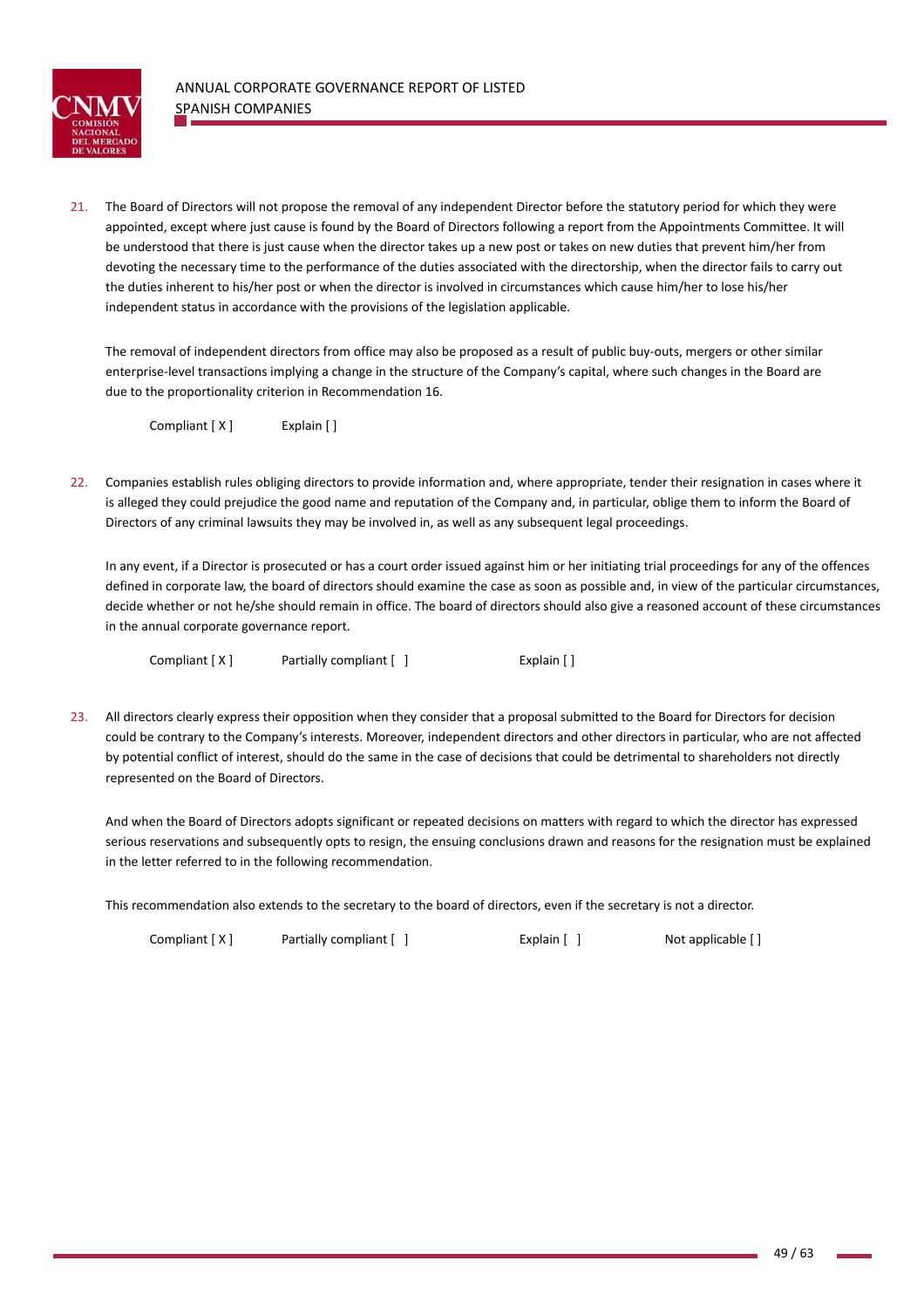

21. The Board of Directors will not propose the removal of any independent Director before the statutory period for which they were appointed, except where just cause is found by the Board of Directors following a report from the Appointments Committee. It will be understood that there is just cause when the director takes up a new post or takes on new duties that prevent him/her from devoting the necessary time to the performance of the duties associated with the directorship, when the director fails to carry out the duties inherent to his/her post or when the director is involved in circumstances which cause him/her to lose his/her independent status in accordance with the provisions of the legislation applicable.

The removal of independent directors from office may also be proposed as a result of public buy‐outs, mergers or other similar enterprise-level transactions implying a change in the structure of the Company's capital, where such changes in the Board are due to the proportionality criterion in Recommendation 16.

Compliant [ X ] Explain [ ]

22. Companies establish rules obliging directors to provide information and, where appropriate, tender their resignation in cases where it is alleged they could prejudice the good name and reputation of the Company and, in particular, oblige them to inform the Board of Directors of any criminal lawsuits they may be involved in, as well as any subsequent legal proceedings.

In any event, if a Director is prosecuted or has a court order issued against him or her initiating trial proceedings for any of the offences defined in corporate law, the board of directors should examine the case as soon as possible and, in view of the particular circumstances, decide whether or not he/she should remain in office. The board of directors should also give a reasoned account of these circumstances in the annual corporate governance report.

Compliant [ X ] Partially compliant [ ] Explain [ ]

23. All directors clearly express their opposition when they consider that a proposal submitted to the Board for Directors for decision could be contrary to the Company's interests. Moreover, independent directors and other directors in particular, who are not affected by potential conflict of interest, should do the same in the case of decisions that could be detrimental to shareholders not directly represented on the Board of Directors.

And when the Board of Directors adopts significant or repeated decisions on matters with regard to which the director has expressed serious reservations and subsequently opts to resign, the ensuing conclusions drawn and reasons for the resignation must be explained in the letter referred to in the following recommendation.

This recommendation also extends to the secretary to the board of directors, even if the secretary is not a director.

Compliant [ X ] Partially compliant [ ] Explain [ ] Not applicable [ ]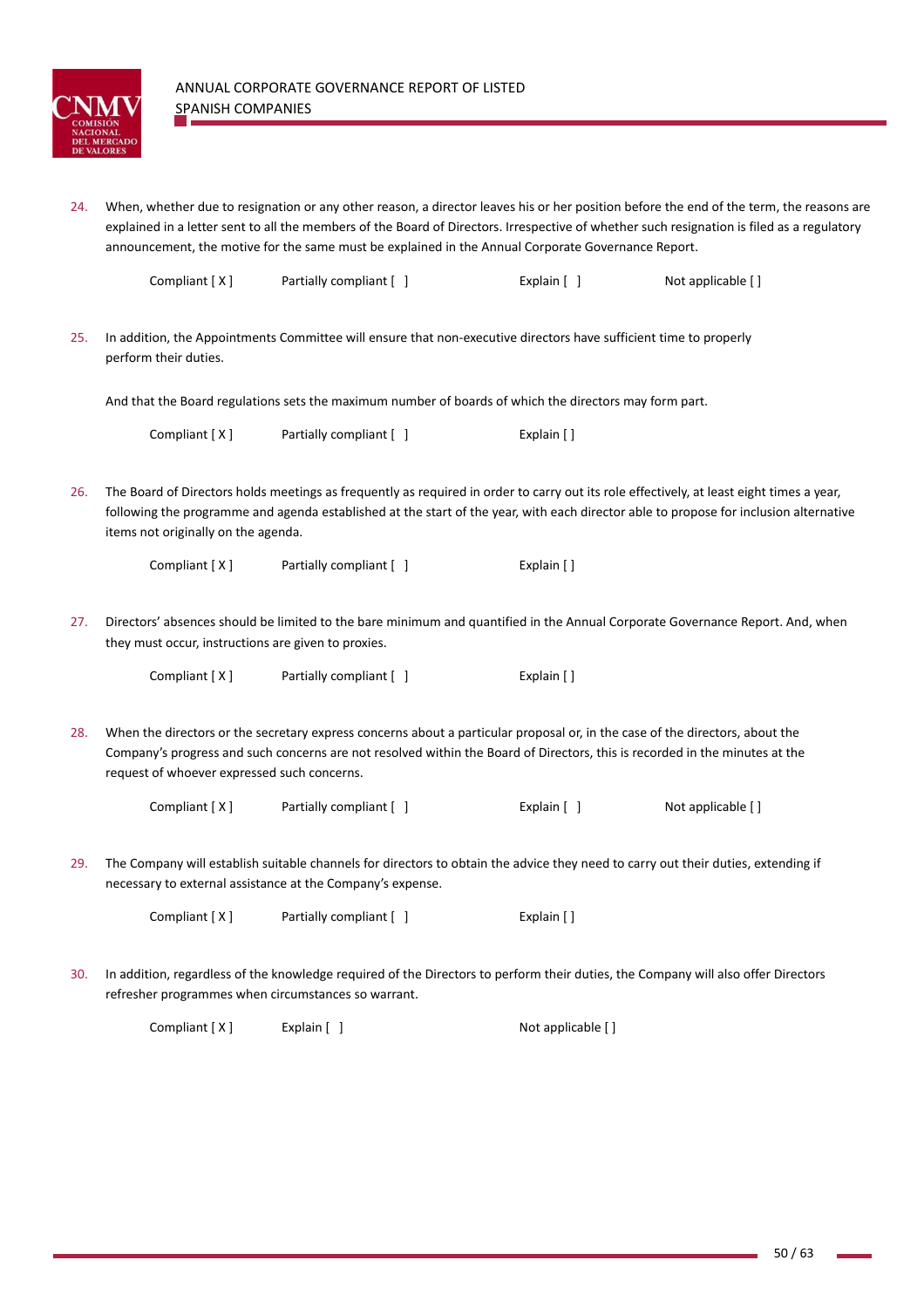

24. When, whether due to resignation or any other reason, a director leaves his or her position before the end of the term, the reasons are explained in a letter sent to all the members of the Board of Directors. Irrespective of whether such resignation is filed as a regulatory announcement, the motive for the same must be explained in the Annual Corporate Governance Report.

| Compliant [X] | Partially compliant [ ] | Explain $\lceil$ | Not applicable [] |
|---------------|-------------------------|------------------|-------------------|
|               |                         |                  |                   |

25. In addition, the Appointments Committee will ensure that non‐executive directors have sufficient time to properly perform their duties.

And that the Board regulations sets the maximum number of boards of which the directors may form part.

Compliant [ X ] Partially compliant [ ] Explain [ ]

26. The Board of Directors holds meetings as frequently as required in order to carry out its role effectively, at least eight times a year, following the programme and agenda established at the start of the year, with each director able to propose for inclusion alternative items not originally on the agenda.

| Compliant [X] | Partially compliant [ | Explain [] |
|---------------|-----------------------|------------|
|---------------|-----------------------|------------|

27. Directors' absences should be limited to the bare minimum and quantified in the Annual Corporate Governance Report. And, when they must occur, instructions are given to proxies.

| Compliant [X] | Partially compliant [ ] | Explain [] |
|---------------|-------------------------|------------|
|---------------|-------------------------|------------|

28. When the directors or the secretary express concerns about a particular proposal or, in the case of the directors, about the Company's progress and such concerns are not resolved within the Board of Directors, this is recorded in the minutes at the request of whoever expressed such concerns.

| Compliant [X] | Partially compliant [ ] | Explain [ ] | Not applicable [] |
|---------------|-------------------------|-------------|-------------------|
|---------------|-------------------------|-------------|-------------------|

29. The Company will establish suitable channels for directors to obtain the advice they need to carry out their duties, extending if necessary to external assistance at the Company's expense.

Compliant [ X ] Partially compliant [ ] Explain [ ]

30. In addition, regardless of the knowledge required of the Directors to perform their duties, the Company will also offer Directors refresher programmes when circumstances so warrant.

Compliant [ X ] Explain [ ] Not applicable [ ]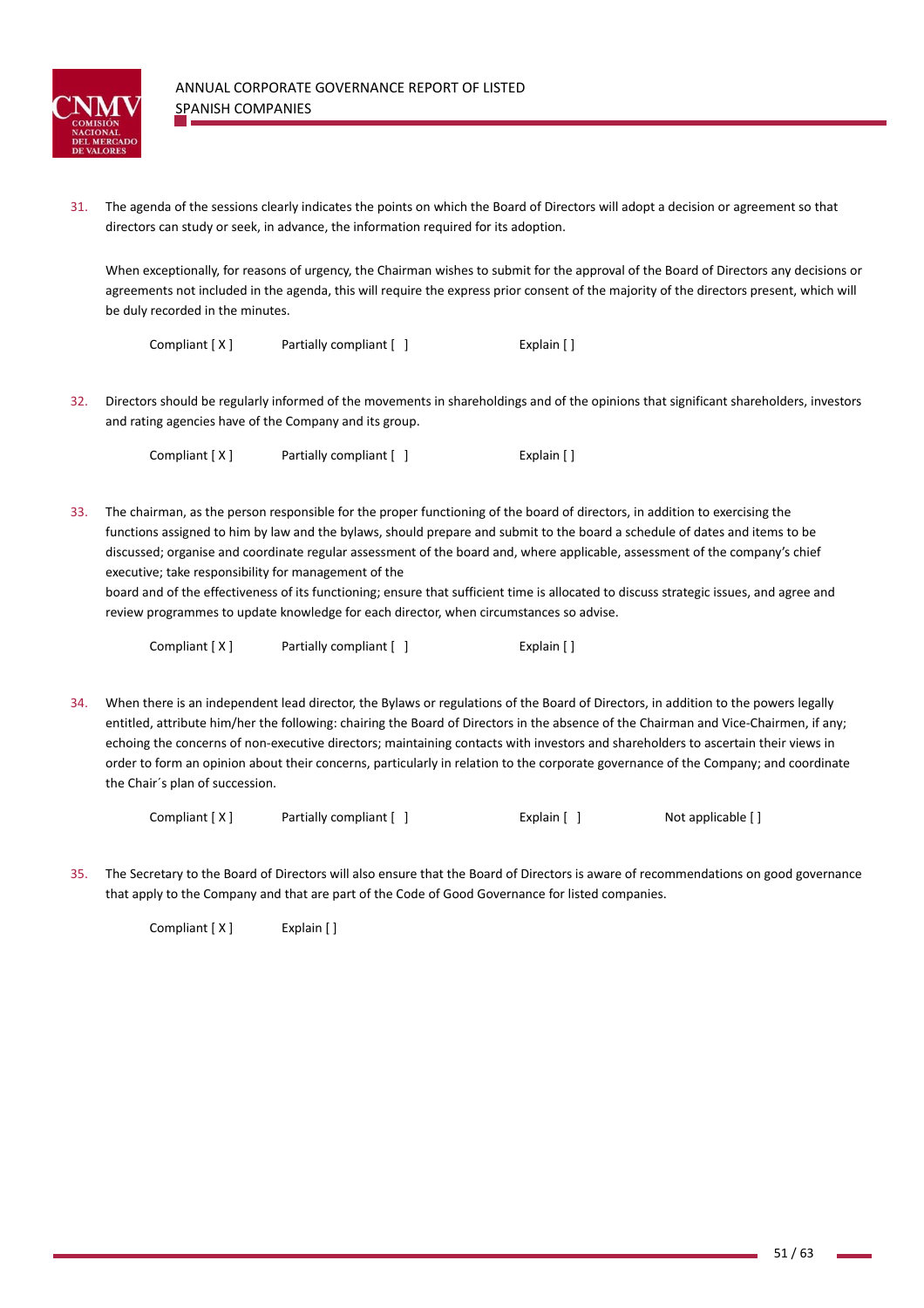

31. The agenda of the sessions clearly indicates the points on which the Board of Directors will adopt a decision or agreement so that directors can study or seek, in advance, the information required for its adoption.

When exceptionally, for reasons of urgency, the Chairman wishes to submit for the approval of the Board of Directors any decisions or agreements not included in the agenda, this will require the express prior consent of the majority of the directors present, which will be duly recorded in the minutes.

| Compliant [X] | Partially compliant [ ] | Explain $\lceil \cdot \rceil$ |
|---------------|-------------------------|-------------------------------|
|               |                         |                               |

32. Directors should be regularly informed of the movements in shareholdings and of the opinions that significant shareholders, investors and rating agencies have of the Company and its group.

Compliant [ X ] Partially compliant [ ] Explain [ ]

33. The chairman, as the person responsible for the proper functioning of the board of directors, in addition to exercising the functions assigned to him by law and the bylaws, should prepare and submit to the board a schedule of dates and items to be discussed; organise and coordinate regular assessment of the board and, where applicable, assessment of the company's chief executive; take responsibility for management of the

board and of the effectiveness of its functioning; ensure that sufficient time is allocated to discuss strategic issues, and agree and review programmes to update knowledge for each director, when circumstances so advise.

| Compliant [X] | Partially compliant [ ] | Explain [] |
|---------------|-------------------------|------------|
|---------------|-------------------------|------------|

34. When there is an independent lead director, the Bylaws or regulations of the Board of Directors, in addition to the powers legally entitled, attribute him/her the following: chairing the Board of Directors in the absence of the Chairman and Vice‐Chairmen, if any; echoing the concerns of non-executive directors; maintaining contacts with investors and shareholders to ascertain their views in order to form an opinion about their concerns, particularly in relation to the corporate governance of the Company; and coordinate the Chair´s plan of succession.

Compliant [ X ] Partially compliant [ ] Explain [ ] Not applicable [ ]

35. The Secretary to the Board of Directors will also ensure that the Board of Directors is aware of recommendations on good governance that apply to the Company and that are part of the Code of Good Governance for listed companies.

Compliant [ X ] Explain [ ]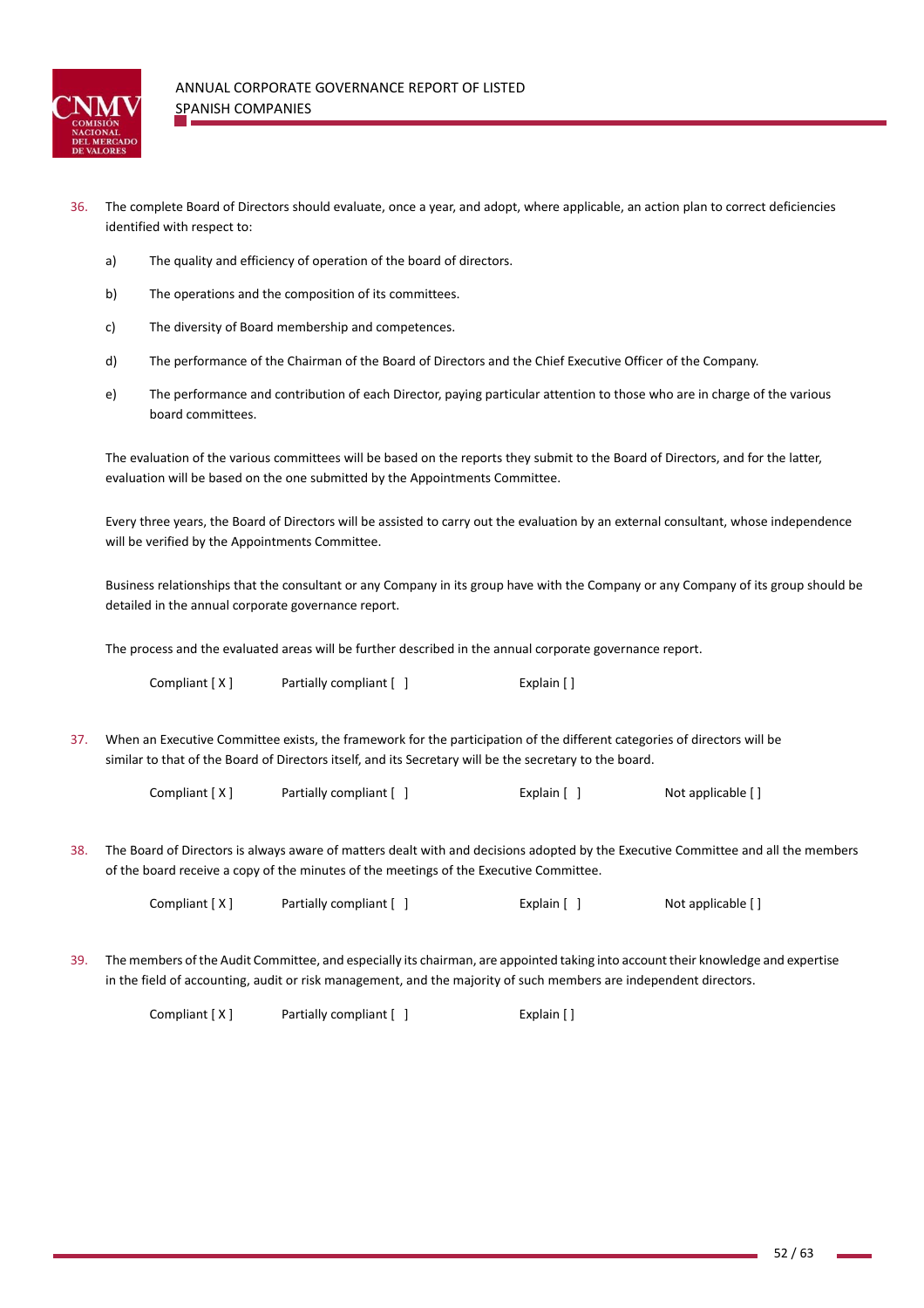

- 36. The complete Board of Directors should evaluate, once a year, and adopt, where applicable, an action plan to correct deficiencies identified with respect to:
	- a) The quality and efficiency of operation of the board of directors.
	- b) The operations and the composition of its committees.
	- c) The diversity of Board membership and competences.
	- d) The performance of the Chairman of the Board of Directors and the Chief Executive Officer of the Company.
	- e) The performance and contribution of each Director, paying particular attention to those who are in charge of the various board committees.

The evaluation of the various committees will be based on the reports they submit to the Board of Directors, and for the latter, evaluation will be based on the one submitted by the Appointments Committee.

Every three years, the Board of Directors will be assisted to carry out the evaluation by an external consultant, whose independence will be verified by the Appointments Committee.

Business relationships that the consultant or any Company in its group have with the Company or any Company of its group should be detailed in the annual corporate governance report.

The process and the evaluated areas will be further described in the annual corporate governance report.

Compliant [ X ] Partially compliant [ ] Explain [ ]

37. When an Executive Committee exists, the framework for the participation of the different categories of directors will be similar to that of the Board of Directors itself, and its Secretary will be the secretary to the board.

Compliant  $[X]$  Partially compliant  $[ ]$  Explain  $[ ]$  Not applicable  $[ ]$ 

38. The Board of Directors is always aware of matters dealt with and decisions adopted by the Executive Committee and all the members of the board receive a copy of the minutes of the meetings of the Executive Committee.

Compliant [ X ] Partially compliant [ ] Explain [ ] Not applicable [ ]

39. The members of the Audit Committee, and especially its chairman, are appointed taking into account their knowledge and expertise in the field of accounting, audit or risk management, and the majority of such members are independent directors.

Compliant [ X ] Partially compliant [ ] Explain [ ]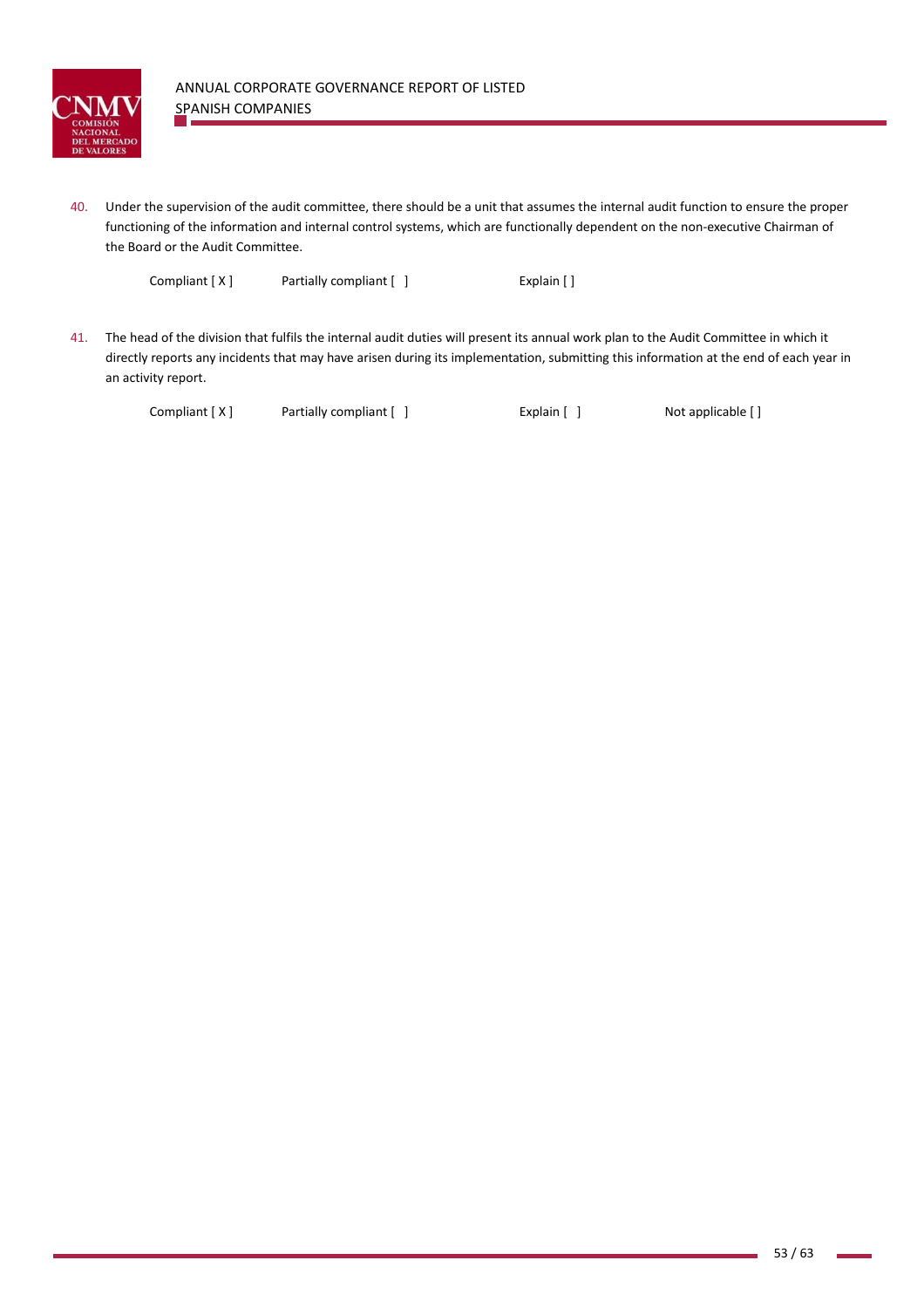

40. Under the supervision of the audit committee, there should be a unit that assumes the internal audit function to ensure the proper functioning of the information and internal control systems, which are functionally dependent on the non-executive Chairman of the Board or the Audit Committee.

Compliant [ X ] Partially compliant [ ] Explain [ ]

41. The head of the division that fulfils the internal audit duties will present its annual work plan to the Audit Committee in which it directly reports any incidents that may have arisen during its implementation, submitting this information at the end of each year in an activity report.

Compliant [ X ] Partially compliant [ ] Explain [ ] Not applicable [ ]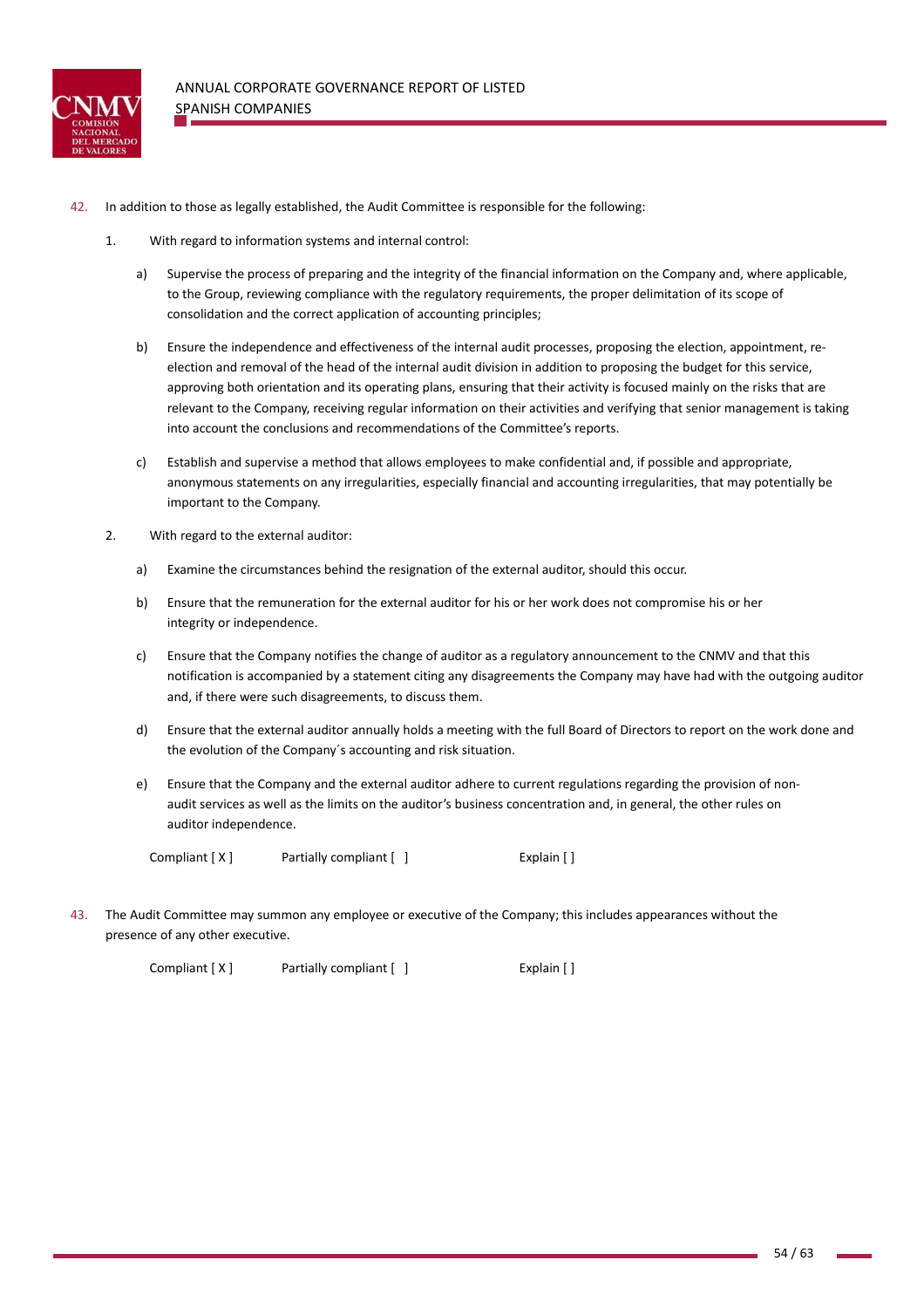

- 42. In addition to those as legally established, the Audit Committee is responsible for the following:
	- 1. With regard to information systems and internal control:
		- a) Supervise the process of preparing and the integrity of the financial information on the Company and, where applicable, to the Group, reviewing compliance with the regulatory requirements, the proper delimitation of its scope of consolidation and the correct application of accounting principles;
		- b) Ensure the independence and effectiveness of the internal audit processes, proposing the election, appointment, reelection and removal of the head of the internal audit division in addition to proposing the budget for this service, approving both orientation and its operating plans, ensuring that their activity is focused mainly on the risks that are relevant to the Company, receiving regular information on their activities and verifying that senior management is taking into account the conclusions and recommendations of the Committee's reports.
		- c) Establish and supervise a method that allows employees to make confidential and, if possible and appropriate, anonymous statements on any irregularities, especially financial and accounting irregularities, that may potentially be important to the Company.
	- 2. With regard to the external auditor:
		- a) Examine the circumstances behind the resignation of the external auditor, should this occur.
		- b) Ensure that the remuneration for the external auditor for his or her work does not compromise his or her integrity or independence.
		- c) Ensure that the Company notifies the change of auditor as a regulatory announcement to the CNMV and that this notification is accompanied by a statement citing any disagreements the Company may have had with the outgoing auditor and, if there were such disagreements, to discuss them.
		- d) Ensure that the external auditor annually holds a meeting with the full Board of Directors to report on the work done and the evolution of the Company´s accounting and risk situation.
		- e) Ensure that the Company and the external auditor adhere to current regulations regarding the provision of nonaudit services as well as the limits on the auditor's business concentration and, in general, the other rules on auditor independence.

| Compliant $[X]$ | Partially compliant [ ] | Explain [] |
|-----------------|-------------------------|------------|
|                 |                         |            |

43. The Audit Committee may summon any employee or executive of the Company; this includes appearances without the presence of any other executive.

Compliant [ X ] Partially compliant [ ] Explain [ ]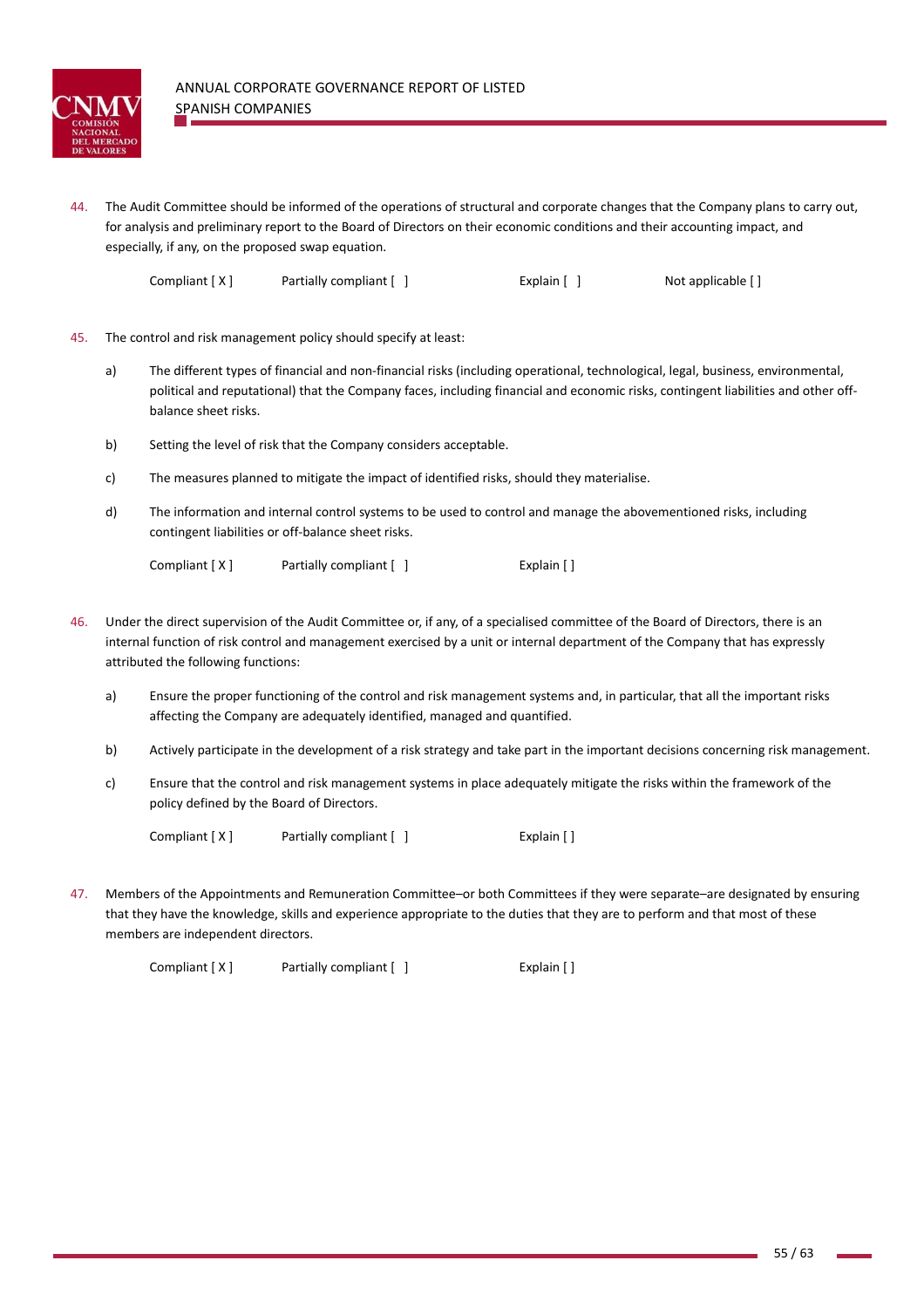

44. The Audit Committee should be informed of the operations of structural and corporate changes that the Company plans to carry out, for analysis and preliminary report to the Board of Directors on their economic conditions and their accounting impact, and especially, if any, on the proposed swap equation.

Compliant [ X ] Partially compliant [ ] Explain [ ] Not applicable [ ]

- 45. The control and risk management policy should specify at least:
	- a) The different types of financial and non-financial risks (including operational, technological, legal, business, environmental, political and reputational) that the Company faces, including financial and economic risks, contingent liabilities and other offbalance sheet risks.
	- b) Setting the level of risk that the Company considers acceptable.
	- c) The measures planned to mitigate the impact of identified risks, should they materialise.
	- d) The information and internal control systems to be used to control and manage the abovementioned risks, including contingent liabilities or off‐balance sheet risks.

Compliant [ X ] Partially compliant [ ] Explain [ ]

- 46. Under the direct supervision of the Audit Committee or, if any, of a specialised committee of the Board of Directors, there is an internal function of risk control and management exercised by a unit or internal department of the Company that has expressly attributed the following functions:
	- a) Ensure the proper functioning of the control and risk management systems and, in particular, that all the important risks affecting the Company are adequately identified, managed and quantified.
	- b) Actively participate in the development of a risk strategy and take part in the important decisions concerning risk management.
	- c) Ensure that the control and risk management systems in place adequately mitigate the risks within the framework of the policy defined by the Board of Directors.

Compliant [ X ] Partially compliant [ ] Explain [ ]

47. Members of the Appointments and Remuneration Committee–or both Committees if they were separate–are designated by ensuring that they have the knowledge, skills and experience appropriate to the duties that they are to perform and that most of these members are independent directors.

Compliant [ X ] **Partially compliant [ ]** [ [ ] [ [ Explain [ ]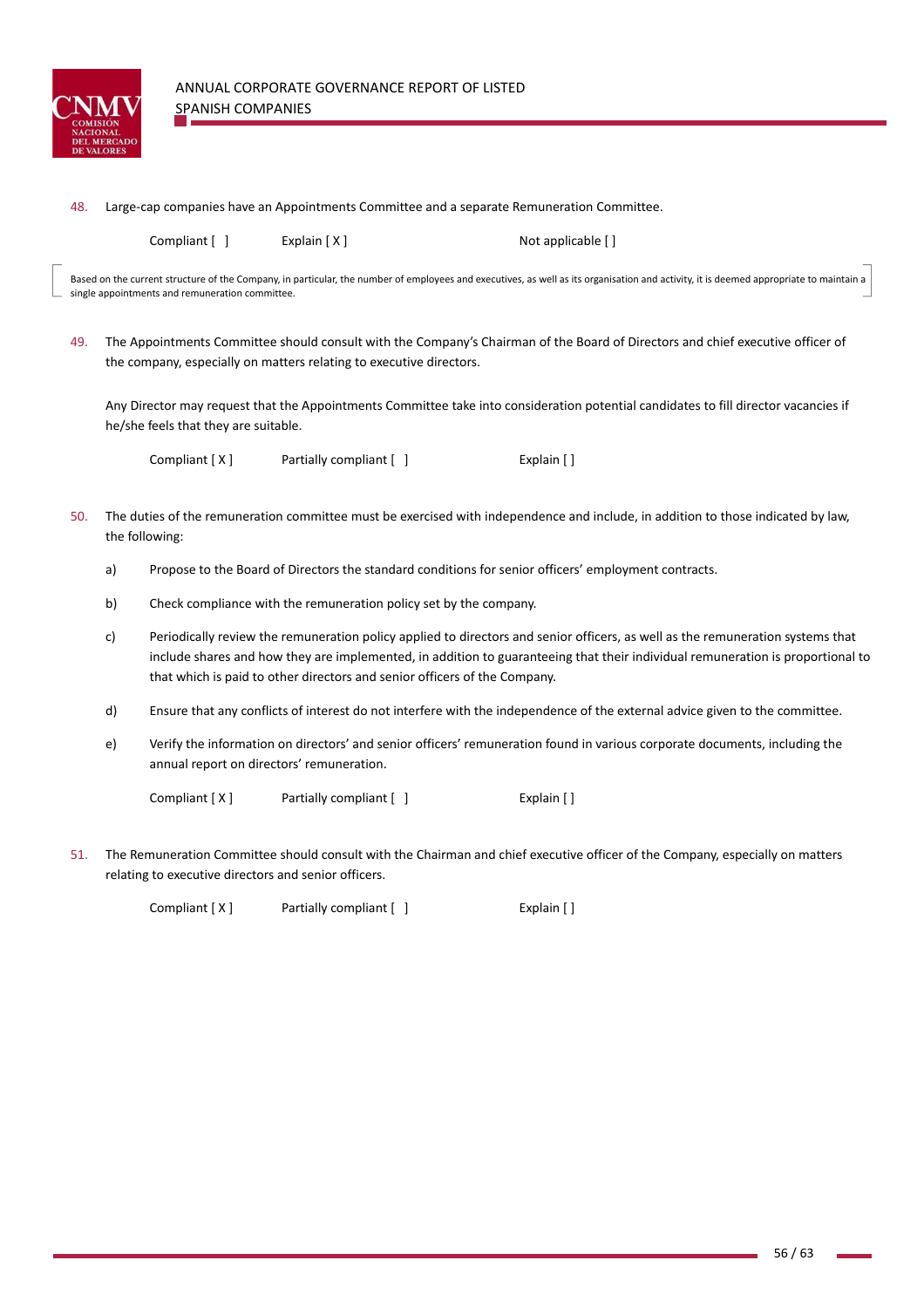

| 48. | Large-cap companies have an Appointments Committee and a separate Remuneration Committee. |  |
|-----|-------------------------------------------------------------------------------------------|--|
|-----|-------------------------------------------------------------------------------------------|--|

Compliant [  $\vert$  [ x ] Explain [ X ] [ X ] [ Not applicable [ ]

Based on the current structure of the Company, in particular, the number of employees and executives, as well as its organisation and activity, it is deemed appropriate to maintain a single appointments and remuneration committee.

49. The Appointments Committee should consult with the Company's Chairman of the Board of Directors and chief executive officer of the company, especially on matters relating to executive directors.

Any Director may request that the Appointments Committee take into consideration potential candidates to fill director vacancies if he/she feels that they are suitable.

Compliant [ X ] Partially compliant  $[ ]$  Explain  $[ ]$ 

- 50. The duties of the remuneration committee must be exercised with independence and include, in addition to those indicated by law, the following:
	- a) Propose to the Board of Directors the standard conditions for senior officers' employment contracts.
	- b) Check compliance with the remuneration policy set by the company.
	- c) Periodically review the remuneration policy applied to directors and senior officers, as well as the remuneration systems that include shares and how they are implemented, in addition to guaranteeing that their individual remuneration is proportional to that which is paid to other directors and senior officers of the Company.
	- d) Ensure that any conflicts of interest do not interfere with the independence of the external advice given to the committee.
	- e) Verify the information on directors' and senior officers' remuneration found in various corporate documents, including the annual report on directors' remuneration.

Compliant  $[X]$  Partially compliant  $[ ]$  Explain  $[ ]$ 

51. The Remuneration Committee should consult with the Chairman and chief executive officer of the Company, especially on matters relating to executive directors and senior officers.

Compliant [ X ] Partially compliant [ ] Explain [ ]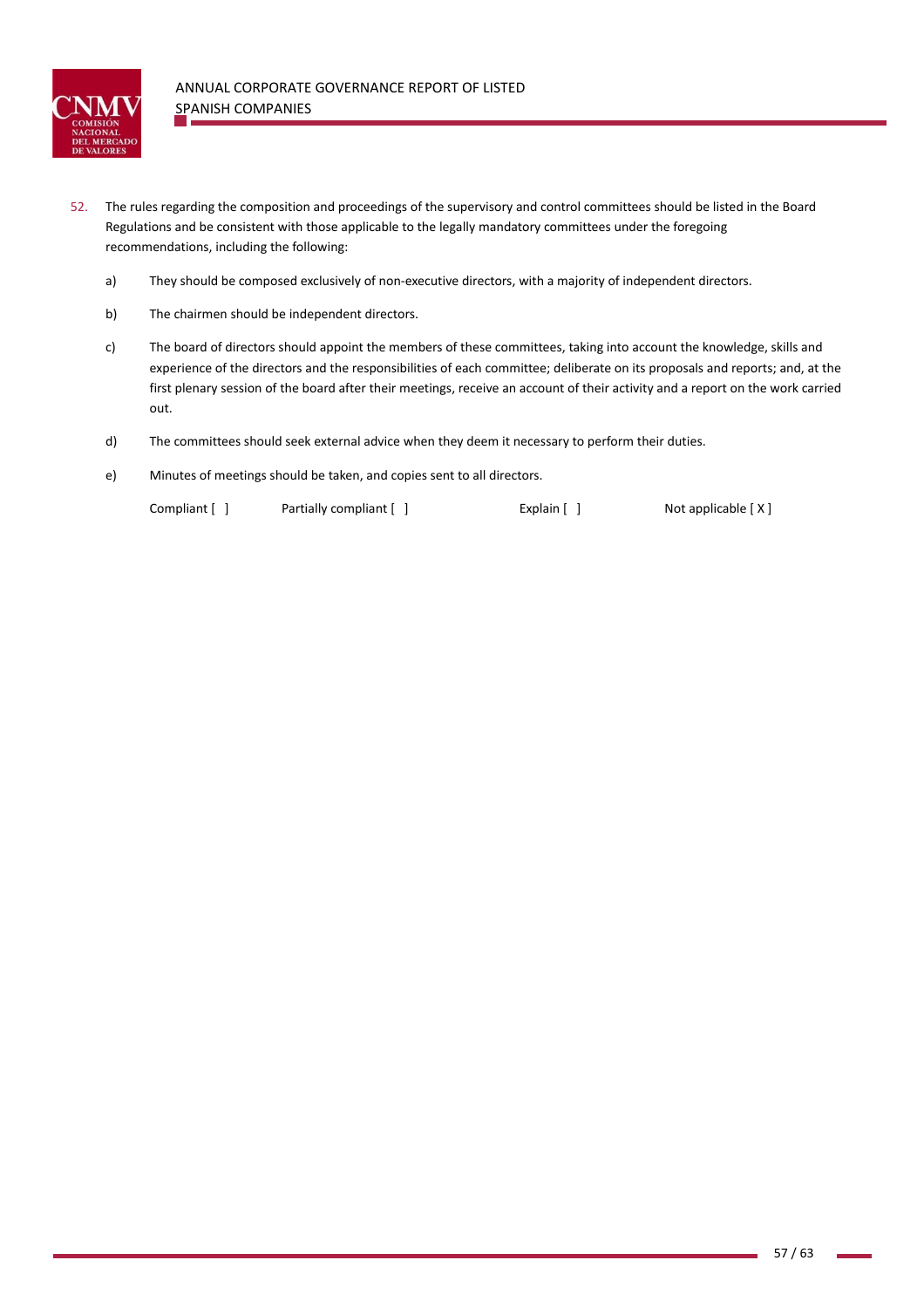

- 52. The rules regarding the composition and proceedings of the supervisory and control committees should be listed in the Board Regulations and be consistent with those applicable to the legally mandatory committees under the foregoing recommendations, including the following:
	- a) They should be composed exclusively of non-executive directors, with a majority of independent directors.
	- b) The chairmen should be independent directors.
	- c) The board of directors should appoint the members of these committees, taking into account the knowledge, skills and experience of the directors and the responsibilities of each committee; deliberate on its proposals and reports; and, at the first plenary session of the board after their meetings, receive an account of their activity and a report on the work carried out.
	- d) The committees should seek external advice when they deem it necessary to perform their duties.
	- e) Minutes of meetings should be taken, and copies sent to all directors.

Compliant [ ] Partially compliant [ ] Explain [ ] Not applicable [ X ]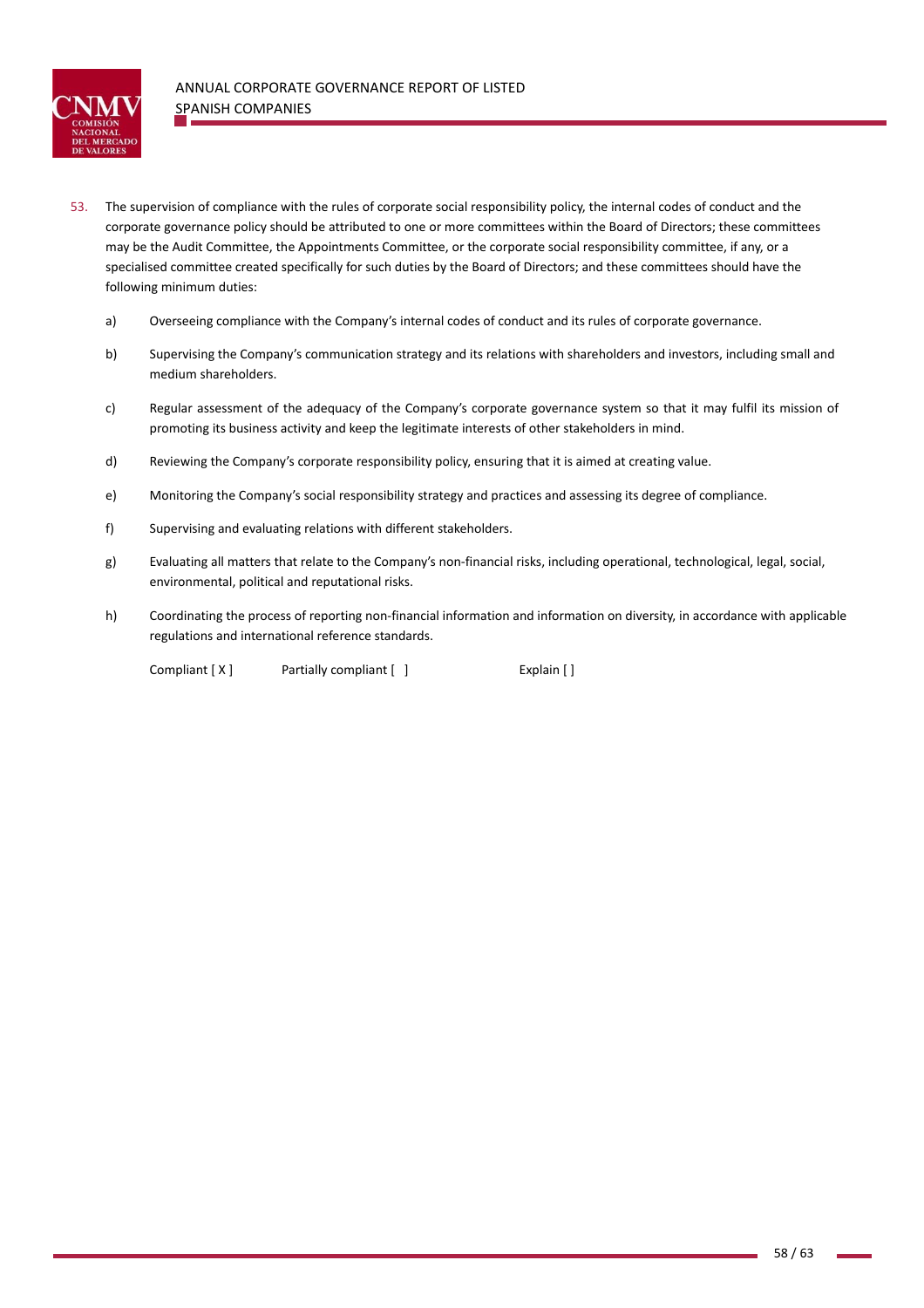

- 53. The supervision of compliance with the rules of corporate social responsibility policy, the internal codes of conduct and the corporate governance policy should be attributed to one or more committees within the Board of Directors; these committees may be the Audit Committee, the Appointments Committee, or the corporate social responsibility committee, if any, or a specialised committee created specifically for such duties by the Board of Directors; and these committees should have the following minimum duties:
	- a) Overseeing compliance with the Company's internal codes of conduct and its rules of corporate governance.
	- b) Supervising the Company's communication strategy and its relations with shareholders and investors, including small and medium shareholders.
	- c) Regular assessment of the adequacy of the Company's corporate governance system so that it may fulfil its mission of promoting its business activity and keep the legitimate interests of other stakeholders in mind.
	- d) Reviewing the Company's corporate responsibility policy, ensuring that it is aimed at creating value.
	- e) Monitoring the Company's social responsibility strategy and practices and assessing its degree of compliance.
	- f) Supervising and evaluating relations with different stakeholders.
	- g) Evaluating all matters that relate to the Company's non‐financial risks, including operational, technological, legal, social, environmental, political and reputational risks.
	- h) Coordinating the process of reporting non‐financial information and information on diversity, in accordance with applicable regulations and international reference standards.

Compliant [ X ] Partially compliant [ ] Explain [ ]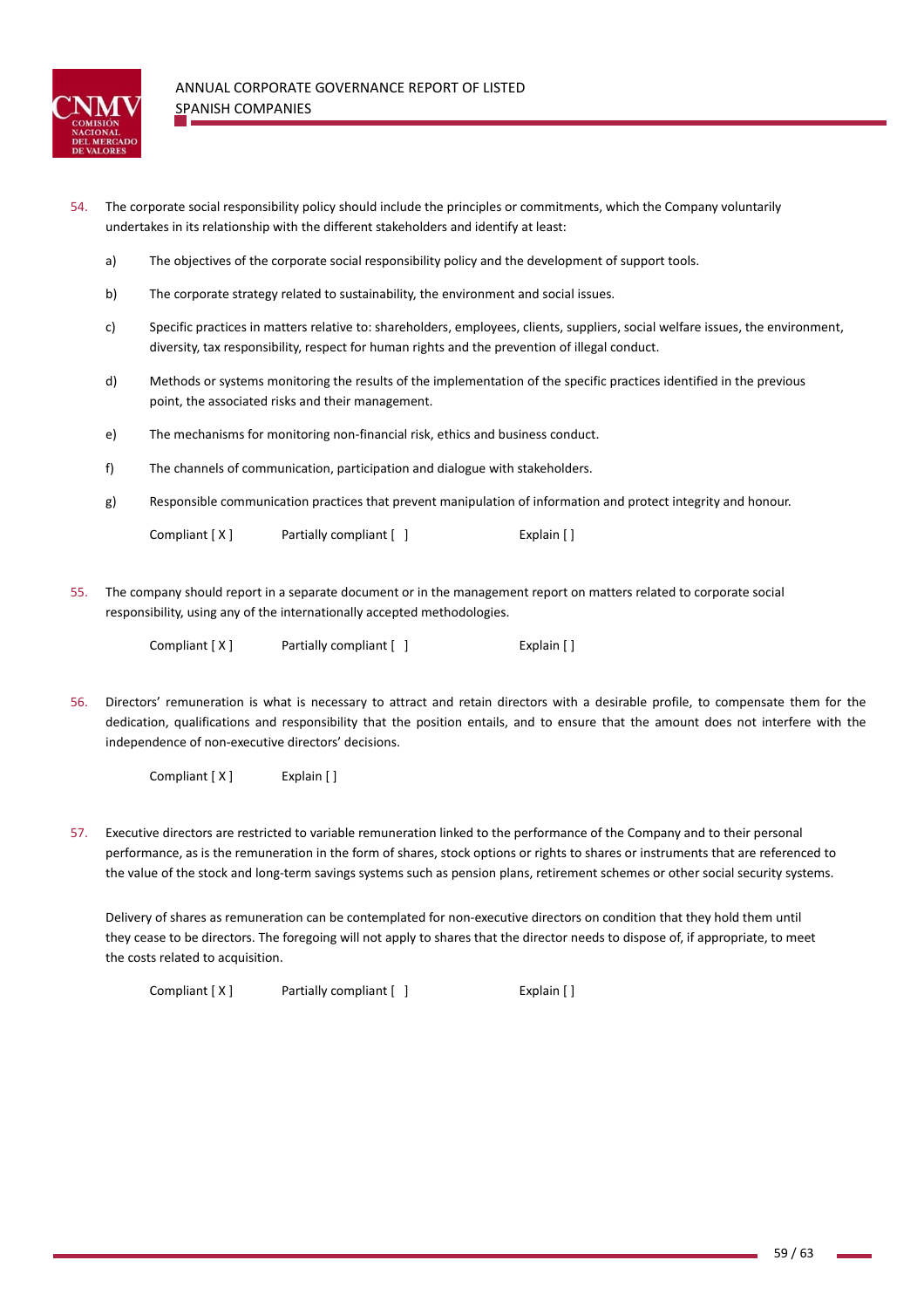

- 54. The corporate social responsibility policy should include the principles or commitments, which the Company voluntarily undertakes in its relationship with the different stakeholders and identify at least:
	- a) The objectives of the corporate social responsibility policy and the development of support tools.
	- b) The corporate strategy related to sustainability, the environment and social issues.
	- c) Specific practices in matters relative to: shareholders, employees, clients, suppliers, social welfare issues, the environment, diversity, tax responsibility, respect for human rights and the prevention of illegal conduct.
	- d) Methods or systems monitoring the results of the implementation of the specific practices identified in the previous point, the associated risks and their management.
	- e) The mechanisms for monitoring non-financial risk, ethics and business conduct.
	- f) The channels of communication, participation and dialogue with stakeholders.
	- g) Responsible communication practices that prevent manipulation of information and protect integrity and honour.

| Compliant [X] | Partially compliant [ ] | Explain [] |
|---------------|-------------------------|------------|
|---------------|-------------------------|------------|

55. The company should report in a separate document or in the management report on matters related to corporate social responsibility, using any of the internationally accepted methodologies.

| Compliant [X] | Partially compliant $\begin{bmatrix} \end{bmatrix}$ | Explain $\lceil \cdot \rceil$ |
|---------------|-----------------------------------------------------|-------------------------------|
|               |                                                     |                               |

56. Directors' remuneration is what is necessary to attract and retain directors with a desirable profile, to compensate them for the dedication, qualifications and responsibility that the position entails, and to ensure that the amount does not interfere with the independence of non‐executive directors' decisions.

Compliant [ X ] Explain [ ]

57. Executive directors are restricted to variable remuneration linked to the performance of the Company and to their personal performance, as is the remuneration in the form of shares, stock options or rights to shares or instruments that are referenced to the value of the stock and long-term savings systems such as pension plans, retirement schemes or other social security systems.

Delivery of shares as remuneration can be contemplated for non‐executive directors on condition that they hold them until they cease to be directors. The foregoing will not apply to shares that the director needs to dispose of, if appropriate, to meet the costs related to acquisition.

Compliant [ X ] Partially compliant [ ] Explain [ ]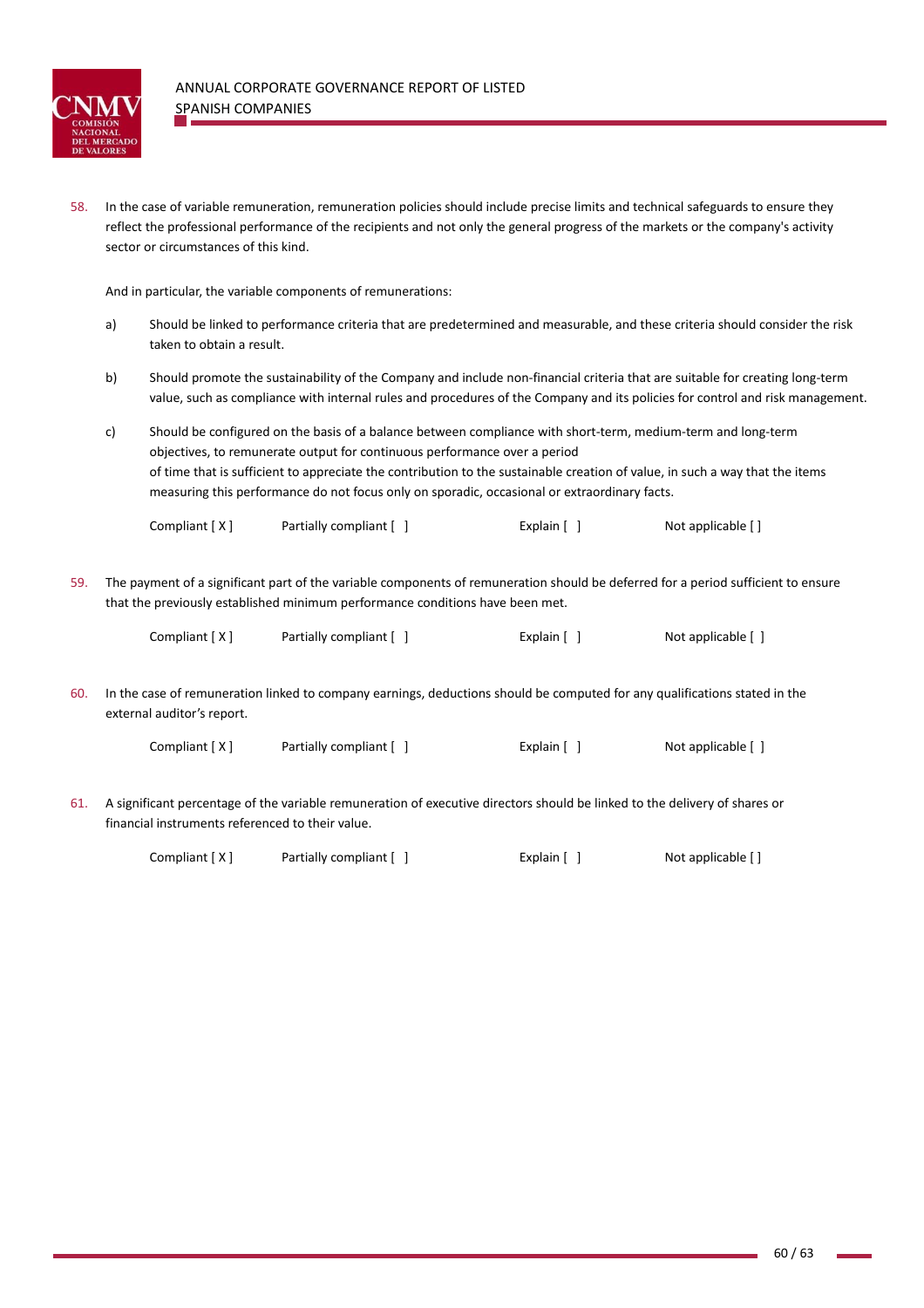

58. In the case of variable remuneration, remuneration policies should include precise limits and technical safeguards to ensure they reflect the professional performance of the recipients and not only the general progress of the markets or the company's activity sector or circumstances of this kind.

And in particular, the variable components of remunerations:

- a) Should be linked to performance criteria that are predetermined and measurable, and these criteria should consider the risk taken to obtain a result.
- b) Should promote the sustainability of the Company and include non-financial criteria that are suitable for creating long-term value, such as compliance with internal rules and procedures of the Company and its policies for control and risk management.
- c) Should be configured on the basis of a balance between compliance with short-term, medium-term and long-term objectives, to remunerate output for continuous performance over a period of time that is sufficient to appreciate the contribution to the sustainable creation of value, in such a way that the items measuring this performance do not focus only on sporadic, occasional or extraordinary facts.

Compliant  $[X]$  Partially compliant  $[ ]$  Explain  $[ ]$  Not applicable  $[ ]$ 

59. The payment of a significant part of the variable components of remuneration should be deferred for a period sufficient to ensure that the previously established minimum performance conditions have been met.

| Compliant [X] | Partially compliant [ ] | Explain [ ] | Not applicable [ ] |
|---------------|-------------------------|-------------|--------------------|
|---------------|-------------------------|-------------|--------------------|

60. In the case of remuneration linked to company earnings, deductions should be computed for any qualifications stated in the external auditor's report.

| Compliant [X] | Partially compliant [ ] | Explain $\lceil \; \rceil$ | Not applicable [ ] |
|---------------|-------------------------|----------------------------|--------------------|
|---------------|-------------------------|----------------------------|--------------------|

61. A significant percentage of the variable remuneration of executive directors should be linked to the delivery of shares or financial instruments referenced to their value.

| Compliant [X] | Partially compliant [ ] | Explain [ ] | Not applicable [] |
|---------------|-------------------------|-------------|-------------------|
|---------------|-------------------------|-------------|-------------------|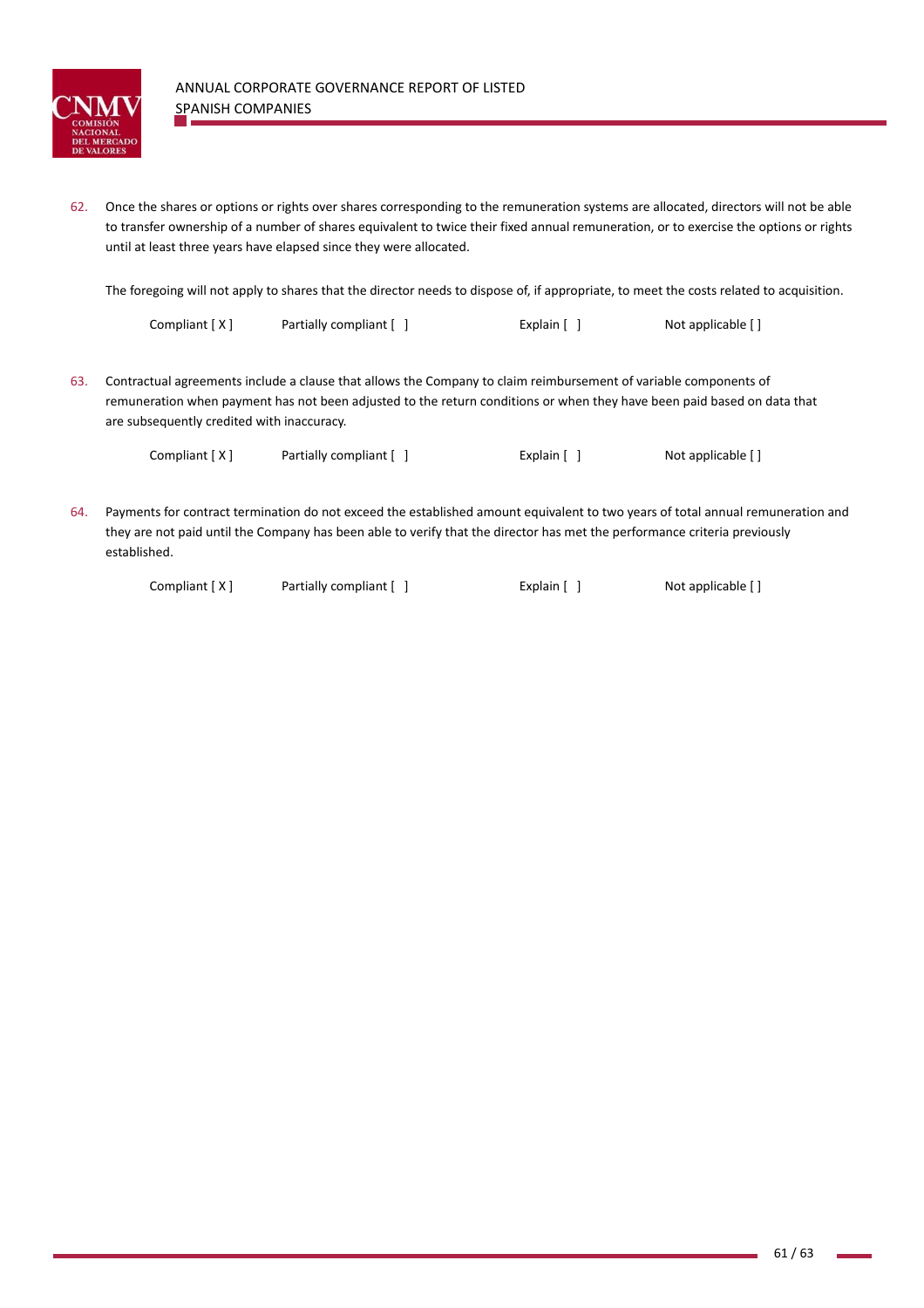

62. Once the shares or options or rights over shares corresponding to the remuneration systems are allocated, directors will not be able to transfer ownership of a number of shares equivalent to twice their fixed annual remuneration, or to exercise the options or rights until at least three years have elapsed since they were allocated.

The foregoing will not apply to shares that the director needs to dispose of, if appropriate, to meet the costs related to acquisition.

| Compliant [X] | Partially compliant [ ] | Explain [ ] | Not applicable [] |
|---------------|-------------------------|-------------|-------------------|
|---------------|-------------------------|-------------|-------------------|

63. Contractual agreements include a clause that allows the Company to claim reimbursement of variable components of remuneration when payment has not been adjusted to the return conditions or when they have been paid based on data that are subsequently credited with inaccuracy.

Compliant [ X ] Partially compliant [ ] Explain [ ] Not applicable [ ]

64. Payments for contract termination do not exceed the established amount equivalent to two years of total annual remuneration and they are not paid until the Company has been able to verify that the director has met the performance criteria previously established.

Compliant [ X ] Partially compliant [ ] Explain [ ] Not applicable [ ]